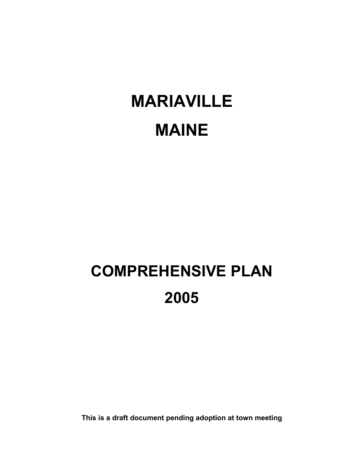# MARIAVILLE MAINE

## COMPREHENSIVE PLAN 2005

This is a draft document pending adoption at town meeting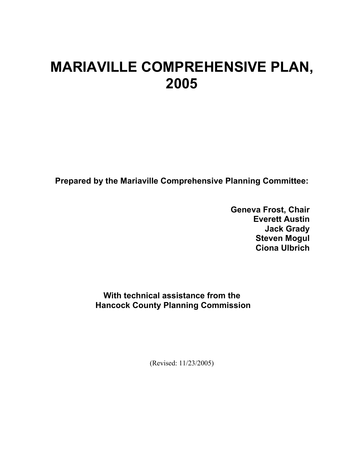### MARIAVILLE COMPREHENSIVE PLAN, 2005

Prepared by the Mariaville Comprehensive Planning Committee:

Geneva Frost, Chair Everett Austin Jack Grady Steven Mogul Ciona Ulbrich

With technical assistance from the Hancock County Planning Commission

(Revised: 11/23/2005)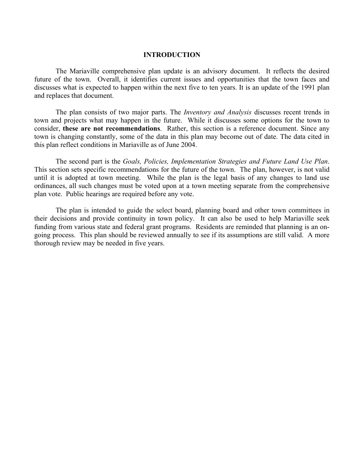#### INTRODUCTION

The Mariaville comprehensive plan update is an advisory document. It reflects the desired future of the town. Overall, it identifies current issues and opportunities that the town faces and discusses what is expected to happen within the next five to ten years. It is an update of the 1991 plan and replaces that document.

The plan consists of two major parts. The *Inventory and Analysis* discusses recent trends in town and projects what may happen in the future. While it discusses some options for the town to consider, these are not recommendations. Rather, this section is a reference document. Since any town is changing constantly, some of the data in this plan may become out of date. The data cited in this plan reflect conditions in Mariaville as of June 2004.

 The second part is the Goals, Policies, Implementation Strategies and Future Land Use Plan. This section sets specific recommendations for the future of the town. The plan, however, is not valid until it is adopted at town meeting. While the plan is the legal basis of any changes to land use ordinances, all such changes must be voted upon at a town meeting separate from the comprehensive plan vote. Public hearings are required before any vote.

 The plan is intended to guide the select board, planning board and other town committees in their decisions and provide continuity in town policy. It can also be used to help Mariaville seek funding from various state and federal grant programs. Residents are reminded that planning is an ongoing process. This plan should be reviewed annually to see if its assumptions are still valid. A more thorough review may be needed in five years.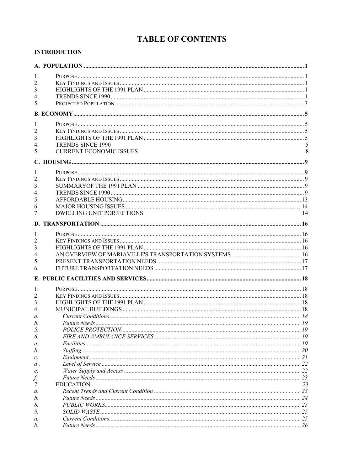#### **TABLE OF CONTENTS**

#### **INTRODUCTION**

| 1.               |                                  |    |
|------------------|----------------------------------|----|
| 2.               |                                  |    |
| 3.               |                                  |    |
| $\overline{4}$ . |                                  |    |
| 5 <sub>1</sub>   |                                  |    |
|                  |                                  |    |
|                  |                                  |    |
| 1.               |                                  |    |
| 2.               |                                  |    |
| 3.               |                                  |    |
| $\overline{4}$ . | <b>TRENDS SINCE 1990</b>         |    |
| 5.               | <b>CURRENT ECONOMIC ISSUES</b>   | 8  |
|                  |                                  |    |
| 1.               |                                  |    |
| 2.               |                                  |    |
| 3.               |                                  |    |
| $\overline{4}$ . |                                  |    |
| 5 <sub>1</sub>   |                                  |    |
| 6.               |                                  |    |
| 7.               | <b>DWELLING UNIT PORJECTIONS</b> | 14 |
|                  |                                  |    |
|                  |                                  |    |
| 1.               |                                  |    |
| $\overline{2}$ . |                                  |    |
| 3 <sub>1</sub>   |                                  |    |
| 4.               |                                  |    |
| 5.               |                                  |    |
| 6.               |                                  |    |
|                  |                                  |    |
| 1.               |                                  |    |
| $\overline{2}$ . |                                  |    |
| 3.               |                                  |    |
| $\overline{4}$ . |                                  |    |
| $\mathfrak{a}$ . |                                  |    |
| b.               |                                  |    |
| 5.               |                                  |    |
| 6.               |                                  |    |
| a.               |                                  |    |
| b.               |                                  |    |
| $\mathcal{C}.$   |                                  |    |
| $d$ .            |                                  |    |
| e.               |                                  |    |
| f.               |                                  |    |
| 7.               | <b>EDUCATION</b>                 | 23 |
| a.               |                                  |    |
| h.               |                                  |    |
| 8.               |                                  |    |
| 9.               |                                  |    |
| а.               |                                  |    |
| b.               |                                  |    |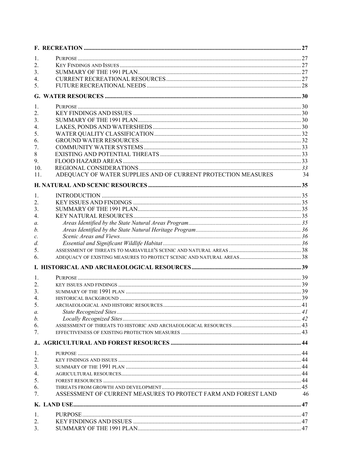| 1.               |                                                                |    |
|------------------|----------------------------------------------------------------|----|
| 2.               |                                                                |    |
| 3.               |                                                                |    |
| 4.               |                                                                |    |
| 5 <sub>1</sub>   |                                                                |    |
|                  |                                                                |    |
| 1.               |                                                                |    |
| $\overline{2}$ . |                                                                |    |
| 3.               |                                                                |    |
| $\overline{4}$ . |                                                                |    |
| 5.               |                                                                |    |
| 6.               |                                                                |    |
| 7.               |                                                                |    |
| $\,$ 8 $\,$      |                                                                |    |
| 9.               |                                                                |    |
| 10.              |                                                                |    |
| 11.              | ADEQUACY OF WATER SUPPLIES AND OF CURRENT PROTECTION MEASURES  | 34 |
|                  |                                                                |    |
| 1.               |                                                                |    |
| 2.               |                                                                |    |
| 3.               |                                                                |    |
| 4.               |                                                                |    |
| a.               |                                                                |    |
| b.               |                                                                |    |
| $\mathcal{C}.$   |                                                                |    |
| $d$ .            |                                                                |    |
| 5.               |                                                                |    |
| 6.               |                                                                |    |
|                  |                                                                |    |
| 1.               |                                                                |    |
| 2.               |                                                                |    |
| 3 <sub>1</sub>   |                                                                |    |
| $\overline{4}$ . |                                                                |    |
| 5 <sub>1</sub>   |                                                                |    |
| а.               |                                                                |    |
| b.               |                                                                |    |
| 6.               |                                                                |    |
| 7 <sub>1</sub>   |                                                                |    |
|                  |                                                                |    |
| 1.               |                                                                |    |
| 2.               |                                                                |    |
| 3.               |                                                                |    |
| 4.               |                                                                |    |
| 5.               |                                                                |    |
| 6.               |                                                                |    |
| 7 <sub>1</sub>   | ASSESSMENT OF CURRENT MEASURES TO PROTECT FARM AND FOREST LAND | 46 |
|                  |                                                                |    |
| 1.               |                                                                |    |
| 2.               |                                                                |    |
| 3 <sub>1</sub>   |                                                                |    |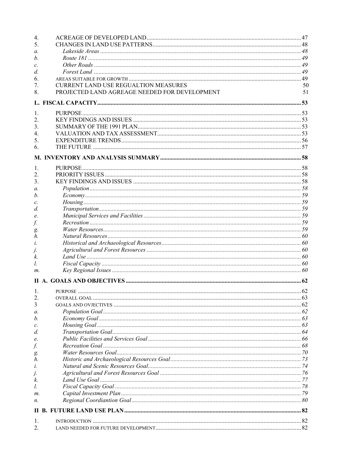| $\overline{4}$ . |                                               |    |
|------------------|-----------------------------------------------|----|
| 5 <sub>1</sub>   |                                               |    |
| $\mathfrak{a}.$  |                                               |    |
| b.               |                                               |    |
| $\mathcal{C}$ .  |                                               |    |
| d.               |                                               |    |
| 6.               |                                               |    |
| 7.               | CURRENT LAND USE REGUALTION MEASURES          | 50 |
| 8.               | PROJECTED LAND AGREAGE NEEDED FOR DEVELOPMENT | 51 |
|                  |                                               |    |
| 1.               |                                               |    |
| 2.               |                                               |    |
| 3.               |                                               |    |
| 4.               |                                               |    |
| 5.               |                                               |    |
| 6.               |                                               |    |
|                  |                                               |    |
| 1.               |                                               |    |
| 2.               |                                               |    |
| 3.               |                                               |    |
| a.               |                                               |    |
| b.               |                                               |    |
| c.               |                                               |    |
| d.               |                                               |    |
| e.               |                                               |    |
| f.               |                                               |    |
| g.               |                                               |    |
| h.               |                                               |    |
| i.               |                                               |    |
| j.               |                                               |    |
| k.               |                                               |    |
| l.               |                                               |    |
| m.               |                                               |    |
|                  |                                               |    |
| 1.               |                                               |    |
| 2.               |                                               |    |
| 3                |                                               |    |
| а.               |                                               |    |
| b.               |                                               |    |
| $\mathcal{C}.$   |                                               |    |
| d.               |                                               |    |
| e.               |                                               |    |
| f.               |                                               |    |
| g.               |                                               |    |
| h.               |                                               |    |
| ĺ.               |                                               |    |
| J.               |                                               |    |
| k.               |                                               |    |
| l.               |                                               |    |
| m.               |                                               |    |
| n.               |                                               |    |
|                  |                                               |    |
| 1.               |                                               |    |
| $\overline{2}$ . |                                               |    |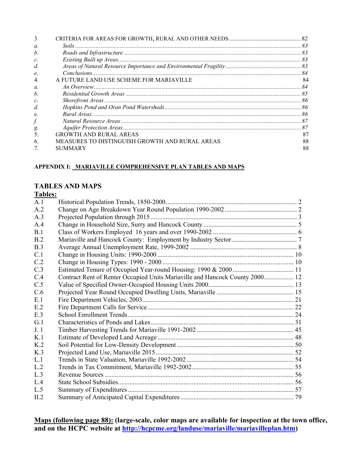| 3                |                                                |    |
|------------------|------------------------------------------------|----|
| $\mathfrak{a}$ . |                                                |    |
| h                |                                                |    |
| $\mathcal{C}$    |                                                |    |
| d                |                                                |    |
| e.               |                                                |    |
| $\overline{4}$   | A FUTURE LAND USE SCHEME FOR MARIAVILLE        | 84 |
| $\alpha$         |                                                |    |
| h                |                                                |    |
| $\mathcal{C}$    |                                                |    |
| d                |                                                |    |
| e.               |                                                |    |
| f.               |                                                |    |
|                  |                                                |    |
| g.<br>5.         | <b>GROWTH AND RURAL AREAS</b>                  | 87 |
| 6                | MEASURES TO DISTINGUISH GROWTH AND RURAL AREAS | 88 |
|                  | SUMMARY                                        | 88 |

#### APPENDIX I: MARIAVILLE COMPREHENSIVE PLAN TABLES AND MAPS

#### TABLES AND MAPS

| п<br>١ |  |
|--------|--|
|        |  |

| Contract Rent of Renter Occupied Units Mariaville and Hancock County 2000 12 |
|------------------------------------------------------------------------------|

Maps (following page 88): (large-scale, color maps are available for inspection at the town office, and on the HCPC website at **http://hcpcme.org/landuse/mariaville/mariavilleplan.htm)**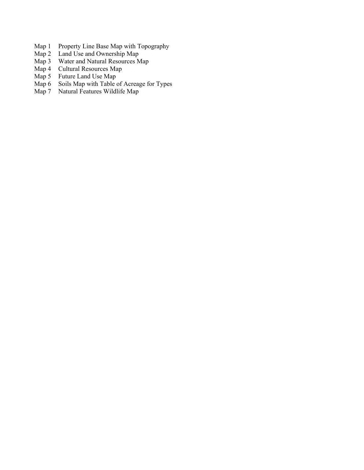- Map 1 Property Line Base Map with Topography
- Map 2 Land Use and Ownership Map
- Map 3 Water and Natural Resources Map<br>Map 4 Cultural Resources Map
- Map 4 Cultural Resources Map<br>Map 5 Future Land Use Map
- Future Land Use Map
- Map 6 Soils Map with Table of Acreage for Types<br>Map 7 Natural Features Wildlife Map
- Natural Features Wildlife Map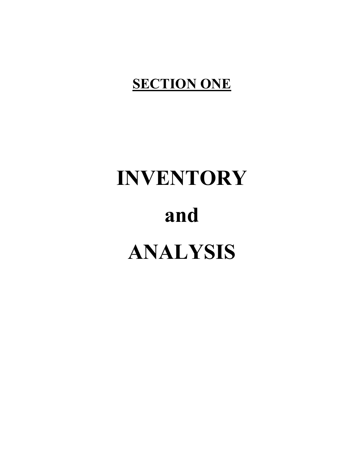## **SECTION ONE**

# INVENTORY and ANALYSIS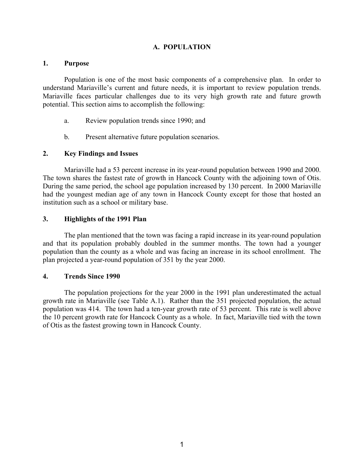#### A. POPULATION

#### 1. Purpose

Population is one of the most basic components of a comprehensive plan. In order to understand Mariaville's current and future needs, it is important to review population trends. Mariaville faces particular challenges due to its very high growth rate and future growth potential. This section aims to accomplish the following:

- a. Review population trends since 1990; and
- b. Present alternative future population scenarios.

#### 2. Key Findings and Issues

Mariaville had a 53 percent increase in its year-round population between 1990 and 2000. The town shares the fastest rate of growth in Hancock County with the adjoining town of Otis. During the same period, the school age population increased by 130 percent. In 2000 Mariaville had the youngest median age of any town in Hancock County except for those that hosted an institution such as a school or military base.

#### 3. Highlights of the 1991 Plan

The plan mentioned that the town was facing a rapid increase in its year-round population and that its population probably doubled in the summer months. The town had a younger population than the county as a whole and was facing an increase in its school enrollment. The plan projected a year-round population of 351 by the year 2000.

#### 4. Trends Since 1990

The population projections for the year 2000 in the 1991 plan underestimated the actual growth rate in Mariaville (see Table A.1). Rather than the 351 projected population, the actual population was 414. The town had a ten-year growth rate of 53 percent. This rate is well above the 10 percent growth rate for Hancock County as a whole. In fact, Mariaville tied with the town of Otis as the fastest growing town in Hancock County.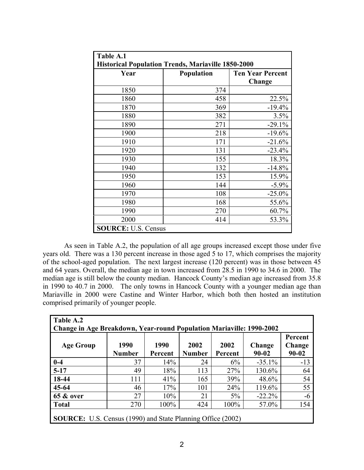| Table A.1                  |                                                           |                         |  |  |  |
|----------------------------|-----------------------------------------------------------|-------------------------|--|--|--|
|                            | <b>Historical Population Trends, Mariaville 1850-2000</b> |                         |  |  |  |
| Year                       | <b>Population</b>                                         | <b>Ten Year Percent</b> |  |  |  |
|                            |                                                           | Change                  |  |  |  |
| 1850                       | 374                                                       |                         |  |  |  |
| 1860                       | 458                                                       | 22.5%                   |  |  |  |
| 1870                       | 369                                                       | $-19.4%$                |  |  |  |
| 1880                       | 382                                                       | 3.5%                    |  |  |  |
| 1890                       | 271                                                       | $-29.1%$                |  |  |  |
| 1900                       | 218                                                       | $-19.6%$                |  |  |  |
| 1910                       | 171                                                       | $-21.6%$                |  |  |  |
| 1920                       | 131                                                       | $-23.4%$                |  |  |  |
| 1930                       | 155                                                       | 18.3%                   |  |  |  |
| 1940                       | 132                                                       | $-14.8%$                |  |  |  |
| 1950                       | 153                                                       | 15.9%                   |  |  |  |
| 1960                       | 144                                                       | $-5.9%$                 |  |  |  |
| 1970                       | 108                                                       | $-25.0%$                |  |  |  |
| 1980                       | 168                                                       | 55.6%                   |  |  |  |
| 1990                       | 270                                                       | 60.7%                   |  |  |  |
| 2000                       | 414                                                       | 53.3%                   |  |  |  |
| <b>SOURCE: U.S. Census</b> |                                                           |                         |  |  |  |

As seen in Table A.2, the population of all age groups increased except those under five years old. There was a 130 percent increase in those aged 5 to 17, which comprises the majority of the school-aged population. The next largest increase (120 percent) was in those between 45 and 64 years. Overall, the median age in town increased from 28.5 in 1990 to 34.6 in 2000. The median age is still below the county median. Hancock County's median age increased from 35.8 in 1990 to 40.7 in 2000. The only towns in Hancock County with a younger median age than Mariaville in 2000 were Castine and Winter Harbor, which both then hosted an institution comprised primarily of younger people.

| Table A.2                                                                   |               |         |               |         |           |           |  |  |
|-----------------------------------------------------------------------------|---------------|---------|---------------|---------|-----------|-----------|--|--|
| <b>Change in Age Breakdown, Year-round Population Mariaville: 1990-2002</b> |               |         |               |         |           |           |  |  |
|                                                                             |               |         |               |         |           | Percent   |  |  |
| <b>Age Group</b>                                                            | 1990          | 1990    | 2002          | 2002    | Change    | Change    |  |  |
|                                                                             | <b>Number</b> | Percent | <b>Number</b> | Percent | $90 - 02$ | $90 - 02$ |  |  |
| $0-4$                                                                       | 37            | 14%     | 24            | 6%      | $-35.1\%$ | $-13$     |  |  |
| $5-17$                                                                      | 49            | 18%     | 113           | 27%     | 130.6%    | 64        |  |  |
| 18-44                                                                       | 111           | 41%     | 165           | 39%     | 48.6%     | 54        |  |  |
| $45 - 64$                                                                   | 46            | 17%     | 101           | 24%     | 119.6%    | 55        |  |  |
| <b>65 &amp; over</b>                                                        | 27            | 10%     | 21            | $5\%$   | $-22.2\%$ | -6        |  |  |
| <b>Total</b>                                                                | 270           | 100%    | 424           | 100%    | 57.0%     | 154       |  |  |
| <b>SOURCE:</b> U.S. Census (1990) and State Planning Office (2002)          |               |         |               |         |           |           |  |  |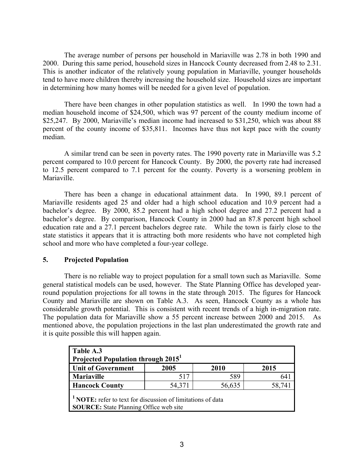The average number of persons per household in Mariaville was 2.78 in both 1990 and 2000. During this same period, household sizes in Hancock County decreased from 2.48 to 2.31. This is another indicator of the relatively young population in Mariaville, younger households tend to have more children thereby increasing the household size. Household sizes are important in determining how many homes will be needed for a given level of population.

There have been changes in other population statistics as well. In 1990 the town had a median household income of \$24,500, which was 97 percent of the county medium income of \$25,247. By 2000, Mariaville's median income had increased to \$31,250, which was about 88 percent of the county income of \$35,811. Incomes have thus not kept pace with the county median.

A similar trend can be seen in poverty rates. The 1990 poverty rate in Mariaville was 5.2 percent compared to 10.0 percent for Hancock County. By 2000, the poverty rate had increased to 12.5 percent compared to 7.1 percent for the county. Poverty is a worsening problem in Mariaville.

There has been a change in educational attainment data. In 1990, 89.1 percent of Mariaville residents aged 25 and older had a high school education and 10.9 percent had a bachelor's degree. By 2000, 85.2 percent had a high school degree and 27.2 percent had a bachelor's degree. By comparison, Hancock County in 2000 had an 87.8 percent high school education rate and a 27.1 percent bachelors degree rate. While the town is fairly close to the state statistics it appears that it is attracting both more residents who have not completed high school and more who have completed a four-year college.

#### 5. Projected Population

There is no reliable way to project population for a small town such as Mariaville. Some general statistical models can be used, however. The State Planning Office has developed yearround population projections for all towns in the state through 2015. The figures for Hancock County and Mariaville are shown on Table A.3. As seen, Hancock County as a whole has considerable growth potential. This is consistent with recent trends of a high in-migration rate. The population data for Mariaville show a 55 percent increase between 2000 and 2015. As mentioned above, the population projections in the last plan underestimated the growth rate and it is quite possible this will happen again.

| Table A.3<br>Projected Population through 2015 <sup>1</sup>                                                       |                            |      |      |  |  |  |  |
|-------------------------------------------------------------------------------------------------------------------|----------------------------|------|------|--|--|--|--|
| <b>Unit of Government</b>                                                                                         | 2005                       | 2010 | 2015 |  |  |  |  |
| <b>Mariaville</b>                                                                                                 | 517                        | 589  |      |  |  |  |  |
| <b>Hancock County</b>                                                                                             | 56,635<br>54,371<br>58,741 |      |      |  |  |  |  |
| <b>NOTE:</b> refer to text for discussion of limitations of data<br><b>SOURCE:</b> State Planning Office web site |                            |      |      |  |  |  |  |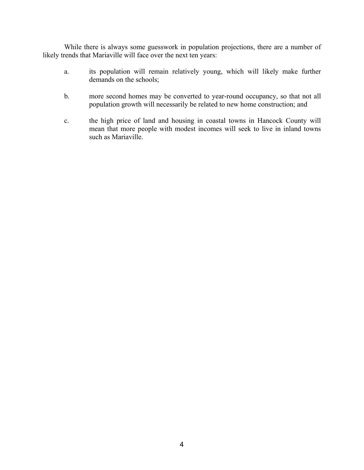While there is always some guesswork in population projections, there are a number of likely trends that Mariaville will face over the next ten years:

- a. its population will remain relatively young, which will likely make further demands on the schools;
- b. more second homes may be converted to year-round occupancy, so that not all population growth will necessarily be related to new home construction; and
- c. the high price of land and housing in coastal towns in Hancock County will mean that more people with modest incomes will seek to live in inland towns such as Mariaville.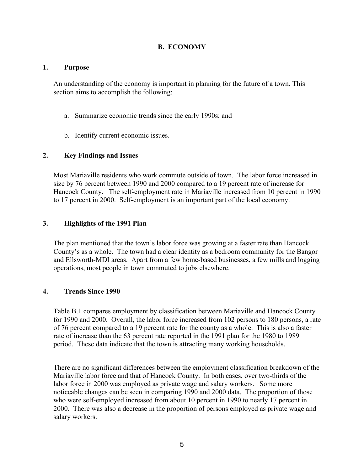#### B. ECONOMY

#### 1. Purpose

An understanding of the economy is important in planning for the future of a town. This section aims to accomplish the following:

- a. Summarize economic trends since the early 1990s; and
- b. Identify current economic issues.

#### 2. Key Findings and Issues

Most Mariaville residents who work commute outside of town. The labor force increased in size by 76 percent between 1990 and 2000 compared to a 19 percent rate of increase for Hancock County. The self-employment rate in Mariaville increased from 10 percent in 1990 to 17 percent in 2000. Self-employment is an important part of the local economy.

#### 3. Highlights of the 1991 Plan

The plan mentioned that the town's labor force was growing at a faster rate than Hancock County's as a whole. The town had a clear identity as a bedroom community for the Bangor and Ellsworth-MDI areas. Apart from a few home-based businesses, a few mills and logging operations, most people in town commuted to jobs elsewhere.

#### 4. Trends Since 1990

Table B.1 compares employment by classification between Mariaville and Hancock County for 1990 and 2000. Overall, the labor force increased from 102 persons to 180 persons, a rate of 76 percent compared to a 19 percent rate for the county as a whole. This is also a faster rate of increase than the 63 percent rate reported in the 1991 plan for the 1980 to 1989 period. These data indicate that the town is attracting many working households.

There are no significant differences between the employment classification breakdown of the Mariaville labor force and that of Hancock County. In both cases, over two-thirds of the labor force in 2000 was employed as private wage and salary workers. Some more noticeable changes can be seen in comparing 1990 and 2000 data. The proportion of those who were self-employed increased from about 10 percent in 1990 to nearly 17 percent in 2000. There was also a decrease in the proportion of persons employed as private wage and salary workers.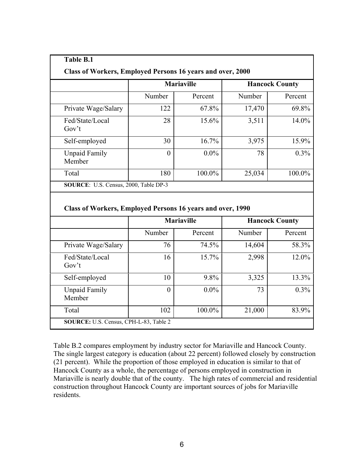| <b>Class of Workers, Employed Persons 16 years and over, 2000</b>                                   |                   |         |                       |               |
|-----------------------------------------------------------------------------------------------------|-------------------|---------|-----------------------|---------------|
|                                                                                                     | <b>Mariaville</b> |         | <b>Hancock County</b> |               |
|                                                                                                     | Number            | Percent | Number                | Percent       |
| Private Wage/Salary                                                                                 | 122               | 67.8%   | 17,470                | 69.8%         |
| Fed/State/Local<br>Gov't                                                                            | 28                | 15.6%   | 3,511                 | 14.0%         |
| Self-employed                                                                                       | 30                | 16.7%   | 3,975                 | 15.9%         |
| <b>Unpaid Family</b><br>Member                                                                      | $\theta$          | $0.0\%$ | 78                    | 0.3%          |
| Total                                                                                               | 180               | 100.0%  | 25,034                | 100.0%        |
|                                                                                                     |                   |         |                       |               |
| SOURCE: U.S. Census, 2000, Table DP-3<br>Class of Workers, Employed Persons 16 years and over, 1990 |                   |         |                       |               |
|                                                                                                     | <b>Mariaville</b> |         | <b>Hancock County</b> |               |
|                                                                                                     | Number            | Percent | Number                | Percent       |
|                                                                                                     | 76                | 74.5%   | 14,604                | 58.3%         |
|                                                                                                     | 16                | 15.7%   | 2,998                 | 12.0%         |
|                                                                                                     | 10                | 9.8%    | 3,325                 |               |
| Private Wage/Salary<br>Fed/State/Local<br>Gov't<br>Self-employed<br><b>Unpaid Family</b><br>Member  | $\theta$          | $0.0\%$ | 73                    | 13.3%<br>0.3% |

Table B.2 compares employment by industry sector for Mariaville and Hancock County. The single largest category is education (about 22 percent) followed closely by construction (21 percent). While the proportion of those employed in education is similar to that of Hancock County as a whole, the percentage of persons employed in construction in Mariaville is nearly double that of the county. The high rates of commercial and residential construction throughout Hancock County are important sources of jobs for Mariaville residents.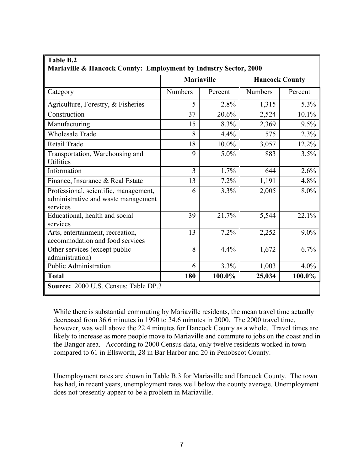| <b>Table B.2</b><br>Mariaville & Hancock County: Employment by Industry Sector, 2000     |                   |         |                       |         |  |  |  |
|------------------------------------------------------------------------------------------|-------------------|---------|-----------------------|---------|--|--|--|
|                                                                                          | <b>Mariaville</b> |         | <b>Hancock County</b> |         |  |  |  |
| Category                                                                                 | <b>Numbers</b>    | Percent | <b>Numbers</b>        | Percent |  |  |  |
| Agriculture, Forestry, & Fisheries                                                       | 5                 | 2.8%    | 1,315                 | 5.3%    |  |  |  |
| Construction                                                                             | 37                | 20.6%   | 2,524                 | 10.1%   |  |  |  |
| Manufacturing                                                                            | 15                | 8.3%    | 2,369                 | 9.5%    |  |  |  |
| <b>Wholesale Trade</b>                                                                   | 8                 | 4.4%    | 575                   | 2.3%    |  |  |  |
| Retail Trade                                                                             | 18                | 10.0%   | 3,057                 | 12.2%   |  |  |  |
| Transportation, Warehousing and<br><b>Utilities</b>                                      | 9                 | 5.0%    | 883                   | 3.5%    |  |  |  |
| Information                                                                              | 3                 | 1.7%    | 644                   | 2.6%    |  |  |  |
| Finance, Insurance & Real Estate                                                         | 13                | 7.2%    | 1,191                 | 4.8%    |  |  |  |
| Professional, scientific, management,<br>administrative and waste management<br>services | 6                 | 3.3%    | 2,005                 | 8.0%    |  |  |  |
| Educational, health and social<br>services                                               | 39                | 21.7%   | 5,544                 | 22.1%   |  |  |  |
| Arts, entertainment, recreation,<br>accommodation and food services                      | 13                | 7.2%    | 2,252                 | 9.0%    |  |  |  |
| Other services (except public<br>administration)                                         | 8                 | 4.4%    | 1,672                 | 6.7%    |  |  |  |
| <b>Public Administration</b>                                                             | 6                 | 3.3%    | 1,003                 | 4.0%    |  |  |  |
| <b>Total</b>                                                                             | 180               | 100.0%  | 25,034                | 100.0%  |  |  |  |
| Source: 2000 U.S. Census: Table DP.3                                                     |                   |         |                       |         |  |  |  |

While there is substantial commuting by Mariaville residents, the mean travel time actually decreased from 36.6 minutes in 1990 to 34.6 minutes in 2000. The 2000 travel time, however, was well above the 22.4 minutes for Hancock County as a whole. Travel times are likely to increase as more people move to Mariaville and commute to jobs on the coast and in the Bangor area. According to 2000 Census data, only twelve residents worked in town compared to 61 in Ellsworth, 28 in Bar Harbor and 20 in Penobscot County.

Unemployment rates are shown in Table B.3 for Mariaville and Hancock County. The town has had, in recent years, unemployment rates well below the county average. Unemployment does not presently appear to be a problem in Mariaville.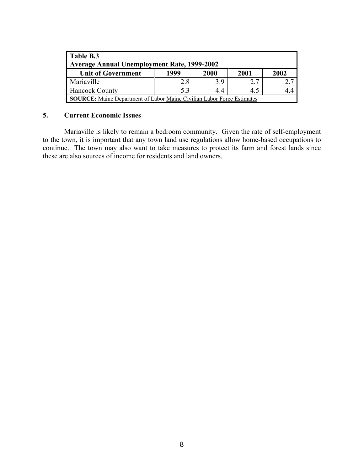| Table B.3<br><b>Average Annual Unemployment Rate, 1999-2002</b>               |      |      |      |      |  |  |  |
|-------------------------------------------------------------------------------|------|------|------|------|--|--|--|
| <b>Unit of Government</b>                                                     | 1999 | 2000 | 2001 | 2002 |  |  |  |
| Mariaville                                                                    | 2.8  | 39   | 2.7  |      |  |  |  |
| <b>Hancock County</b>                                                         | 5.3  | 44   | 4.5  |      |  |  |  |
| <b>SOURCE:</b> Maine Department of Labor Maine Civilian Labor Force Estimates |      |      |      |      |  |  |  |

#### 5. Current Economic Issues

Mariaville is likely to remain a bedroom community. Given the rate of self-employment to the town, it is important that any town land use regulations allow home-based occupations to continue. The town may also want to take measures to protect its farm and forest lands since these are also sources of income for residents and land owners.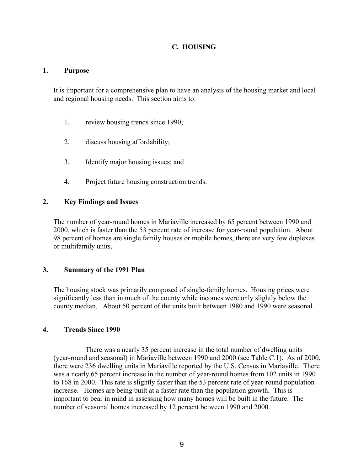#### C. HOUSING

#### 1. Purpose

It is important for a comprehensive plan to have an analysis of the housing market and local and regional housing needs. This section aims to:

- 1. review housing trends since 1990;
- 2. discuss housing affordability;
- 3. Identify major housing issues; and
- 4. Project future housing construction trends.

#### 2. Key Findings and Issues

The number of year-round homes in Mariaville increased by 65 percent between 1990 and 2000, which is faster than the 53 percent rate of increase for year-round population. About 98 percent of homes are single family houses or mobile homes, there are very few duplexes or multifamily units.

#### 3. Summary of the 1991 Plan

The housing stock was primarily composed of single-family homes. Housing prices were significantly less than in much of the county while incomes were only slightly below the county median. About 50 percent of the units built between 1980 and 1990 were seasonal.

#### 4. Trends Since 1990

 There was a nearly 35 percent increase in the total number of dwelling units (year-round and seasonal) in Mariaville between 1990 and 2000 (see Table C.1). As of 2000, there were 236 dwelling units in Mariaville reported by the U.S. Census in Mariaville. There was a nearly 65 percent increase in the number of year-round homes from 102 units in 1990 to 168 in 2000. This rate is slightly faster than the 53 percent rate of year-round population increase. Homes are being built at a faster rate than the population growth. This is important to bear in mind in assessing how many homes will be built in the future. The number of seasonal homes increased by 12 percent between 1990 and 2000.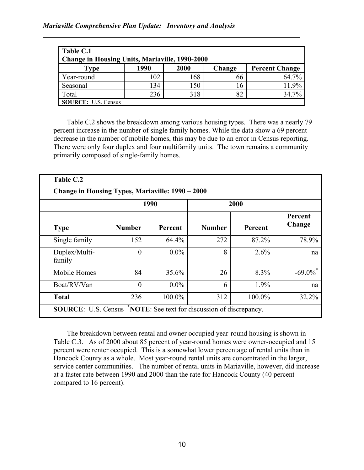#### Mariaville Comprehensive Plan Update: Inventory and Analysis

| Table C.1<br><b>Change in Housing Units, Mariaville, 1990-2000</b> |      |      |            |                       |
|--------------------------------------------------------------------|------|------|------------|-----------------------|
| <b>Type</b>                                                        | 1990 | 2000 | Change     | <b>Percent Change</b> |
| Year-round                                                         | 102  | 168  | 66         | 64.7%                 |
| Seasonal                                                           | 134  | 150  | <u>16.</u> | 11.9%                 |
| Total                                                              | 236  | 318  | 82         | 34.7%                 |
| <b>SOURCE:</b> U.S. Census                                         |      |      |            |                       |

Table C.2 shows the breakdown among various housing types. There was a nearly 79 percent increase in the number of single family homes. While the data show a 69 percent decrease in the number of mobile homes, this may be due to an error in Census reporting. There were only four duplex and four multifamily units. The town remains a community primarily composed of single-family homes.

| Table C.2                                        |                |         |               |         |                   |
|--------------------------------------------------|----------------|---------|---------------|---------|-------------------|
| Change in Housing Types, Mariaville: 1990 – 2000 |                |         |               |         |                   |
|                                                  | 1990           |         |               | 2000    |                   |
| <b>Type</b>                                      | <b>Number</b>  | Percent | <b>Number</b> | Percent | Percent<br>Change |
| Single family                                    | 152            | 64.4%   | 272           | 87.2%   | 78.9%             |
| Duplex/Multi-<br>family                          | $\overline{0}$ | $0.0\%$ | 8             | 2.6%    | na                |
| Mobile Homes                                     | 84             | 35.6%   | 26            | 8.3%    | $-69.0\%$         |
| Boat/RV/Van                                      | $\overline{0}$ | $0.0\%$ | 6             | 1.9%    | na                |
| <b>Total</b>                                     | 236            | 100.0%  | 312           | 100.0%  | 32.2%             |

The breakdown between rental and owner occupied year-round housing is shown in Table C.3. As of 2000 about 85 percent of year-round homes were owner-occupied and 15 percent were renter occupied. This is a somewhat lower percentage of rental units than in Hancock County as a whole. Most year-round rental units are concentrated in the larger, service center communities. The number of rental units in Mariaville, however, did increase at a faster rate between 1990 and 2000 than the rate for Hancock County (40 percent compared to 16 percent).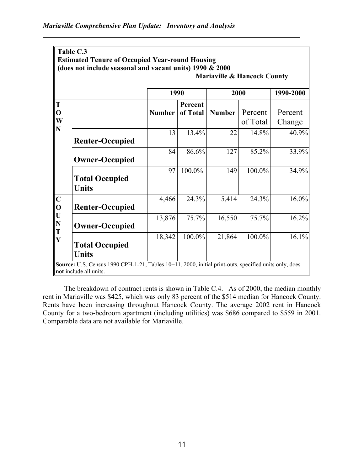|                            | Table C.3                                                                                                                       |               |           |                                        |                     |                   |
|----------------------------|---------------------------------------------------------------------------------------------------------------------------------|---------------|-----------|----------------------------------------|---------------------|-------------------|
|                            | <b>Estimated Tenure of Occupied Year-round Housing</b>                                                                          |               |           |                                        |                     |                   |
|                            | (does not include seasonal and vacant units) 1990 & 2000                                                                        |               |           | <b>Mariaville &amp; Hancock County</b> |                     |                   |
|                            |                                                                                                                                 |               |           |                                        |                     |                   |
|                            |                                                                                                                                 | 1990          | 1990-2000 |                                        |                     |                   |
| T                          |                                                                                                                                 |               | Percent   |                                        |                     |                   |
| $\mathbf O$<br>W           |                                                                                                                                 | <b>Number</b> | of Total  | <b>Number</b>                          | Percent<br>of Total | Percent<br>Change |
| N                          | <b>Renter-Occupied</b>                                                                                                          | 13            | 13.4%     | 22                                     | 14.8%               | 40.9%             |
|                            | <b>Owner-Occupied</b>                                                                                                           | 84            | 86.6%     | 127                                    | 85.2%               | 33.9%             |
|                            | <b>Total Occupied</b><br><b>Units</b>                                                                                           | 97            | 100.0%    | 149                                    | 100.0%              | 34.9%             |
| $\mathbf C$<br>$\mathbf 0$ | <b>Renter-Occupied</b>                                                                                                          | 4,466         | 24.3%     | 5,414                                  | 24.3%               | 16.0%             |
| U<br>$\mathbf N$<br>T      | <b>Owner-Occupied</b>                                                                                                           | 13,876        | 75.7%     | 16,550                                 | 75.7%               | 16.2%             |
| $\mathbf Y$                | <b>Total Occupied</b><br><b>Units</b>                                                                                           | 18,342        | 100.0%    | 21,864                                 | 100.0%              | 16.1%             |
|                            | Source: U.S. Census 1990 CPH-1-21, Tables 10+11, 2000, initial print-outs, specified units only, does<br>not include all units. |               |           |                                        |                     |                   |

The breakdown of contract rents is shown in Table C.4. As of 2000, the median monthly rent in Mariaville was \$425, which was only 83 percent of the \$514 median for Hancock County. Rents have been increasing throughout Hancock County. The average 2002 rent in Hancock County for a two-bedroom apartment (including utilities) was \$686 compared to \$559 in 2001. Comparable data are not available for Mariaville.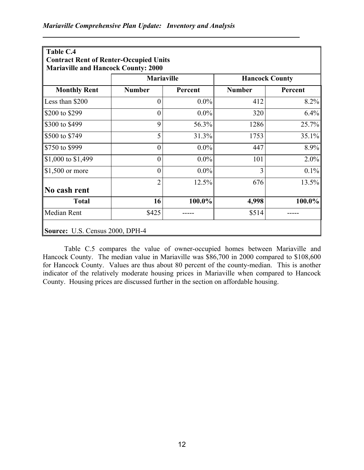| Table C.4<br><b>Contract Rent of Renter-Occupied Units</b><br><b>Mariaville and Hancock County: 2000</b> |                   |         |                       |         |
|----------------------------------------------------------------------------------------------------------|-------------------|---------|-----------------------|---------|
|                                                                                                          | <b>Mariaville</b> |         | <b>Hancock County</b> |         |
| <b>Monthly Rent</b>                                                                                      | <b>Number</b>     | Percent | <b>Number</b>         | Percent |
| Less than \$200                                                                                          | $\overline{0}$    | $0.0\%$ | 412                   | 8.2%    |
| \$200 to \$299                                                                                           | $\overline{0}$    | $0.0\%$ | 320                   | 6.4%    |
| \$300 to \$499                                                                                           | 9                 | 56.3%   | 1286                  | 25.7%   |
| \$500 to \$749                                                                                           | 5                 | 31.3%   | 1753                  | 35.1%   |
| \$750 to \$999                                                                                           | $\overline{0}$    | $0.0\%$ | 447                   | 8.9%    |
| $\$\,1,000$ to $\$1,499$                                                                                 | $\overline{0}$    | $0.0\%$ | 101                   | 2.0%    |
| $\vert$ \$1,500 or more                                                                                  | $\overline{0}$    | $0.0\%$ | 3                     | 0.1%    |
| No cash rent                                                                                             | $\overline{2}$    | 12.5%   | 676                   | 13.5%   |
| <b>Total</b>                                                                                             | 16                | 100.0%  | 4,998                 | 100.0%  |
| Median Rent                                                                                              | \$425             |         | \$514                 |         |
| Source: U.S. Census 2000, DPH-4                                                                          |                   |         |                       |         |

Table C.5 compares the value of owner-occupied homes between Mariaville and Hancock County. The median value in Mariaville was \$86,700 in 2000 compared to \$108,600 for Hancock County. Values are thus about 80 percent of the county-median. This is another indicator of the relatively moderate housing prices in Mariaville when compared to Hancock County. Housing prices are discussed further in the section on affordable housing.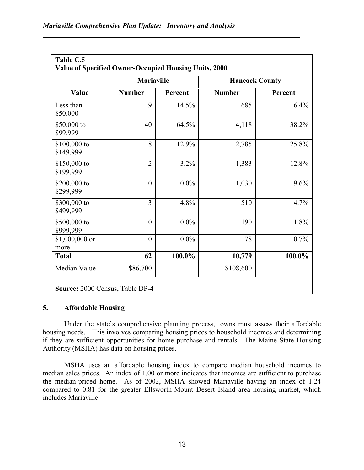|         |                       |                   |                | Table C.5<br>Value of Specified Owner-Occupied Housing Units, 2000 |
|---------|-----------------------|-------------------|----------------|--------------------------------------------------------------------|
|         | <b>Hancock County</b> | <b>Mariaville</b> |                |                                                                    |
| Percent | <b>Number</b>         | Percent           | <b>Number</b>  | Value                                                              |
| 6.4%    | 685                   | 14.5%             | 9              | Less than<br>\$50,000                                              |
| 38.2%   | 4,118                 | 64.5%             | 40             | \$50,000 to<br>\$99,999                                            |
| 25.8%   | 2,785                 | 12.9%             | 8              | \$100,000 to<br>\$149,999                                          |
| 12.8%   | 1,383                 | 3.2%              | $\overline{2}$ | \$150,000 to<br>\$199,999                                          |
| 9.6%    | 1,030                 | $0.0\%$           | $\overline{0}$ | \$200,000 to<br>\$299,999                                          |
| 4.7%    | 510                   | 4.8%              | 3              | \$300,000 to<br>\$499,999                                          |
| 1.8%    | 190                   | $0.0\%$           | $\overline{0}$ | \$500,000 to<br>\$999,999                                          |
| 0.7%    | 78                    | $0.0\%$           | $\overline{0}$ | \$1,000,000 or<br>more                                             |
| 100.0%  | 10,779                | 100.0%            | 62             | <b>Total</b>                                                       |
|         | \$108,600             | --                | \$86,700       | Median Value                                                       |
|         |                       |                   |                | Source: 2000 Census, Table DP-4                                    |

#### 5. Affordable Housing

Under the state's comprehensive planning process, towns must assess their affordable housing needs. This involves comparing housing prices to household incomes and determining if they are sufficient opportunities for home purchase and rentals. The Maine State Housing Authority (MSHA) has data on housing prices.

MSHA uses an affordable housing index to compare median household incomes to median sales prices. An index of 1.00 or more indicates that incomes are sufficient to purchase the median-priced home. As of 2002, MSHA showed Mariaville having an index of 1.24 compared to 0.81 for the greater Ellsworth-Mount Desert Island area housing market, which includes Mariaville.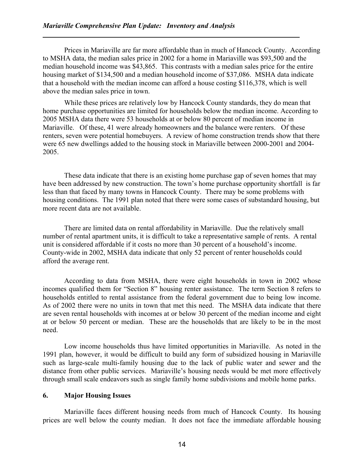Prices in Mariaville are far more affordable than in much of Hancock County. According to MSHA data, the median sales price in 2002 for a home in Mariaville was \$93,500 and the median household income was \$43,865. This contrasts with a median sales price for the entire housing market of \$134,500 and a median household income of \$37,086. MSHA data indicate that a household with the median income can afford a house costing \$116,378, which is well above the median sales price in town.

 While these prices are relatively low by Hancock County standards, they do mean that home purchase opportunities are limited for households below the median income. According to 2005 MSHA data there were 53 households at or below 80 percent of median income in Mariaville. Of these, 41 were already homeowners and the balance were renters. Of these renters, seven were potential homebuyers. A review of home construction trends show that there were 65 new dwellings added to the housing stock in Mariaville between 2000-2001 and 2004- 2005.

These data indicate that there is an existing home purchase gap of seven homes that may have been addressed by new construction. The town's home purchase opportunity shortfall is far less than that faced by many towns in Hancock County. There may be some problems with housing conditions. The 1991 plan noted that there were some cases of substandard housing, but more recent data are not available.

 There are limited data on rental affordability in Mariaville. Due the relatively small number of rental apartment units, it is difficult to take a representative sample of rents. A rental unit is considered affordable if it costs no more than 30 percent of a household's income. County-wide in 2002, MSHA data indicate that only 52 percent of renter households could afford the average rent.

According to data from MSHA, there were eight households in town in 2002 whose incomes qualified them for "Section 8" housing renter assistance. The term Section 8 refers to households entitled to rental assistance from the federal government due to being low income. As of 2002 there were no units in town that met this need. The MSHA data indicate that there are seven rental households with incomes at or below 30 percent of the median income and eight at or below 50 percent or median. These are the households that are likely to be in the most need.

Low income households thus have limited opportunities in Mariaville. As noted in the 1991 plan, however, it would be difficult to build any form of subsidized housing in Mariaville such as large-scale multi-family housing due to the lack of public water and sewer and the distance from other public services. Mariaville's housing needs would be met more effectively through small scale endeavors such as single family home subdivisions and mobile home parks.

#### 6. Major Housing Issues

Mariaville faces different housing needs from much of Hancock County. Its housing prices are well below the county median. It does not face the immediate affordable housing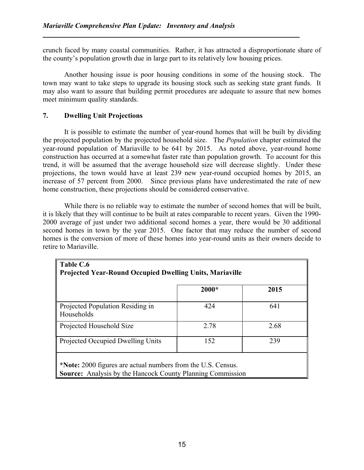crunch faced by many coastal communities. Rather, it has attracted a disproportionate share of the county's population growth due in large part to its relatively low housing prices.

Another housing issue is poor housing conditions in some of the housing stock. The town may want to take steps to upgrade its housing stock such as seeking state grant funds. It may also want to assure that building permit procedures are adequate to assure that new homes meet minimum quality standards.

#### 7. Dwelling Unit Projections

It is possible to estimate the number of year-round homes that will be built by dividing the projected population by the projected household size. The Population chapter estimated the year-round population of Mariaville to be 641 by 2015. As noted above, year-round home construction has occurred at a somewhat faster rate than population growth. To account for this trend, it will be assumed that the average household size will decrease slightly. Under these projections, the town would have at least 239 new year-round occupied homes by 2015, an increase of 57 percent from 2000. Since previous plans have underestimated the rate of new home construction, these projections should be considered conservative.

While there is no reliable way to estimate the number of second homes that will be built, it is likely that they will continue to be built at rates comparable to recent years. Given the 1990- 2000 average of just under two additional second homes a year, there would be 30 additional second homes in town by the year 2015. One factor that may reduce the number of second homes is the conversion of more of these homes into year-round units as their owners decide to retire to Mariaville.

|                                                | $2000*$ | 2015 |
|------------------------------------------------|---------|------|
| Projected Population Residing in<br>Households | 424     | 641  |
| Projected Household Size                       | 2.78    | 2.68 |
| Projected Occupied Dwelling Units              | 152     | 239  |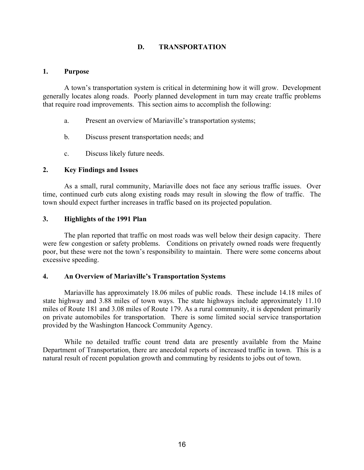#### D. TRANSPORTATION

#### 1. Purpose

A town's transportation system is critical in determining how it will grow. Development generally locates along roads. Poorly planned development in turn may create traffic problems that require road improvements. This section aims to accomplish the following:

- a. Present an overview of Mariaville's transportation systems;
- b. Discuss present transportation needs; and
- c. Discuss likely future needs.

#### 2. Key Findings and Issues

As a small, rural community, Mariaville does not face any serious traffic issues. Over time, continued curb cuts along existing roads may result in slowing the flow of traffic. The town should expect further increases in traffic based on its projected population.

#### 3. Highlights of the 1991 Plan

 The plan reported that traffic on most roads was well below their design capacity. There were few congestion or safety problems. Conditions on privately owned roads were frequently poor, but these were not the town's responsibility to maintain. There were some concerns about excessive speeding.

#### 4. An Overview of Mariaville's Transportation Systems

 Mariaville has approximately 18.06 miles of public roads. These include 14.18 miles of state highway and 3.88 miles of town ways. The state highways include approximately 11.10 miles of Route 181 and 3.08 miles of Route 179. As a rural community, it is dependent primarily on private automobiles for transportation. There is some limited social service transportation provided by the Washington Hancock Community Agency.

 While no detailed traffic count trend data are presently available from the Maine Department of Transportation, there are anecdotal reports of increased traffic in town. This is a natural result of recent population growth and commuting by residents to jobs out of town.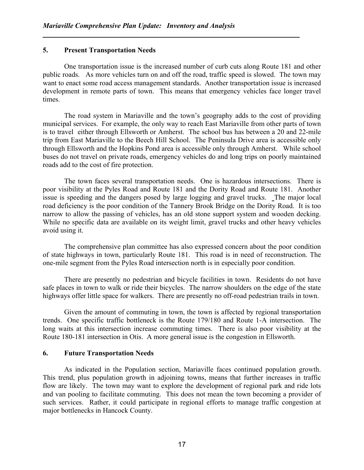#### 5. Present Transportation Needs

 One transportation issue is the increased number of curb cuts along Route 181 and other public roads. As more vehicles turn on and off the road, traffic speed is slowed. The town may want to enact some road access management standards. Another transportation issue is increased development in remote parts of town. This means that emergency vehicles face longer travel times.

 The road system in Mariaville and the town's geography adds to the cost of providing municipal services. For example, the only way to reach East Mariaville from other parts of town is to travel either through Ellsworth or Amherst. The school bus has between a 20 and 22-mile trip from East Mariaville to the Beech Hill School. The Peninsula Drive area is accessible only through Ellsworth and the Hopkins Pond area is accessible only through Amherst. While school buses do not travel on private roads, emergency vehicles do and long trips on poorly maintained roads add to the cost of fire protection.

 The town faces several transportation needs. One is hazardous intersections. There is poor visibility at the Pyles Road and Route 181 and the Dority Road and Route 181. Another issue is speeding and the dangers posed by large logging and gravel trucks. The major local road deficiency is the poor condition of the Tannery Brook Bridge on the Dority Road. It is too narrow to allow the passing of vehicles, has an old stone support system and wooden decking. While no specific data are available on its weight limit, gravel trucks and other heavy vehicles avoid using it.

The comprehensive plan committee has also expressed concern about the poor condition of state highways in town, particularly Route 181. This road is in need of reconstruction. The one-mile segment from the Pyles Road intersection north is in especially poor condition.

 There are presently no pedestrian and bicycle facilities in town. Residents do not have safe places in town to walk or ride their bicycles. The narrow shoulders on the edge of the state highways offer little space for walkers. There are presently no off-road pedestrian trails in town.

 Given the amount of commuting in town, the town is affected by regional transportation trends. One specific traffic bottleneck is the Route 179/180 and Route 1-A intersection. The long waits at this intersection increase commuting times. There is also poor visibility at the Route 180-181 intersection in Otis. A more general issue is the congestion in Ellsworth.

#### 6. Future Transportation Needs

 As indicated in the Population section, Mariaville faces continued population growth. This trend, plus population growth in adjoining towns, means that further increases in traffic flow are likely. The town may want to explore the development of regional park and ride lots and van pooling to facilitate commuting. This does not mean the town becoming a provider of such services. Rather, it could participate in regional efforts to manage traffic congestion at major bottlenecks in Hancock County.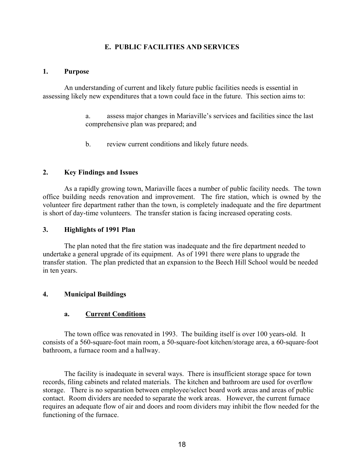#### E. PUBLIC FACILITIES AND SERVICES

#### 1. Purpose

 An understanding of current and likely future public facilities needs is essential in assessing likely new expenditures that a town could face in the future. This section aims to:

> a. assess major changes in Mariaville's services and facilities since the last comprehensive plan was prepared; and

b. review current conditions and likely future needs.

#### 2. Key Findings and Issues

As a rapidly growing town, Mariaville faces a number of public facility needs. The town office building needs renovation and improvement. The fire station, which is owned by the volunteer fire department rather than the town, is completely inadequate and the fire department is short of day-time volunteers. The transfer station is facing increased operating costs.

#### 3. Highlights of 1991 Plan

 The plan noted that the fire station was inadequate and the fire department needed to undertake a general upgrade of its equipment. As of 1991 there were plans to upgrade the transfer station. The plan predicted that an expansion to the Beech Hill School would be needed in ten years.

#### 4. Municipal Buildings

#### a. Current Conditions

 The town office was renovated in 1993. The building itself is over 100 years-old. It consists of a 560-square-foot main room, a 50-square-foot kitchen/storage area, a 60-square-foot bathroom, a furnace room and a hallway.

 The facility is inadequate in several ways. There is insufficient storage space for town records, filing cabinets and related materials. The kitchen and bathroom are used for overflow storage. There is no separation between employee/select board work areas and areas of public contact. Room dividers are needed to separate the work areas. However, the current furnace requires an adequate flow of air and doors and room dividers may inhibit the flow needed for the functioning of the furnace.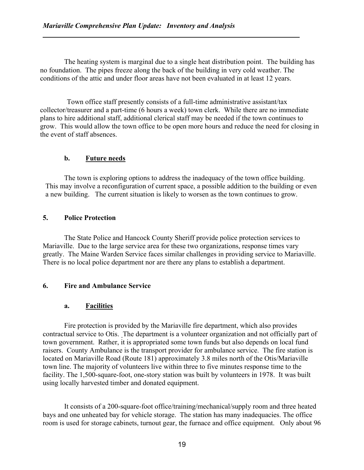The heating system is marginal due to a single heat distribution point. The building has no foundation. The pipes freeze along the back of the building in very cold weather. The conditions of the attic and under floor areas have not been evaluated in at least 12 years.

Town office staff presently consists of a full-time administrative assistant/tax collector/treasurer and a part-time (6 hours a week) town clerk. While there are no immediate plans to hire additional staff, additional clerical staff may be needed if the town continues to grow. This would allow the town office to be open more hours and reduce the need for closing in the event of staff absences.

#### b. Future needs

The town is exploring options to address the inadequacy of the town office building. This may involve a reconfiguration of current space, a possible addition to the building or even a new building. The current situation is likely to worsen as the town continues to grow.

#### 5. Police Protection

 The State Police and Hancock County Sheriff provide police protection services to Mariaville. Due to the large service area for these two organizations, response times vary greatly. The Maine Warden Service faces similar challenges in providing service to Mariaville. There is no local police department nor are there any plans to establish a department.

#### 6. Fire and Ambulance Service

#### a. Facilities

 Fire protection is provided by the Mariaville fire department, which also provides contractual service to Otis. The department is a volunteer organization and not officially part of town government. Rather, it is appropriated some town funds but also depends on local fund raisers. County Ambulance is the transport provider for ambulance service. The fire station is located on Mariaville Road (Route 181) approximately 3.8 miles north of the Otis/Mariaville town line. The majority of volunteers live within three to five minutes response time to the facility. The 1,500-square-foot, one-story station was built by volunteers in 1978. It was built using locally harvested timber and donated equipment.

 It consists of a 200-square-foot office/training/mechanical/supply room and three heated bays and one unheated bay for vehicle storage. The station has many inadequacies. The office room is used for storage cabinets, turnout gear, the furnace and office equipment. Only about 96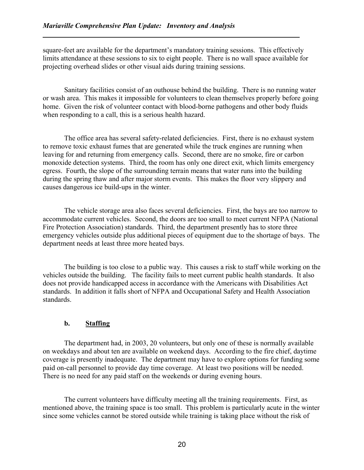square-feet are available for the department's mandatory training sessions. This effectively limits attendance at these sessions to six to eight people. There is no wall space available for projecting overhead slides or other visual aids during training sessions.

 Sanitary facilities consist of an outhouse behind the building. There is no running water or wash area. This makes it impossible for volunteers to clean themselves properly before going home. Given the risk of volunteer contact with blood-borne pathogens and other body fluids when responding to a call, this is a serious health hazard.

 The office area has several safety-related deficiencies. First, there is no exhaust system to remove toxic exhaust fumes that are generated while the truck engines are running when leaving for and returning from emergency calls. Second, there are no smoke, fire or carbon monoxide detection systems. Third, the room has only one direct exit, which limits emergency egress. Fourth, the slope of the surrounding terrain means that water runs into the building during the spring thaw and after major storm events. This makes the floor very slippery and causes dangerous ice build-ups in the winter.

 The vehicle storage area also faces several deficiencies. First, the bays are too narrow to accommodate current vehicles. Second, the doors are too small to meet current NFPA (National Fire Protection Association) standards. Third, the department presently has to store three emergency vehicles outside plus additional pieces of equipment due to the shortage of bays. The department needs at least three more heated bays.

 The building is too close to a public way. This causes a risk to staff while working on the vehicles outside the building. The facility fails to meet current public health standards. It also does not provide handicapped access in accordance with the Americans with Disabilities Act standards. In addition it falls short of NFPA and Occupational Safety and Health Association standards.

#### b. Staffing

 The department had, in 2003, 20 volunteers, but only one of these is normally available on weekdays and about ten are available on weekend days. According to the fire chief, daytime coverage is presently inadequate. The department may have to explore options for funding some paid on-call personnel to provide day time coverage. At least two positions will be needed. There is no need for any paid staff on the weekends or during evening hours.

 The current volunteers have difficulty meeting all the training requirements. First, as mentioned above, the training space is too small. This problem is particularly acute in the winter since some vehicles cannot be stored outside while training is taking place without the risk of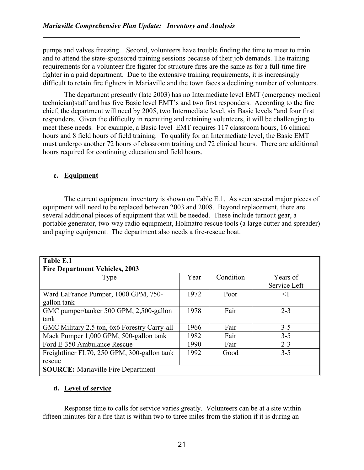pumps and valves freezing. Second, volunteers have trouble finding the time to meet to train and to attend the state-sponsored training sessions because of their job demands. The training requirements for a volunteer fire fighter for structure fires are the same as for a full-time fire fighter in a paid department. Due to the extensive training requirements, it is increasingly difficult to retain fire fighters in Mariaville and the town faces a declining number of volunteers.

 The department presently (late 2003) has no Intermediate level EMT (emergency medical technician)staff and has five Basic level EMT's and two first responders. According to the fire chief, the department will need by 2005, two Intermediate level, six Basic levels "and four first responders. Given the difficulty in recruiting and retaining volunteers, it will be challenging to meet these needs. For example, a Basic level EMT requires 117 classroom hours, 16 clinical hours and 8 field hours of field training. To qualify for an Intermediate level, the Basic EMT must undergo another 72 hours of classroom training and 72 clinical hours. There are additional hours required for continuing education and field hours.

#### c. Equipment

 The current equipment inventory is shown on Table E.1. As seen several major pieces of equipment will need to be replaced between 2003 and 2008. Beyond replacement, there are several additional pieces of equipment that will be needed. These include turnout gear, a portable generator, two-way radio equipment, Holmatro rescue tools (a large cutter and spreader) and paging equipment. The department also needs a fire-rescue boat.

| Table E.1                                    |      |           |              |
|----------------------------------------------|------|-----------|--------------|
| <b>Fire Department Vehicles, 2003</b>        |      |           |              |
| Type                                         | Year | Condition | Years of     |
|                                              |      |           | Service Left |
| Ward LaFrance Pumper, 1000 GPM, 750-         | 1972 | Poor      | $\leq$ 1     |
| gallon tank                                  |      |           |              |
| GMC pumper/tanker 500 GPM, 2,500-gallon      | 1978 | Fair      | $2 - 3$      |
| tank                                         |      |           |              |
| GMC Military 2.5 ton, 6x6 Forestry Carry-all | 1966 | Fair      | $3 - 5$      |
| Mack Pumper 1,000 GPM, 500-gallon tank       | 1982 | Fair      | $3 - 5$      |
| Ford E-350 Ambulance Rescue                  | 1990 | Fair      | $2 - 3$      |
| Freightliner FL70, 250 GPM, 300-gallon tank  | 1992 | Good      | $3 - 5$      |
| rescue                                       |      |           |              |
| <b>SOURCE:</b> Mariaville Fire Department    |      |           |              |

#### d. Level of service

 Response time to calls for service varies greatly. Volunteers can be at a site within fifteen minutes for a fire that is within two to three miles from the station if it is during an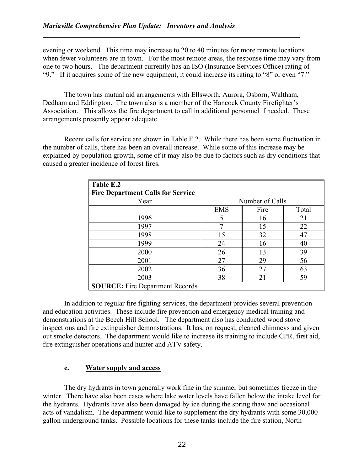evening or weekend. This time may increase to 20 to 40 minutes for more remote locations when fewer volunteers are in town. For the most remote areas, the response time may vary from one to two hours. The department currently has an ISO (Insurance Services Office) rating of "9." If it acquires some of the new equipment, it could increase its rating to "8" or even "7."

 The town has mutual aid arrangements with Ellsworth, Aurora, Osborn, Waltham, Dedham and Eddington. The town also is a member of the Hancock County Firefighter's Association. This allows the fire department to call in additional personnel if needed. These arrangements presently appear adequate.

 Recent calls for service are shown in Table E.2. While there has been some fluctuation in the number of calls, there has been an overall increase. While some of this increase may be explained by population growth, some of it may also be due to factors such as dry conditions that caused a greater incidence of forest fires.

| Table E.2                                |            |                 |       |
|------------------------------------------|------------|-----------------|-------|
| <b>Fire Department Calls for Service</b> |            |                 |       |
| Year                                     |            | Number of Calls |       |
|                                          | <b>EMS</b> | Fire            | Total |
| 1996                                     | 5          | 16              | 21    |
| 1997                                     | 7          | 15              | 22    |
| 1998                                     | 15         | 32              | 47    |
| 1999                                     | 24         | 16              | 40    |
| 2000                                     | 26         | 13              | 39    |
| 2001                                     | 27         | 29              | 56    |
| 2002                                     | 36         | 27              | 63    |
| 2003                                     | 38         | 21              | 59    |
| <b>SOURCE:</b> Fire Department Records   |            |                 |       |

 In addition to regular fire fighting services, the department provides several prevention and education activities. These include fire prevention and emergency medical training and demonstrations at the Beech Hill School. The department also has conducted wood stove inspections and fire extinguisher demonstrations. It has, on request, cleaned chimneys and given out smoke detectors. The department would like to increase its training to include CPR, first aid, fire extinguisher operations and hunter and ATV safety.

#### e. Water supply and access

 The dry hydrants in town generally work fine in the summer but sometimes freeze in the winter. There have also been cases where lake water levels have fallen below the intake level for the hydrants. Hydrants have also been damaged by ice during the spring thaw and occasional acts of vandalism. The department would like to supplement the dry hydrants with some 30,000 gallon underground tanks. Possible locations for these tanks include the fire station, North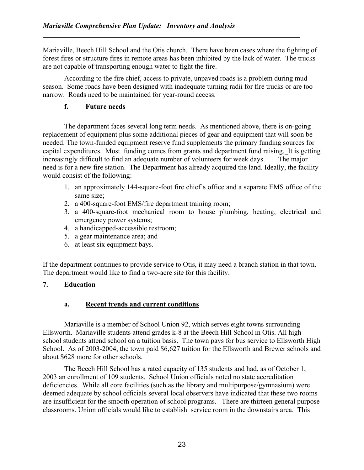Mariaville, Beech Hill School and the Otis church. There have been cases where the fighting of forest fires or structure fires in remote areas has been inhibited by the lack of water. The trucks are not capable of transporting enough water to fight the fire.

 According to the fire chief, access to private, unpaved roads is a problem during mud season. Some roads have been designed with inadequate turning radii for fire trucks or are too narrow. Roads need to be maintained for year-round access.

#### f. Future needs

 The department faces several long term needs. As mentioned above, there is on-going replacement of equipment plus some additional pieces of gear and equipment that will soon be needed. The town-funded equipment reserve fund supplements the primary funding sources for capital expenditures. Most funding comes from grants and department fund raising. It is getting increasingly difficult to find an adequate number of volunteers for week days. The major need is for a new fire station. The Department has already acquired the land. Ideally, the facility would consist of the following:

- 1. an approximately 144-square-foot fire chief's office and a separate EMS office of the same size;
- 2. a 400-square-foot EMS/fire department training room;
- 3. a 400-square-foot mechanical room to house plumbing, heating, electrical and emergency power systems;
- 4. a handicapped-accessible restroom;
- 5. a gear maintenance area; and
- 6. at least six equipment bays.

If the department continues to provide service to Otis, it may need a branch station in that town. The department would like to find a two-acre site for this facility.

#### 7. Education

#### a. Recent trends and current conditions

 Mariaville is a member of School Union 92, which serves eight towns surrounding Ellsworth. Mariaville students attend grades k-8 at the Beech Hill School in Otis. All high school students attend school on a tuition basis. The town pays for bus service to Ellsworth High School. As of 2003-2004, the town paid \$6,627 tuition for the Ellsworth and Brewer schools and about \$628 more for other schools.

 The Beech Hill School has a rated capacity of 135 students and had, as of October 1, 2003 an enrollment of 109 students. School Union officials noted no state accreditation deficiencies. While all core facilities (such as the library and multipurpose/gymnasium) were deemed adequate by school officials several local observers have indicated that these two rooms are insufficient for the smooth operation of school programs. There are thirteen general purpose classrooms. Union officials would like to establish service room in the downstairs area. This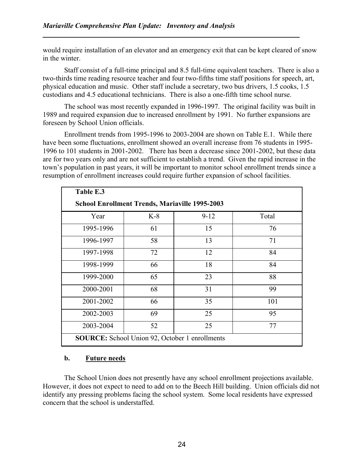would require installation of an elevator and an emergency exit that can be kept cleared of snow in the winter.

 Staff consist of a full-time principal and 8.5 full-time equivalent teachers. There is also a two-thirds time reading resource teacher and four two-fifths time staff positions for speech, art, physical education and music. Other staff include a secretary, two bus drivers, 1.5 cooks, 1.5 custodians and 4.5 educational technicians. There is also a one-fifth time school nurse.

 The school was most recently expanded in 1996-1997. The original facility was built in 1989 and required expansion due to increased enrollment by 1991. No further expansions are foreseen by School Union officials.

 Enrollment trends from 1995-1996 to 2003-2004 are shown on Table E.1. While there have been some fluctuations, enrollment showed an overall increase from 76 students in 1995- 1996 to 101 students in 2001-2002. There has been a decrease since 2001-2002, but these data are for two years only and are not sufficient to establish a trend. Given the rapid increase in the town's population in past years, it will be important to monitor school enrollment trends since a resumption of enrollment increases could require further expansion of school facilities.

| Table E.3                                             |       |          |       |  |  |
|-------------------------------------------------------|-------|----------|-------|--|--|
| <b>School Enrollment Trends, Mariaville 1995-2003</b> |       |          |       |  |  |
| Year                                                  | $K-8$ | $9 - 12$ | Total |  |  |
| 1995-1996                                             | 61    | 15       | 76    |  |  |
| 1996-1997                                             | 58    | 13       | 71    |  |  |
| 1997-1998                                             | 72    | 12       | 84    |  |  |
| 1998-1999                                             | 66    | 18       | 84    |  |  |
| 1999-2000                                             | 65    | 23       | 88    |  |  |
| 2000-2001                                             | 68    | 31       | 99    |  |  |
| 2001-2002                                             | 66    | 35       | 101   |  |  |
| 2002-2003                                             | 69    | 25       | 95    |  |  |
| 2003-2004                                             | 52    | 25       | 77    |  |  |
| <b>SOURCE:</b> School Union 92, October 1 enrollments |       |          |       |  |  |

#### b. Future needs

 The School Union does not presently have any school enrollment projections available. However, it does not expect to need to add on to the Beech Hill building. Union officials did not identify any pressing problems facing the school system. Some local residents have expressed concern that the school is understaffed.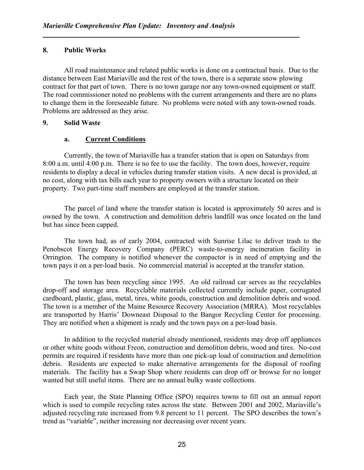#### 8. Public Works

 All road maintenance and related public works is done on a contractual basis. Due to the distance between East Mariaville and the rest of the town, there is a separate snow plowing contract for that part of town. There is no town garage nor any town-owned equipment or staff. The road commissioner noted no problems with the current arrangements and there are no plans to change them in the foreseeable future. No problems were noted with any town-owned roads. Problems are addressed as they arise.

#### 9. Solid Waste

#### a. Current Conditions

 Currently, the town of Mariaville has a transfer station that is open on Saturdays from 8:00 a.m. until 4:00 p.m. There is no fee to use the facility. The town does, however, require residents to display a decal in vehicles during transfer station visits. A new decal is provided, at no cost, along with tax bills each year to property owners with a structure located on their property. Two part-time staff members are employed at the transfer station.

The parcel of land where the transfer station is located is approximately 50 acres and is owned by the town. A construction and demolition debris landfill was once located on the land but has since been capped.

The town had, as of early 2004, contracted with Sunrise Lilac to deliver trash to the Penobscot Energy Recovery Company (PERC) waste-to-energy incineration facility in Orrington. The company is notified whenever the compactor is in need of emptying and the town pays it on a per-load basis. No commercial material is accepted at the transfer station.

The town has been recycling since 1995. An old railroad car serves as the recyclables drop-off and storage area. Recyclable materials collected currently include paper, corrugated cardboard, plastic, glass, metal, tires, white goods, construction and demolition debris and wood. The town is a member of the Maine Resource Recovery Association (MRRA). Most recyclables are transported by Harris' Downeast Disposal to the Bangor Recycling Center for processing. They are notified when a shipment is ready and the town pays on a per-load basis.

In addition to the recycled material already mentioned, residents may drop off appliances or other white goods without Freon, construction and demolition debris, wood and tires. No-cost permits are required if residents have more than one pick-up load of construction and demolition debris. Residents are expected to make alternative arrangements for the disposal of roofing materials. The facility has a Swap Shop where residents can drop off or browse for no longer wanted but still useful items. There are no annual bulky waste collections.

Each year, the State Planning Office (SPO) requires towns to fill out an annual report which is used to compile recycling rates across the state. Between 2001 and 2002, Mariaville's adjusted recycling rate increased from 9.8 percent to 11 percent. The SPO describes the town's trend as "variable", neither increasing nor decreasing over recent years.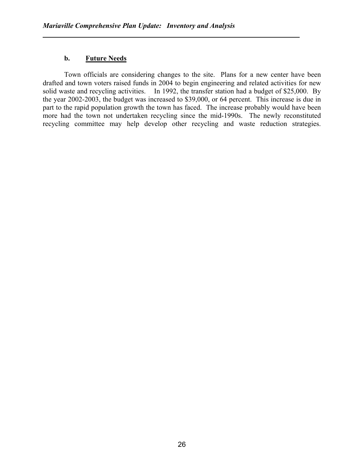#### b. Future Needs

Town officials are considering changes to the site. Plans for a new center have been drafted and town voters raised funds in 2004 to begin engineering and related activities for new solid waste and recycling activities. In 1992, the transfer station had a budget of \$25,000. By the year 2002-2003, the budget was increased to \$39,000, or 64 percent. This increase is due in part to the rapid population growth the town has faced. The increase probably would have been more had the town not undertaken recycling since the mid-1990s. The newly reconstituted recycling committee may help develop other recycling and waste reduction strategies.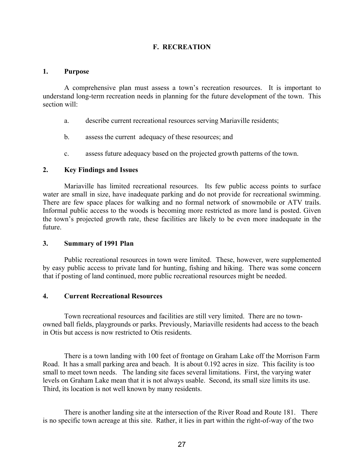#### F. RECREATION

#### 1. Purpose

A comprehensive plan must assess a town's recreation resources. It is important to understand long-term recreation needs in planning for the future development of the town. This section will:

- a. describe current recreational resources serving Mariaville residents;
- b. assess the current adequacy of these resources; and
- c. assess future adequacy based on the projected growth patterns of the town.

#### 2. Key Findings and Issues

Mariaville has limited recreational resources. Its few public access points to surface water are small in size, have inadequate parking and do not provide for recreational swimming. There are few space places for walking and no formal network of snowmobile or ATV trails. Informal public access to the woods is becoming more restricted as more land is posted. Given the town's projected growth rate, these facilities are likely to be even more inadequate in the future.

#### 3. Summary of 1991 Plan

Public recreational resources in town were limited. These, however, were supplemented by easy public access to private land for hunting, fishing and hiking. There was some concern that if posting of land continued, more public recreational resources might be needed.

#### 4. Current Recreational Resources

 Town recreational resources and facilities are still very limited. There are no townowned ball fields, playgrounds or parks. Previously, Mariaville residents had access to the beach in Otis but access is now restricted to Otis residents.

 There is a town landing with 100 feet of frontage on Graham Lake off the Morrison Farm Road. It has a small parking area and beach. It is about 0.192 acres in size. This facility is too small to meet town needs. The landing site faces several limitations. First, the varying water levels on Graham Lake mean that it is not always usable. Second, its small size limits its use. Third, its location is not well known by many residents.

 There is another landing site at the intersection of the River Road and Route 181. There is no specific town acreage at this site. Rather, it lies in part within the right-of-way of the two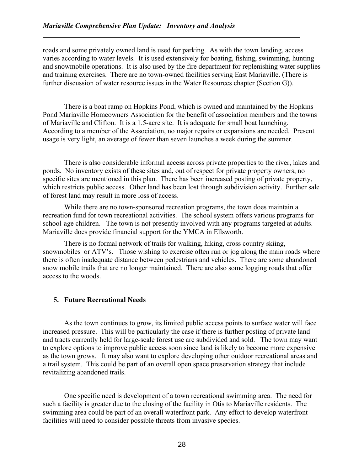roads and some privately owned land is used for parking. As with the town landing, access varies according to water levels. It is used extensively for boating, fishing, swimming, hunting and snowmobile operations. It is also used by the fire department for replenishing water supplies and training exercises. There are no town-owned facilities serving East Mariaville. (There is further discussion of water resource issues in the Water Resources chapter (Section G)).

 There is a boat ramp on Hopkins Pond, which is owned and maintained by the Hopkins Pond Mariaville Homeowners Association for the benefit of association members and the towns of Mariaville and Clifton. It is a 1.5-acre site. It is adequate for small boat launching. According to a member of the Association, no major repairs or expansions are needed. Present usage is very light, an average of fewer than seven launches a week during the summer.

 There is also considerable informal access across private properties to the river, lakes and ponds. No inventory exists of these sites and, out of respect for private property owners, no specific sites are mentioned in this plan. There has been increased posting of private property, which restricts public access. Other land has been lost through subdivision activity. Further sale of forest land may result in more loss of access.

 While there are no town-sponsored recreation programs, the town does maintain a recreation fund for town recreational activities. The school system offers various programs for school-age children. The town is not presently involved with any programs targeted at adults. Mariaville does provide financial support for the YMCA in Ellsworth.

 There is no formal network of trails for walking, hiking, cross country skiing, snowmobiles or ATV's. Those wishing to exercise often run or jog along the main roads where there is often inadequate distance between pedestrians and vehicles. There are some abandoned snow mobile trails that are no longer maintained. There are also some logging roads that offer access to the woods.

# 5. Future Recreational Needs

 As the town continues to grow, its limited public access points to surface water will face increased pressure. This will be particularly the case if there is further posting of private land and tracts currently held for large-scale forest use are subdivided and sold. The town may want to explore options to improve public access soon since land is likely to become more expensive as the town grows. It may also want to explore developing other outdoor recreational areas and a trail system. This could be part of an overall open space preservation strategy that include revitalizing abandoned trails.

 One specific need is development of a town recreational swimming area. The need for such a facility is greater due to the closing of the facility in Otis to Mariaville residents. The swimming area could be part of an overall waterfront park. Any effort to develop waterfront facilities will need to consider possible threats from invasive species.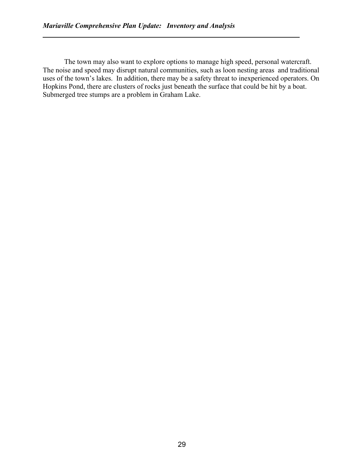The town may also want to explore options to manage high speed, personal watercraft. The noise and speed may disrupt natural communities, such as loon nesting areas and traditional uses of the town's lakes. In addition, there may be a safety threat to inexperienced operators. On Hopkins Pond, there are clusters of rocks just beneath the surface that could be hit by a boat. Submerged tree stumps are a problem in Graham Lake.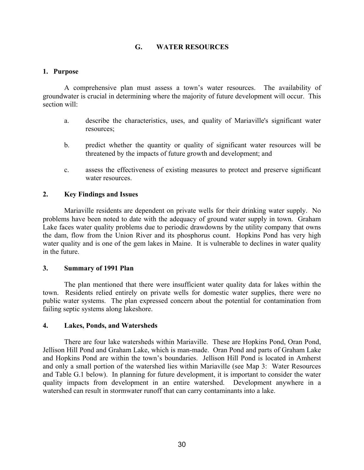# G. WATER RESOURCES

#### 1. Purpose

A comprehensive plan must assess a town's water resources. The availability of groundwater is crucial in determining where the majority of future development will occur. This section will:

- a. describe the characteristics, uses, and quality of Mariaville's significant water resources;
- b. predict whether the quantity or quality of significant water resources will be threatened by the impacts of future growth and development; and
- c. assess the effectiveness of existing measures to protect and preserve significant water resources.

#### 2. Key Findings and Issues

Mariaville residents are dependent on private wells for their drinking water supply. No problems have been noted to date with the adequacy of ground water supply in town. Graham Lake faces water quality problems due to periodic drawdowns by the utility company that owns the dam, flow from the Union River and its phosphorus count. Hopkins Pond has very high water quality and is one of the gem lakes in Maine. It is vulnerable to declines in water quality in the future.

#### 3. Summary of 1991 Plan

The plan mentioned that there were insufficient water quality data for lakes within the town. Residents relied entirely on private wells for domestic water supplies, there were no public water systems. The plan expressed concern about the potential for contamination from failing septic systems along lakeshore.

#### 4. Lakes, Ponds, and Watersheds

 There are four lake watersheds within Mariaville. These are Hopkins Pond, Oran Pond, Jellison Hill Pond and Graham Lake, which is man-made. Oran Pond and parts of Graham Lake and Hopkins Pond are within the town's boundaries. Jellison Hill Pond is located in Amherst and only a small portion of the watershed lies within Mariaville (see Map 3: Water Resources and Table G.1 below). In planning for future development, it is important to consider the water quality impacts from development in an entire watershed. Development anywhere in a watershed can result in stormwater runoff that can carry contaminants into a lake.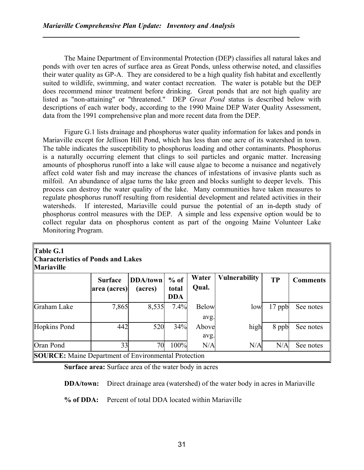The Maine Department of Environmental Protection (DEP) classifies all natural lakes and ponds with over ten acres of surface area as Great Ponds, unless otherwise noted, and classifies their water quality as GP-A. They are considered to be a high quality fish habitat and excellently suited to wildlife, swimming, and water contact recreation. The water is potable but the DEP does recommend minor treatment before drinking. Great ponds that are not high quality are listed as "non-attaining" or "threatened." DEP Great Pond status is described below with descriptions of each water body, according to the 1990 Maine DEP Water Quality Assessment, data from the 1991 comprehensive plan and more recent data from the DEP.

 Figure G.1 lists drainage and phosphorus water quality information for lakes and ponds in Mariaville except for Jellison Hill Pond, which has less than one acre of its watershed in town. The table indicates the susceptibility to phosphorus loading and other contaminants. Phosphorus is a naturally occurring element that clings to soil particles and organic matter. Increasing amounts of phosphorus runoff into a lake will cause algae to become a nuisance and negatively affect cold water fish and may increase the chances of infestations of invasive plants such as milfoil. An abundance of algae turns the lake green and blocks sunlight to deeper levels. This process can destroy the water quality of the lake. Many communities have taken measures to regulate phosphorus runoff resulting from residential development and related activities in their watersheds. If interested, Mariaville could pursue the potential of an in-depth study of phosphorus control measures with the DEP. A simple and less expensive option would be to collect regular data on phosphorus content as part of the ongoing Maine Volunteer Lake Monitoring Program.

| Table G.1<br><b>Characteristics of Ponds and Lakes</b><br>Mariaville |                                |                            |                               |                      |                      |           |                 |
|----------------------------------------------------------------------|--------------------------------|----------------------------|-------------------------------|----------------------|----------------------|-----------|-----------------|
|                                                                      | <b>Surface</b><br>area (acres) | <b>DDA/town</b><br>(acres) | $%$ of<br>total<br><b>DDA</b> | Water<br>Qual.       | <b>Vulnerability</b> | <b>TP</b> | <b>Comments</b> |
| Graham Lake                                                          | 7,865                          | 8,535                      | 7.4%                          | <b>Below</b><br>avg. | low                  | 17 ppb    | See notes       |
| Hopkins Pond                                                         | 442                            | 520                        | 34%                           | Above<br>avg.        | high                 | 8 ppb     | See notes       |
| Oran Pond                                                            | 33                             | 70                         | 100%                          | N/A                  | N/A                  | N/A       | See notes       |
| <b>SOURCE:</b> Maine Department of Environmental Protection          |                                |                            |                               |                      |                      |           |                 |

Surface area: Surface area of the water body in acres

DDA/town: Direct drainage area (watershed) of the water body in acres in Mariaville

% of DDA: Percent of total DDA located within Mariaville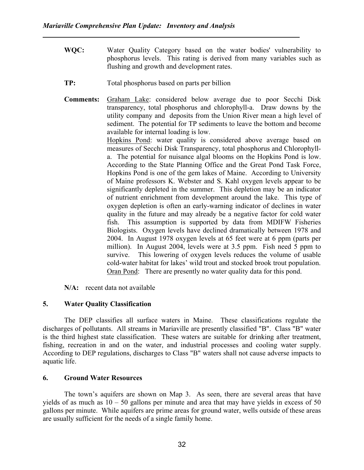- WQC: Water Quality Category based on the water bodies' vulnerability to phosphorus levels. This rating is derived from many variables such as flushing and growth and development rates.
- TP: Total phosphorus based on parts per billion
- Comments: Graham Lake: considered below average due to poor Secchi Disk transparency, total phosphorus and chlorophyll-a. Draw downs by the utility company and deposits from the Union River mean a high level of sediment. The potential for TP sediments to leave the bottom and become available for internal loading is low.

Hopkins Pond: water quality is considered above average based on measures of Secchi Disk Transparency, total phosphorus and Chlorophylla. The potential for nuisance algal blooms on the Hopkins Pond is low. According to the State Planning Office and the Great Pond Task Force, Hopkins Pond is one of the gem lakes of Maine. According to University of Maine professors K. Webster and S. Kahl oxygen levels appear to be significantly depleted in the summer. This depletion may be an indicator of nutrient enrichment from development around the lake. This type of oxygen depletion is often an early-warning indicator of declines in water quality in the future and may already be a negative factor for cold water fish. This assumption is supported by data from MDIFW Fisheries Biologists. Oxygen levels have declined dramatically between 1978 and 2004. In August 1978 oxygen levels at 65 feet were at 6 ppm (parts per million). In August 2004, levels were at 3.5 ppm. Fish need 5 ppm to survive. This lowering of oxygen levels reduces the volume of usable cold-water habitat for lakes' wild trout and stocked brook trout population. Oran Pond: There are presently no water quality data for this pond.

N/A: recent data not available

#### 5. Water Quality Classification

 The DEP classifies all surface waters in Maine. These classifications regulate the discharges of pollutants. All streams in Mariaville are presently classified "B". Class "B" water is the third highest state classification. These waters are suitable for drinking after treatment, fishing, recreation in and on the water, and industrial processes and cooling water supply. According to DEP regulations, discharges to Class "B" waters shall not cause adverse impacts to aquatic life.

#### 6. Ground Water Resources

 The town's aquifers are shown on Map 3. As seen, there are several areas that have yields of as much as  $10 - 50$  gallons per minute and area that may have yields in excess of  $50$ gallons per minute. While aquifers are prime areas for ground water, wells outside of these areas are usually sufficient for the needs of a single family home.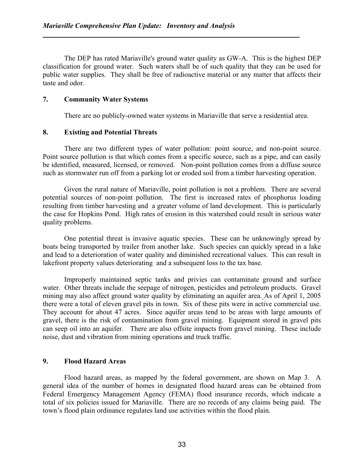The DEP has rated Mariaville's ground water quality as GW-A. This is the highest DEP classification for ground water. Such waters shall be of such quality that they can be used for public water supplies. They shall be free of radioactive material or any matter that affects their taste and odor.

#### 7. Community Water Systems

There are no publicly-owned water systems in Mariaville that serve a residential area.

#### 8. Existing and Potential Threats

 There are two different types of water pollution: point source, and non-point source. Point source pollution is that which comes from a specific source, such as a pipe, and can easily be identified, measured, licensed, or removed. Non-point pollution comes from a diffuse source such as stormwater run off from a parking lot or eroded soil from a timber harvesting operation.

 Given the rural nature of Mariaville, point pollution is not a problem. There are several potential sources of non-point pollution. The first is increased rates of phosphorus loading resulting from timber harvesting and a greater volume of land development. This is particularly the case for Hopkins Pond. High rates of erosion in this watershed could result in serious water quality problems.

 One potential threat is invasive aquatic species. These can be unknowingly spread by boats being transported by trailer from another lake. Such species can quickly spread in a lake and lead to a deterioration of water quality and diminished recreational values. This can result in lakefront property values deteriorating and a subsequent loss to the tax base.

 Improperly maintained septic tanks and privies can contaminate ground and surface water. Other threats include the seepage of nitrogen, pesticides and petroleum products. Gravel mining may also affect ground water quality by eliminating an aquifer area. As of April 1, 2005 there were a total of eleven gravel pits in town. Six of these pits were in active commercial use. They account for about 47 acres. Since aquifer areas tend to be areas with large amounts of gravel, there is the risk of contamination from gravel mining. Equipment stored in gravel pits can seep oil into an aquifer. There are also offsite impacts from gravel mining. These include noise, dust and vibration from mining operations and truck traffic.

# 9. Flood Hazard Areas

 Flood hazard areas, as mapped by the federal government, are shown on Map 3. A general idea of the number of homes in designated flood hazard areas can be obtained from Federal Emergency Management Agency (FEMA) flood insurance records, which indicate a total of six policies issued for Mariaville. There are no records of any claims being paid. The town's flood plain ordinance regulates land use activities within the flood plain.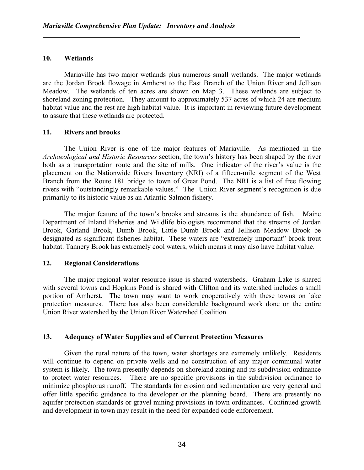#### 10. Wetlands

Mariaville has two major wetlands plus numerous small wetlands. The major wetlands are the Jordan Brook flowage in Amherst to the East Branch of the Union River and Jellison Meadow. The wetlands of ten acres are shown on Map 3. These wetlands are subject to shoreland zoning protection. They amount to approximately 537 acres of which 24 are medium habitat value and the rest are high habitat value. It is important in reviewing future development to assure that these wetlands are protected.

#### 11. Rivers and brooks

 The Union River is one of the major features of Mariaville. As mentioned in the Archaeological and Historic Resources section, the town's history has been shaped by the river both as a transportation route and the site of mills. One indicator of the river's value is the placement on the Nationwide Rivers Inventory (NRI) of a fifteen-mile segment of the West Branch from the Route 181 bridge to town of Great Pond. The NRI is a list of free flowing rivers with "outstandingly remarkable values." The Union River segment's recognition is due primarily to its historic value as an Atlantic Salmon fishery.

 The major feature of the town's brooks and streams is the abundance of fish. Maine Department of Inland Fisheries and Wildlife biologists recommend that the streams of Jordan Brook, Garland Brook, Dumb Brook, Little Dumb Brook and Jellison Meadow Brook be designated as significant fisheries habitat. These waters are "extremely important" brook trout habitat. Tannery Brook has extremely cool waters, which means it may also have habitat value.

#### 12. Regional Considerations

The major regional water resource issue is shared watersheds. Graham Lake is shared with several towns and Hopkins Pond is shared with Clifton and its watershed includes a small portion of Amherst. The town may want to work cooperatively with these towns on lake protection measures. There has also been considerable background work done on the entire Union River watershed by the Union River Watershed Coalition.

#### 13. Adequacy of Water Supplies and of Current Protection Measures

Given the rural nature of the town, water shortages are extremely unlikely. Residents will continue to depend on private wells and no construction of any major communal water system is likely. The town presently depends on shoreland zoning and its subdivision ordinance to protect water resources. There are no specific provisions in the subdivision ordinance to minimize phosphorus runoff. The standards for erosion and sedimentation are very general and offer little specific guidance to the developer or the planning board. There are presently no aquifer protection standards or gravel mining provisions in town ordinances. Continued growth and development in town may result in the need for expanded code enforcement.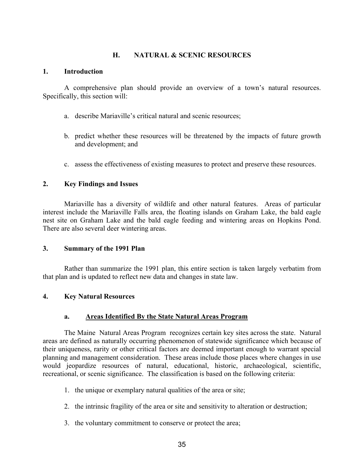# H. NATURAL & SCENIC RESOURCES

#### 1. Introduction

 A comprehensive plan should provide an overview of a town's natural resources. Specifically, this section will:

- a. describe Mariaville's critical natural and scenic resources;
- b. predict whether these resources will be threatened by the impacts of future growth and development; and
- c. assess the effectiveness of existing measures to protect and preserve these resources.

# 2. Key Findings and Issues

 Mariaville has a diversity of wildlife and other natural features. Areas of particular interest include the Mariaville Falls area, the floating islands on Graham Lake, the bald eagle nest site on Graham Lake and the bald eagle feeding and wintering areas on Hopkins Pond. There are also several deer wintering areas.

# 3. Summary of the 1991 Plan

 Rather than summarize the 1991 plan, this entire section is taken largely verbatim from that plan and is updated to reflect new data and changes in state law.

# 4. Key Natural Resources

# a. Areas Identified By the State Natural Areas Program

 The Maine Natural Areas Program recognizes certain key sites across the state. Natural areas are defined as naturally occurring phenomenon of statewide significance which because of their uniqueness, rarity or other critical factors are deemed important enough to warrant special planning and management consideration. These areas include those places where changes in use would jeopardize resources of natural, educational, historic, archaeological, scientific, recreational, or scenic significance. The classification is based on the following criteria:

- 1. the unique or exemplary natural qualities of the area or site;
- 2. the intrinsic fragility of the area or site and sensitivity to alteration or destruction;
- 3. the voluntary commitment to conserve or protect the area;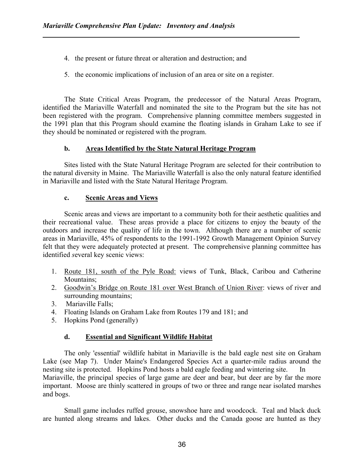- 4. the present or future threat or alteration and destruction; and
- 5. the economic implications of inclusion of an area or site on a register.

 The State Critical Areas Program, the predecessor of the Natural Areas Program, identified the Mariaville Waterfall and nominated the site to the Program but the site has not been registered with the program. Comprehensive planning committee members suggested in the 1991 plan that this Program should examine the floating islands in Graham Lake to see if they should be nominated or registered with the program.

# b. Areas Identified by the State Natural Heritage Program

 Sites listed with the State Natural Heritage Program are selected for their contribution to the natural diversity in Maine. The Mariaville Waterfall is also the only natural feature identified in Mariaville and listed with the State Natural Heritage Program.

# c. Scenic Areas and Views

 Scenic areas and views are important to a community both for their aesthetic qualities and their recreational value. These areas provide a place for citizens to enjoy the beauty of the outdoors and increase the quality of life in the town. Although there are a number of scenic areas in Mariaville, 45% of respondents to the 1991-1992 Growth Management Opinion Survey felt that they were adequately protected at present. The comprehensive planning committee has identified several key scenic views:

- 1. Route 181, south of the Pyle Road: views of Tunk, Black, Caribou and Catherine Mountains;
- 2. Goodwin's Bridge on Route 181 over West Branch of Union River: views of river and surrounding mountains;
- 3. Mariaville Falls;
- 4. Floating Islands on Graham Lake from Routes 179 and 181; and
- 5. Hopkins Pond (generally)

# d. Essential and Significant Wildlife Habitat

 The only 'essential' wildlife habitat in Mariaville is the bald eagle nest site on Graham Lake (see Map 7). Under Maine's Endangered Species Act a quarter-mile radius around the nesting site is protected. Hopkins Pond hosts a bald eagle feeding and wintering site. In Mariaville, the principal species of large game are deer and bear, but deer are by far the more important. Moose are thinly scattered in groups of two or three and range near isolated marshes and bogs.

 Small game includes ruffed grouse, snowshoe hare and woodcock. Teal and black duck are hunted along streams and lakes. Other ducks and the Canada goose are hunted as they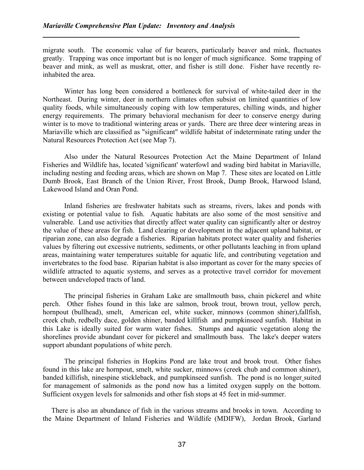migrate south. The economic value of fur bearers, particularly beaver and mink, fluctuates greatly. Trapping was once important but is no longer of much significance. Some trapping of beaver and mink, as well as muskrat, otter, and fisher is still done. Fisher have recently reinhabited the area.

 Winter has long been considered a bottleneck for survival of white-tailed deer in the Northeast. During winter, deer in northern climates often subsist on limited quantities of low quality foods, while simultaneously coping with low temperatures, chilling winds, and higher energy requirements. The primary behavioral mechanism for deer to conserve energy during winter is to move to traditional wintering areas or yards. There are three deer wintering areas in Mariaville which are classified as "significant" wildlife habitat of indeterminate rating under the Natural Resources Protection Act (see Map 7).

 Also under the Natural Resources Protection Act the Maine Department of Inland Fisheries and Wildlife has, located 'significant' waterfowl and wading bird habitat in Mariaville, including nesting and feeding areas, which are shown on Map 7. These sites are located on Little Dumb Brook, East Branch of the Union River, Frost Brook, Dump Brook, Harwood Island, Lakewood Island and Oran Pond.

 Inland fisheries are freshwater habitats such as streams, rivers, lakes and ponds with existing or potential value to fish. Aquatic habitats are also some of the most sensitive and vulnerable. Land use activities that directly affect water quality can significantly alter or destroy the value of these areas for fish. Land clearing or development in the adjacent upland habitat, or riparian zone, can also degrade a fisheries. Riparian habitats protect water quality and fisheries values by filtering out excessive nutrients, sediments, or other pollutants leaching in from upland areas, maintaining water temperatures suitable for aquatic life, and contributing vegetation and invertebrates to the food base. Riparian habitat is also important as cover for the many species of wildlife attracted to aquatic systems, and serves as a protective travel corridor for movement between undeveloped tracts of land.

 The principal fisheries in Graham Lake are smallmouth bass, chain pickerel and white perch. Other fishes found in this lake are salmon, brook trout, brown trout, yellow perch, hornpout (bullhead), smelt, American eel, white sucker, minnows (common shiner),fallfish, creek chub, redbelly dace, golden shiner, banded killfish and pumpkinseed sunfish. Habitat in this Lake is ideally suited for warm water fishes. Stumps and aquatic vegetation along the shorelines provide abundant cover for pickerel and smallmouth bass. The lake's deeper waters support abundant populations of white perch.

 The principal fisheries in Hopkins Pond are lake trout and brook trout. Other fishes found in this lake are hornpout, smelt, white sucker, minnows (creek chub and common shiner), banded killifish, ninespine stickleback, and pumpkinseed sunfish. The pond is no longer suited for management of salmonids as the pond now has a limited oxygen supply on the bottom. Sufficient oxygen levels for salmonids and other fish stops at 45 feet in mid-summer.

 There is also an abundance of fish in the various streams and brooks in town. According to the Maine Department of Inland Fisheries and Wildlife (MDIFW), Jordan Brook, Garland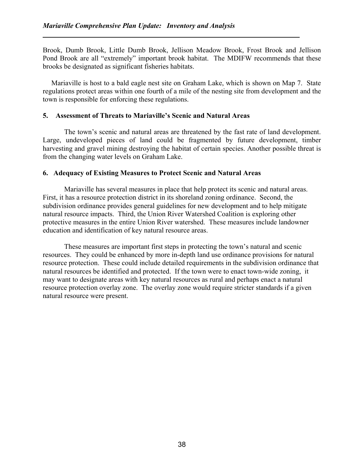Brook, Dumb Brook, Little Dumb Brook, Jellison Meadow Brook, Frost Brook and Jellison Pond Brook are all "extremely" important brook habitat. The MDIFW recommends that these brooks be designated as significant fisheries habitats.

 Mariaville is host to a bald eagle nest site on Graham Lake, which is shown on Map 7. State regulations protect areas within one fourth of a mile of the nesting site from development and the town is responsible for enforcing these regulations.

#### 5. Assessment of Threats to Mariaville's Scenic and Natural Areas

 The town's scenic and natural areas are threatened by the fast rate of land development. Large, undeveloped pieces of land could be fragmented by future development, timber harvesting and gravel mining destroying the habitat of certain species. Another possible threat is from the changing water levels on Graham Lake.

#### 6. Adequacy of Existing Measures to Protect Scenic and Natural Areas

 Mariaville has several measures in place that help protect its scenic and natural areas. First, it has a resource protection district in its shoreland zoning ordinance. Second, the subdivision ordinance provides general guidelines for new development and to help mitigate natural resource impacts. Third, the Union River Watershed Coalition is exploring other protective measures in the entire Union River watershed. These measures include landowner education and identification of key natural resource areas.

 These measures are important first steps in protecting the town's natural and scenic resources. They could be enhanced by more in-depth land use ordinance provisions for natural resource protection. These could include detailed requirements in the subdivision ordinance that natural resources be identified and protected. If the town were to enact town-wide zoning, it may want to designate areas with key natural resources as rural and perhaps enact a natural resource protection overlay zone. The overlay zone would require stricter standards if a given natural resource were present.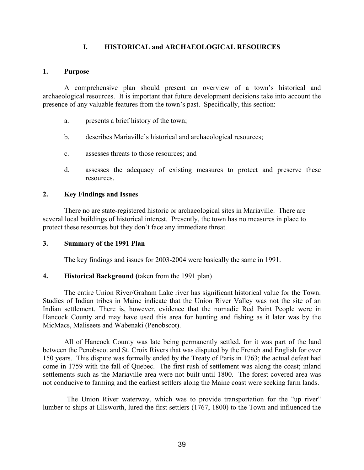## I. HISTORICAL and ARCHAEOLOGICAL RESOURCES

#### 1. Purpose

A comprehensive plan should present an overview of a town's historical and archaeological resources. It is important that future development decisions take into account the presence of any valuable features from the town's past. Specifically, this section:

- a. presents a brief history of the town;
- b. describes Mariaville's historical and archaeological resources;
- c. assesses threats to those resources; and
- d. assesses the adequacy of existing measures to protect and preserve these resources.

#### 2. Key Findings and Issues

 There no are state-registered historic or archaeological sites in Mariaville. There are several local buildings of historical interest. Presently, the town has no measures in place to protect these resources but they don't face any immediate threat.

#### 3. Summary of the 1991 Plan

The key findings and issues for 2003-2004 were basically the same in 1991.

#### 4. Historical Background (taken from the 1991 plan)

The entire Union River/Graham Lake river has significant historical value for the Town. Studies of Indian tribes in Maine indicate that the Union River Valley was not the site of an Indian settlement. There is, however, evidence that the nomadic Red Paint People were in Hancock County and may have used this area for hunting and fishing as it later was by the MicMacs, Maliseets and Wabenaki (Penobscot).

All of Hancock County was late being permanently settled, for it was part of the land between the Penobscot and St. Croix Rivers that was disputed by the French and English for over 150 years. This dispute was formally ended by the Treaty of Paris in 1763; the actual defeat had come in 1759 with the fall of Quebec. The first rush of settlement was along the coast; inland settlements such as the Mariaville area were not built until 1800. The forest covered area was not conducive to farming and the earliest settlers along the Maine coast were seeking farm lands.

The Union River waterway, which was to provide transportation for the "up river" lumber to ships at Ellsworth, lured the first settlers (1767, 1800) to the Town and influenced the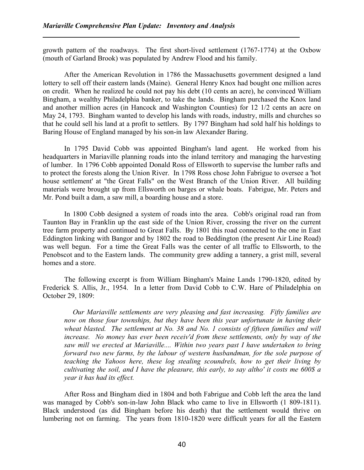growth pattern of the roadways. The first short-lived settlement (1767-1774) at the Oxbow (mouth of Garland Brook) was populated by Andrew Flood and his family.

After the American Revolution in 1786 the Massachusetts government designed a land lottery to sell off their eastern lands (Maine). General Henry Knox had bought one million acres on credit. When he realized he could not pay his debt (10 cents an acre), he convinced William Bingham, a wealthy Philadelphia banker, to take the lands. Bingham purchased the Knox land and another million acres (in Hancock and Washington Counties) for 12 1/2 cents an acre on May 24, 1793. Bingham wanted to develop his lands with roads, industry, mills and churches so that he could sell his land at a profit to settlers. By 1797 Bingham had sold half his holdings to Baring House of England managed by his son-in law Alexander Baring.

In 1795 David Cobb was appointed Bingham's land agent. He worked from his headquarters in Mariaville planning roads into the inland territory and managing the harvesting of lumber. In 1796 Cobb appointed Donald Ross of Ellsworth to supervise the lumber rafts and to protect the forests along the Union River. In 1798 Ross chose John Fabrigue to oversee a 'hot house settlement' at "the Great Falls" on the West Branch of the Union River. All building materials were brought up from Ellsworth on barges or whale boats. Fabrigue, Mr. Peters and Mr. Pond built a dam, a saw mill, a boarding house and a store.

In 1800 Cobb designed a system of roads into the area. Cobb's original road ran from Taunton Bay in Franklin up the east side of the Union River, crossing the river on the current tree farm property and continued to Great Falls. By 1801 this road connected to the one in East Eddington linking with Bangor and by 1802 the road to Beddington (the present Air Line Road) was well begun. For a time the Great Falls was the center of all traffic to Ellsworth, to the Penobscot and to the Eastern lands. The community grew adding a tannery, a grist mill, several homes and a store.

The following excerpt is from William Bingham's Maine Lands 1790-1820, edited by Frederick S. Allis, Jr., 1954. In a letter from David Cobb to C.W. Hare of Philadelphia on October 29, 1809:

Our Mariaville settlements are very pleasing and fast increasing. Fifty families are now on those four townships, but they have been this year unfortunate in having their wheat blasted. The settlement at No. 38 and No. 1 consists of fifteen families and will increase. No money has ever been receiv'd from these settlements, only by way of the saw mill we erected at Mariaville.... Within two years past I have undertaken to bring forward two new farms, by the labour of western husbandman, for the sole purpose of teaching the Yahoos here, these log stealing scoundrels, how to get their living by cultivating the soil, and I have the pleasure, this early, to say altho' it costs me 600\$ a year it has had its effect.

After Ross and Bingham died in 1804 and both Fabrigue and Cobb left the area the land was managed by Cobb's son-in-law John Black who came to live in Ellsworth (1 809-1811). Black understood (as did Bingham before his death) that the settlement would thrive on lumbering not on farming. The years from 1810-1820 were difficult years for all the Eastern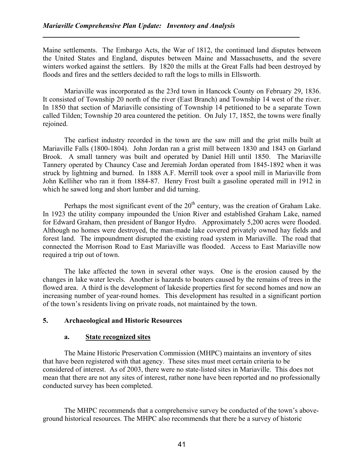Maine settlements. The Embargo Acts, the War of 1812, the continued land disputes between the United States and England, disputes between Maine and Massachusetts, and the severe winters worked against the settlers. By 1820 the mills at the Great Falls had been destroyed by floods and fires and the settlers decided to raft the logs to mills in Ellsworth.

Mariaville was incorporated as the 23rd town in Hancock County on February 29, 1836. It consisted of Township 20 north of the river (East Branch) and Township 14 west of the river. In 1850 that section of Mariaville consisting of Township 14 petitioned to be a separate Town called Tilden; Township 20 area countered the petition. On July 17, 1852, the towns were finally rejoined.

The earliest industry recorded in the town are the saw mill and the grist mills built at Mariaville Falls (1800-1804). John Jordan ran a grist mill between 1830 and 1843 on Garland Brook. A small tannery was built and operated by Daniel Hill until 1850. The Mariaville Tannery operated by Chauncy Case and Jeremiah Jordan operated from 1845-1892 when it was struck by lightning and burned. In 1888 A.F. Merrill took over a spool mill in Mariaville from John Kelliher who ran it from 1884-87. Henry Frost built a gasoline operated mill in 1912 in which he sawed long and short lumber and did turning.

Perhaps the most significant event of the  $20<sup>th</sup>$  century, was the creation of Graham Lake. In 1923 the utility company impounded the Union River and established Graham Lake, named for Edward Graham, then president of Bangor Hydro. Approximately 5,200 acres were flooded. Although no homes were destroyed, the man-made lake covered privately owned hay fields and forest land. The impoundment disrupted the existing road system in Mariaville. The road that connected the Morrison Road to East Mariaville was flooded. Access to East Mariaville now required a trip out of town.

 The lake affected the town in several other ways. One is the erosion caused by the changes in lake water levels. Another is hazards to boaters caused by the remains of trees in the flowed area. A third is the development of lakeside properties first for second homes and now an increasing number of year-round homes. This development has resulted in a significant portion of the town's residents living on private roads, not maintained by the town.

# 5. Archaeological and Historic Resources

#### a. State recognized sites

 The Maine Historic Preservation Commission (MHPC) maintains an inventory of sites that have been registered with that agency. These sites must meet certain criteria to be considered of interest. As of 2003, there were no state-listed sites in Mariaville. This does not mean that there are not any sites of interest, rather none have been reported and no professionally conducted survey has been completed.

 The MHPC recommends that a comprehensive survey be conducted of the town's aboveground historical resources. The MHPC also recommends that there be a survey of historic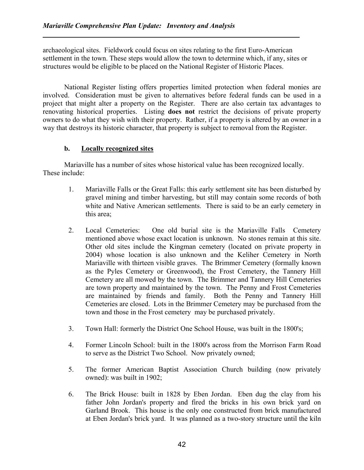archaeological sites. Fieldwork could focus on sites relating to the first Euro-American settlement in the town. These steps would allow the town to determine which, if any, sites or structures would be eligible to be placed on the National Register of Historic Places.

National Register listing offers properties limited protection when federal monies are involved. Consideration must be given to alternatives before federal funds can be used in a project that might alter a property on the Register. There are also certain tax advantages to renovating historical properties. Listing does not restrict the decisions of private property owners to do what they wish with their property. Rather, if a property is altered by an owner in a way that destroys its historic character, that property is subject to removal from the Register.

#### b. Locally recognized sites

Mariaville has a number of sites whose historical value has been recognized locally. These include:

- 1. Mariaville Falls or the Great Falls: this early settlement site has been disturbed by gravel mining and timber harvesting, but still may contain some records of both white and Native American settlements. There is said to be an early cemetery in this area;
- 2. Local Cemeteries: One old burial site is the Mariaville Falls Cemetery mentioned above whose exact location is unknown. No stones remain at this site. Other old sites include the Kingman cemetery (located on private property in 2004) whose location is also unknown and the Keliher Cemetery in North Mariaville with thirteen visible graves. The Brimmer Cemetery (formally known as the Pyles Cemetery or Greenwood), the Frost Cemetery, the Tannery Hill Cemetery are all mowed by the town. The Brimmer and Tannery Hill Cemeteries are town property and maintained by the town. The Penny and Frost Cemeteries are maintained by friends and family. Both the Penny and Tannery Hill Cemeteries are closed. Lots in the Brimmer Cemetery may be purchased from the town and those in the Frost cemetery may be purchased privately.
- 3. Town Hall: formerly the District One School House, was built in the 1800's;
- 4. Former Lincoln School: built in the 1800's across from the Morrison Farm Road to serve as the District Two School. Now privately owned;
- 5. The former American Baptist Association Church building (now privately owned): was built in 1902;
- 6. The Brick House: built in 1828 by Eben Jordan. Eben dug the clay from his father John Jordan's property and fired the bricks in his own brick yard on Garland Brook. This house is the only one constructed from brick manufactured at Eben Jordan's brick yard. It was planned as a two-story structure until the kiln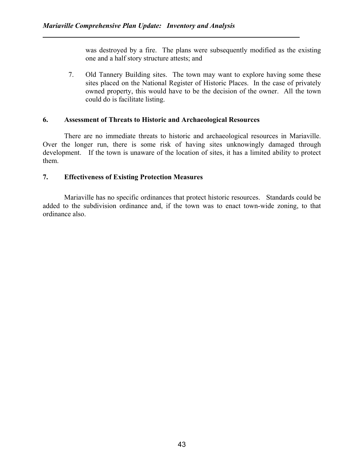was destroyed by a fire. The plans were subsequently modified as the existing one and a half story structure attests; and

7. Old Tannery Building sites. The town may want to explore having some these sites placed on the National Register of Historic Places. In the case of privately owned property, this would have to be the decision of the owner. All the town could do is facilitate listing.

#### 6. Assessment of Threats to Historic and Archaeological Resources

There are no immediate threats to historic and archaeological resources in Mariaville. Over the longer run, there is some risk of having sites unknowingly damaged through development. If the town is unaware of the location of sites, it has a limited ability to protect them.

#### 7. Effectiveness of Existing Protection Measures

Mariaville has no specific ordinances that protect historic resources. Standards could be added to the subdivision ordinance and, if the town was to enact town-wide zoning, to that ordinance also.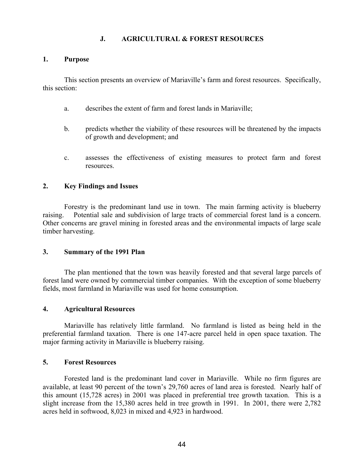# J. AGRICULTURAL & FOREST RESOURCES

#### 1. Purpose

This section presents an overview of Mariaville's farm and forest resources. Specifically, this section:

- a. describes the extent of farm and forest lands in Mariaville;
- b. predicts whether the viability of these resources will be threatened by the impacts of growth and development; and
- c. assesses the effectiveness of existing measures to protect farm and forest resources.

#### 2. Key Findings and Issues

Forestry is the predominant land use in town. The main farming activity is blueberry raising. Potential sale and subdivision of large tracts of commercial forest land is a concern. Other concerns are gravel mining in forested areas and the environmental impacts of large scale timber harvesting.

#### 3. Summary of the 1991 Plan

The plan mentioned that the town was heavily forested and that several large parcels of forest land were owned by commercial timber companies. With the exception of some blueberry fields, most farmland in Mariaville was used for home consumption.

#### 4. Agricultural Resources

Mariaville has relatively little farmland. No farmland is listed as being held in the preferential farmland taxation. There is one 147-acre parcel held in open space taxation. The major farming activity in Mariaville is blueberry raising.

#### 5. Forest Resources

Forested land is the predominant land cover in Mariaville. While no firm figures are available, at least 90 percent of the town's 29,760 acres of land area is forested. Nearly half of this amount (15,728 acres) in 2001 was placed in preferential tree growth taxation. This is a slight increase from the 15,380 acres held in tree growth in 1991. In 2001, there were 2,782 acres held in softwood, 8,023 in mixed and 4,923 in hardwood.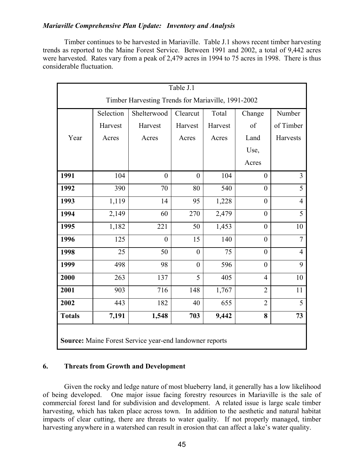Timber continues to be harvested in Mariaville. Table J.1 shows recent timber harvesting trends as reported to the Maine Forest Service. Between 1991 and 2002, a total of 9,442 acres were harvested. Rates vary from a peak of 2,479 acres in 1994 to 75 acres in 1998. There is thus considerable fluctuation.

|                                                         | Table $J.\overline{1}$                             |                |                |         |                  |                |  |  |
|---------------------------------------------------------|----------------------------------------------------|----------------|----------------|---------|------------------|----------------|--|--|
|                                                         | Timber Harvesting Trends for Mariaville, 1991-2002 |                |                |         |                  |                |  |  |
|                                                         | Selection                                          | Shelterwood    | Clearcut       | Total   | Change           | Number         |  |  |
|                                                         | Harvest                                            | Harvest        | Harvest        | Harvest | of               | of Timber      |  |  |
| Year                                                    | Acres                                              | Acres          | Acres          | Acres   | Land             | Harvests       |  |  |
|                                                         |                                                    |                |                |         | Use,             |                |  |  |
|                                                         |                                                    |                |                |         | Acres            |                |  |  |
| 1991                                                    | 104                                                | $\overline{0}$ | $\overline{0}$ | 104     | $\overline{0}$   | $\overline{3}$ |  |  |
| 1992                                                    | 390                                                | 70             | 80             | 540     | $\overline{0}$   | $\overline{5}$ |  |  |
| 1993                                                    | 1,119                                              | 14             | 95             | 1,228   | $\overline{0}$   | $\overline{4}$ |  |  |
| 1994                                                    | 2,149                                              | 60             | 270            | 2,479   | $\boldsymbol{0}$ | 5              |  |  |
| 1995                                                    | 1,182                                              | 221            | 50             | 1,453   | $\boldsymbol{0}$ | 10             |  |  |
| 1996                                                    | 125                                                | $\theta$       | 15             | 140     | $\overline{0}$   | $\overline{7}$ |  |  |
| 1998                                                    | 25                                                 | 50             | $\overline{0}$ | 75      | $\overline{0}$   | $\overline{4}$ |  |  |
| 1999                                                    | 498                                                | 98             | $\overline{0}$ | 596     | $\overline{0}$   | 9              |  |  |
| 2000                                                    | 263                                                | 137            | 5              | 405     | $\overline{4}$   | 10             |  |  |
| 2001                                                    | 903                                                | 716            | 148            | 1,767   | $\overline{2}$   | 11             |  |  |
| 2002                                                    | 443                                                | 182            | 40             | 655     | $\overline{2}$   | 5              |  |  |
| <b>Totals</b>                                           | 7,191                                              | 1,548          | 703            | 9,442   | 8                | 73             |  |  |
| Source: Maine Forest Service year-end landowner reports |                                                    |                |                |         |                  |                |  |  |

# 6. Threats from Growth and Development

Given the rocky and ledge nature of most blueberry land, it generally has a low likelihood of being developed. One major issue facing forestry resources in Mariaville is the sale of commercial forest land for subdivision and development. A related issue is large scale timber harvesting, which has taken place across town. In addition to the aesthetic and natural habitat impacts of clear cutting, there are threats to water quality. If not properly managed, timber harvesting anywhere in a watershed can result in erosion that can affect a lake's water quality.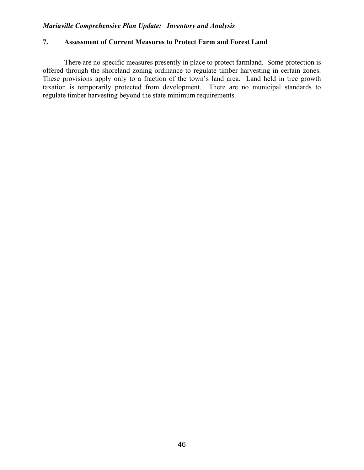#### 7. Assessment of Current Measures to Protect Farm and Forest Land

There are no specific measures presently in place to protect farmland. Some protection is offered through the shoreland zoning ordinance to regulate timber harvesting in certain zones. These provisions apply only to a fraction of the town's land area. Land held in tree growth taxation is temporarily protected from development. There are no municipal standards to regulate timber harvesting beyond the state minimum requirements.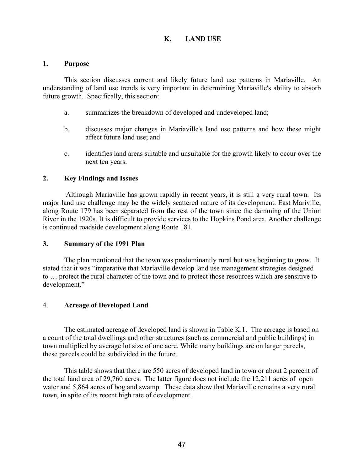# K. LAND USE

#### 1. Purpose

This section discusses current and likely future land use patterns in Mariaville. An understanding of land use trends is very important in determining Mariaville's ability to absorb future growth. Specifically, this section:

- a. summarizes the breakdown of developed and undeveloped land;
- b. discusses major changes in Mariaville's land use patterns and how these might affect future land use; and
- c. identifies land areas suitable and unsuitable for the growth likely to occur over the next ten years.

#### 2. Key Findings and Issues

 Although Mariaville has grown rapidly in recent years, it is still a very rural town. Its major land use challenge may be the widely scattered nature of its development. East Mariville, along Route 179 has been separated from the rest of the town since the damming of the Union River in the 1920s. It is difficult to provide services to the Hopkins Pond area. Another challenge is continued roadside development along Route 181.

#### 3. Summary of the 1991 Plan

The plan mentioned that the town was predominantly rural but was beginning to grow. It stated that it was "imperative that Mariaville develop land use management strategies designed to … protect the rural character of the town and to protect those resources which are sensitive to development."

#### 4. Acreage of Developed Land

The estimated acreage of developed land is shown in Table K.1. The acreage is based on a count of the total dwellings and other structures (such as commercial and public buildings) in town multiplied by average lot size of one acre. While many buildings are on larger parcels, these parcels could be subdivided in the future.

 This table shows that there are 550 acres of developed land in town or about 2 percent of the total land area of 29,760 acres. The latter figure does not include the 12,211 acres of open water and 5,864 acres of bog and swamp. These data show that Mariaville remains a very rural town, in spite of its recent high rate of development.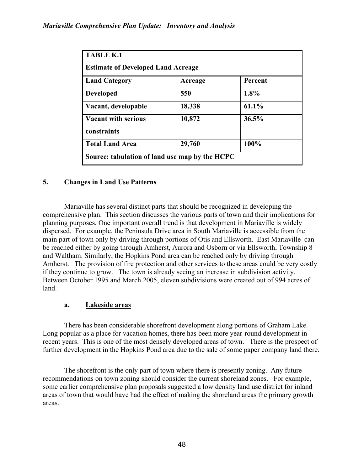| <b>TABLE K.1</b><br><b>Estimate of Developed Land Acreage</b> |         |         |  |  |
|---------------------------------------------------------------|---------|---------|--|--|
| <b>Land Category</b>                                          | Acreage | Percent |  |  |
| <b>Developed</b>                                              | 550     | 1.8%    |  |  |
| Vacant, developable                                           | 18,338  | 61.1%   |  |  |
| <b>Vacant with serious</b><br>constraints                     | 10,872  | 36.5%   |  |  |
| <b>Total Land Area</b>                                        | 29,760  | 100%    |  |  |

# 5. Changes in Land Use Patterns

Mariaville has several distinct parts that should be recognized in developing the comprehensive plan. This section discusses the various parts of town and their implications for planning purposes. One important overall trend is that development in Mariaville is widely dispersed. For example, the Peninsula Drive area in South Mariaville is accessible from the main part of town only by driving through portions of Otis and Ellsworth. East Mariaville can be reached either by going through Amherst, Aurora and Osborn or via Ellsworth, Township 8 and Waltham. Similarly, the Hopkins Pond area can be reached only by driving through Amherst. The provision of fire protection and other services to these areas could be very costly if they continue to grow. The town is already seeing an increase in subdivision activity. Between October 1995 and March 2005, eleven subdivisions were created out of 994 acres of land.

# a. Lakeside areas

There has been considerable shorefront development along portions of Graham Lake. Long popular as a place for vacation homes, there has been more year-round development in recent years. This is one of the most densely developed areas of town. There is the prospect of further development in the Hopkins Pond area due to the sale of some paper company land there.

The shorefront is the only part of town where there is presently zoning. Any future recommendations on town zoning should consider the current shoreland zones. For example, some earlier comprehensive plan proposals suggested a low density land use district for inland areas of town that would have had the effect of making the shoreland areas the primary growth areas.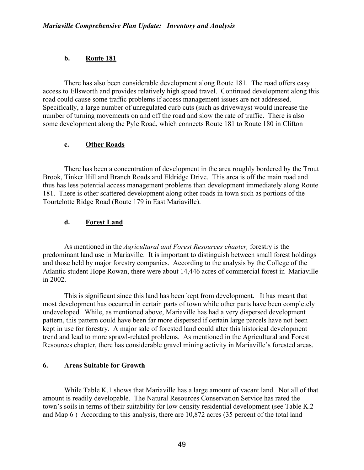### b. Route 181

 There has also been considerable development along Route 181. The road offers easy access to Ellsworth and provides relatively high speed travel. Continued development along this road could cause some traffic problems if access management issues are not addressed. Specifically, a large number of unregulated curb cuts (such as driveways) would increase the number of turning movements on and off the road and slow the rate of traffic. There is also some development along the Pyle Road, which connects Route 181 to Route 180 in Clifton

#### c. Other Roads

 There has been a concentration of development in the area roughly bordered by the Trout Brook, Tinker Hill and Branch Roads and Eldridge Drive. This area is off the main road and thus has less potential access management problems than development immediately along Route 181. There is other scattered development along other roads in town such as portions of the Tourtelotte Ridge Road (Route 179 in East Mariaville).

#### d. Forest Land

 As mentioned in the Agricultural and Forest Resources chapter, forestry is the predominant land use in Mariaville. It is important to distinguish between small forest holdings and those held by major forestry companies. According to the analysis by the College of the Atlantic student Hope Rowan, there were about 14,446 acres of commercial forest in Mariaville in 2002.

 This is significant since this land has been kept from development. It has meant that most development has occurred in certain parts of town while other parts have been completely undeveloped. While, as mentioned above, Mariaville has had a very dispersed development pattern, this pattern could have been far more dispersed if certain large parcels have not been kept in use for forestry. A major sale of forested land could alter this historical development trend and lead to more sprawl-related problems. As mentioned in the Agricultural and Forest Resources chapter, there has considerable gravel mining activity in Mariaville's forested areas.

#### 6. Areas Suitable for Growth

While Table K.1 shows that Mariaville has a large amount of vacant land. Not all of that amount is readily developable. The Natural Resources Conservation Service has rated the town's soils in terms of their suitability for low density residential development (see Table K.2 and Map 6 ) According to this analysis, there are 10,872 acres (35 percent of the total land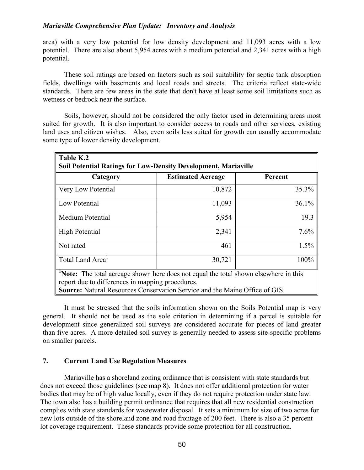area) with a very low potential for low density development and 11,093 acres with a low potential. There are also about 5,954 acres with a medium potential and 2,341 acres with a high potential.

 These soil ratings are based on factors such as soil suitability for septic tank absorption fields, dwellings with basements and local roads and streets. The criteria reflect state-wide standards. There are few areas in the state that don't have at least some soil limitations such as wetness or bedrock near the surface.

 Soils, however, should not be considered the only factor used in determining areas most suited for growth. It is also important to consider access to roads and other services, existing land uses and citizen wishes. Also, even soils less suited for growth can usually accommodate some type of lower density development.

| Table K.2<br><b>Soil Potential Ratings for Low-Density Development, Mariaville</b>                                                             |                          |         |  |  |
|------------------------------------------------------------------------------------------------------------------------------------------------|--------------------------|---------|--|--|
| Category                                                                                                                                       | <b>Estimated Acreage</b> | Percent |  |  |
| Very Low Potential                                                                                                                             | 10,872                   | 35.3%   |  |  |
| Low Potential                                                                                                                                  | 11,093                   | 36.1%   |  |  |
| Medium Potential                                                                                                                               | 5,954                    | 19.3    |  |  |
| High Potential                                                                                                                                 | 2,341                    | 7.6%    |  |  |
| Not rated                                                                                                                                      | 461                      | 1.5%    |  |  |
| Total Land Area <sup>1</sup>                                                                                                                   | 30,721                   | 100%    |  |  |
| <b>Note:</b> The total acreage shown here does not equal the total shown elsewhere in this<br>report due to differences in mapping procedures. |                          |         |  |  |
| Source: Natural Resources Conservation Service and the Maine Office of GIS                                                                     |                          |         |  |  |

 It must be stressed that the soils information shown on the Soils Potential map is very general. It should not be used as the sole criterion in determining if a parcel is suitable for development since generalized soil surveys are considered accurate for pieces of land greater than five acres. A more detailed soil survey is generally needed to assess site-specific problems on smaller parcels.

#### 7. Current Land Use Regulation Measures

 Mariaville has a shoreland zoning ordinance that is consistent with state standards but does not exceed those guidelines (see map 8). It does not offer additional protection for water bodies that may be of high value locally, even if they do not require protection under state law. The town also has a building permit ordinance that requires that all new residential construction complies with state standards for wastewater disposal. It sets a minimum lot size of two acres for new lots outside of the shoreland zone and road frontage of 200 feet. There is also a 35 percent lot coverage requirement. These standards provide some protection for all construction.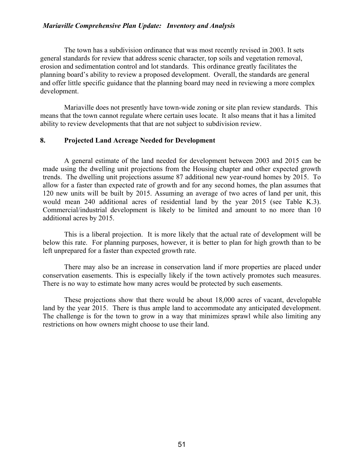The town has a subdivision ordinance that was most recently revised in 2003. It sets general standards for review that address scenic character, top soils and vegetation removal, erosion and sedimentation control and lot standards. This ordinance greatly facilitates the planning board's ability to review a proposed development. Overall, the standards are general and offer little specific guidance that the planning board may need in reviewing a more complex development.

 Mariaville does not presently have town-wide zoning or site plan review standards. This means that the town cannot regulate where certain uses locate. It also means that it has a limited ability to review developments that that are not subject to subdivision review.

#### 8. Projected Land Acreage Needed for Development

A general estimate of the land needed for development between 2003 and 2015 can be made using the dwelling unit projections from the Housing chapter and other expected growth trends. The dwelling unit projections assume 87 additional new year-round homes by 2015. To allow for a faster than expected rate of growth and for any second homes, the plan assumes that 120 new units will be built by 2015. Assuming an average of two acres of land per unit, this would mean 240 additional acres of residential land by the year 2015 (see Table K.3). Commercial/industrial development is likely to be limited and amount to no more than 10 additional acres by 2015.

 This is a liberal projection. It is more likely that the actual rate of development will be below this rate. For planning purposes, however, it is better to plan for high growth than to be left unprepared for a faster than expected growth rate.

There may also be an increase in conservation land if more properties are placed under conservation easements. This is especially likely if the town actively promotes such measures. There is no way to estimate how many acres would be protected by such easements.

 These projections show that there would be about 18,000 acres of vacant, developable land by the year 2015. There is thus ample land to accommodate any anticipated development. The challenge is for the town to grow in a way that minimizes sprawl while also limiting any restrictions on how owners might choose to use their land.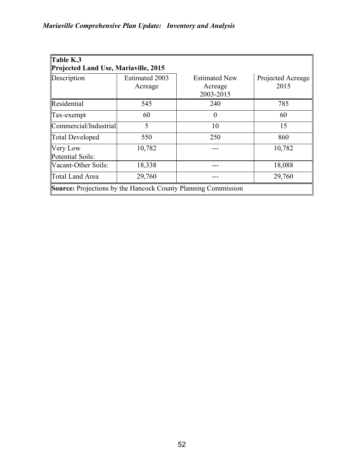| $\mathbf{\mathsf{T}}$ able K.3<br>Projected Land Use, Mariaville, 2015 |                                  |                                              |                           |  |  |  |
|------------------------------------------------------------------------|----------------------------------|----------------------------------------------|---------------------------|--|--|--|
| Description                                                            | <b>Estimated 2003</b><br>Acreage | <b>Estimated New</b><br>Acreage<br>2003-2015 | Projected Acreage<br>2015 |  |  |  |
| Residential                                                            | 545                              | 240                                          | 785                       |  |  |  |
| $\int \Gamma$ ax-exempt                                                | 60                               | $\theta$                                     | 60                        |  |  |  |
| Commercial/Industrial                                                  | 5                                | 10                                           | 15                        |  |  |  |
| Total Developed                                                        | 550                              | 250                                          | 860                       |  |  |  |
| <b>Very Low</b><br>Potential Soils:                                    | 10,782                           |                                              | 10,782                    |  |  |  |
| Vacant-Other Soils:                                                    | 18,338                           |                                              | 18,088                    |  |  |  |
| Total Land Area                                                        | 29,760                           |                                              | 29,760                    |  |  |  |
| <b>Source:</b> Projections by the Hancock County Planning Commission   |                                  |                                              |                           |  |  |  |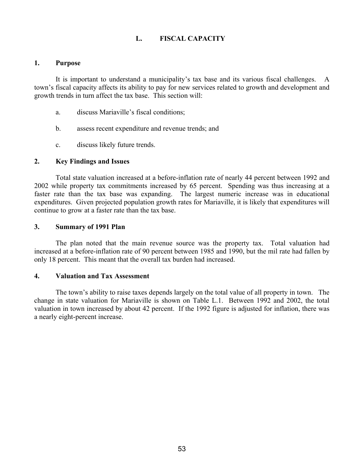# L. FISCAL CAPACITY

#### 1. Purpose

 It is important to understand a municipality's tax base and its various fiscal challenges. A town's fiscal capacity affects its ability to pay for new services related to growth and development and growth trends in turn affect the tax base. This section will:

- a. discuss Mariaville's fiscal conditions;
- b. assess recent expenditure and revenue trends; and
- c. discuss likely future trends.

#### 2. Key Findings and Issues

Total state valuation increased at a before-inflation rate of nearly 44 percent between 1992 and 2002 while property tax commitments increased by 65 percent. Spending was thus increasing at a faster rate than the tax base was expanding. The largest numeric increase was in educational expenditures. Given projected population growth rates for Mariaville, it is likely that expenditures will continue to grow at a faster rate than the tax base.

#### 3. Summary of 1991 Plan

The plan noted that the main revenue source was the property tax. Total valuation had increased at a before-inflation rate of 90 percent between 1985 and 1990, but the mil rate had fallen by only 18 percent. This meant that the overall tax burden had increased.

#### 4. Valuation and Tax Assessment

The town's ability to raise taxes depends largely on the total value of all property in town. The change in state valuation for Mariaville is shown on Table L.1. Between 1992 and 2002, the total valuation in town increased by about 42 percent. If the 1992 figure is adjusted for inflation, there was a nearly eight-percent increase.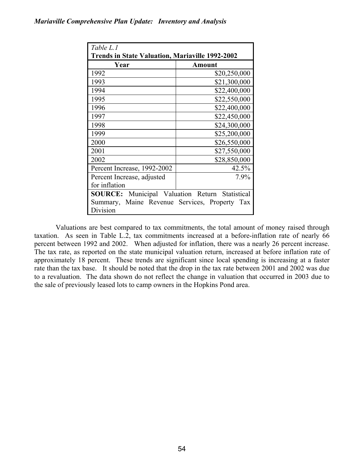| Table L.1                                                   |              |  |  |  |
|-------------------------------------------------------------|--------------|--|--|--|
| <b>Trends in State Valuation, Mariaville 1992-2002</b>      |              |  |  |  |
| Year                                                        | Amount       |  |  |  |
| 1992                                                        | \$20,250,000 |  |  |  |
| 1993                                                        | \$21,300,000 |  |  |  |
| 1994                                                        | \$22,400,000 |  |  |  |
| 1995                                                        | \$22,550,000 |  |  |  |
| 1996                                                        | \$22,400,000 |  |  |  |
| 1997                                                        | \$22,450,000 |  |  |  |
| 1998                                                        | \$24,300,000 |  |  |  |
| 1999                                                        | \$25,200,000 |  |  |  |
| 2000                                                        | \$26,550,000 |  |  |  |
| 2001                                                        | \$27,550,000 |  |  |  |
| 2002                                                        | \$28,850,000 |  |  |  |
| Percent Increase, 1992-2002                                 | 42.5%        |  |  |  |
| Percent Increase, adjusted                                  | 7.9%         |  |  |  |
| for inflation                                               |              |  |  |  |
| Municipal Valuation Return<br>Statistical<br><b>SOURCE:</b> |              |  |  |  |
| Maine Revenue Services, Property Tax<br>Summary,            |              |  |  |  |
| Division                                                    |              |  |  |  |

Valuations are best compared to tax commitments, the total amount of money raised through taxation. As seen in Table L.2, tax commitments increased at a before-inflation rate of nearly 66 percent between 1992 and 2002. When adjusted for inflation, there was a nearly 26 percent increase. The tax rate, as reported on the state municipal valuation return, increased at before inflation rate of approximately 18 percent. These trends are significant since local spending is increasing at a faster rate than the tax base. It should be noted that the drop in the tax rate between 2001 and 2002 was due to a revaluation. The data shown do not reflect the change in valuation that occurred in 2003 due to the sale of previously leased lots to camp owners in the Hopkins Pond area.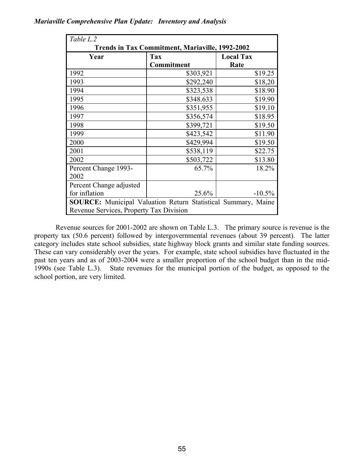| Table L.2                                                            |            |                  |  |  |  |
|----------------------------------------------------------------------|------------|------------------|--|--|--|
| <b>Trends in Tax Commitment, Mariaville, 1992-2002</b>               |            |                  |  |  |  |
| Year                                                                 | <b>Tax</b> | <b>Local Tax</b> |  |  |  |
|                                                                      | Commitment | Rate             |  |  |  |
| 1992                                                                 | \$303,921  | \$19.25          |  |  |  |
| 1993                                                                 | \$292,240  | \$18,20          |  |  |  |
| 1994                                                                 | \$323,538  | \$18.90          |  |  |  |
| 1995                                                                 | \$348.633  | \$19.90          |  |  |  |
| 1996                                                                 | \$351,955  | \$19.10          |  |  |  |
| 1997                                                                 | \$356,574  | \$18.95          |  |  |  |
| 1998                                                                 | \$399,721  | \$19.50          |  |  |  |
| 1999                                                                 | \$423,542  | \$11.90          |  |  |  |
| 2000                                                                 | \$429,994  | \$19.50          |  |  |  |
| 2001                                                                 | \$538,119  | \$22.75          |  |  |  |
| 2002                                                                 | \$503,722  | \$13.80          |  |  |  |
| Percent Change 1993-                                                 | 65.7%      | 18.2%            |  |  |  |
| 2002                                                                 |            |                  |  |  |  |
| Percent Change adjusted                                              |            |                  |  |  |  |
| for inflation                                                        | 25.6%      | $-10.5%$         |  |  |  |
| <b>SOURCE:</b> Municipal Valuation Return Statistical Summary, Maine |            |                  |  |  |  |
| Revenue Services, Property Tax Division                              |            |                  |  |  |  |

Revenue sources for 2001-2002 are shown on Table L.3. The primary source is revenue is the property tax (50.6 percent) followed by intergovernmental revenues (about 39 percent). The latter category includes state school subsidies, state highway block grants and similar state funding sources. These can vary considerably over the years. For example, state school subsidies have fluctuated in the past ten years and as of 2003-2004 were a smaller proportion of the school budget than in the mid-1990s (see Table L.3). State revenues for the municipal portion of the budget, as opposed to the school portion, are very limited.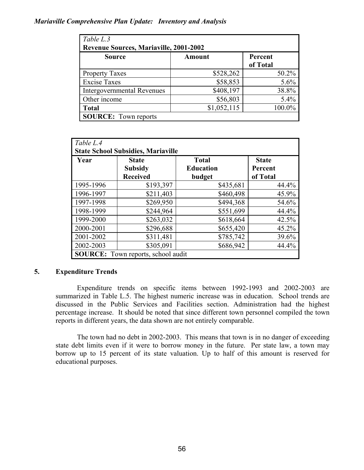| Table L.3<br><b>Revenue Sources, Mariaville, 2001-2002</b> |               |                     |  |  |
|------------------------------------------------------------|---------------|---------------------|--|--|
| <b>Source</b>                                              | <b>Amount</b> | Percent<br>of Total |  |  |
| <b>Property Taxes</b>                                      | \$528,262     | 50.2%               |  |  |
| <b>Excise Taxes</b>                                        | \$58,853      | 5.6%                |  |  |
| <b>Intergovernmental Revenues</b>                          | \$408,197     | 38.8%               |  |  |
| Other income                                               | \$56,803      | 5.4%                |  |  |
| <b>Total</b>                                               | \$1,052,115   | 100.0%              |  |  |
| <b>SOURCE:</b> Town reports                                |               |                     |  |  |

| Table L.4                                 |                                           |                  |              |  |  |
|-------------------------------------------|-------------------------------------------|------------------|--------------|--|--|
| <b>State School Subsidies, Mariaville</b> |                                           |                  |              |  |  |
| Year                                      | <b>State</b>                              | <b>Total</b>     | <b>State</b> |  |  |
|                                           | <b>Subsidy</b>                            | <b>Education</b> | Percent      |  |  |
|                                           | <b>Received</b>                           | budget           | of Total     |  |  |
| 1995-1996                                 | \$193,397                                 | \$435,681        | 44.4%        |  |  |
| 1996-1997                                 | \$211,403                                 | \$460,498        | 45.9%        |  |  |
| 1997-1998                                 | \$269,950                                 | \$494,368        | 54.6%        |  |  |
| 1998-1999                                 | \$244,964                                 | \$551,699        | 44.4%        |  |  |
| 1999-2000                                 | \$263,032                                 | \$618,664        | 42.5%        |  |  |
| 2000-2001                                 | \$296,688                                 | \$655,420        | 45.2%        |  |  |
| 2001-2002                                 | \$311,481                                 | \$785,742        | 39.6%        |  |  |
| 2002-2003                                 | \$305,091                                 | \$686,942        | 44.4%        |  |  |
|                                           | <b>SOURCE:</b> Town reports, school audit |                  |              |  |  |

# 5. Expenditure Trends

Expenditure trends on specific items between 1992-1993 and 2002-2003 are summarized in Table L.5. The highest numeric increase was in education. School trends are discussed in the Public Services and Facilities section. Administration had the highest percentage increase. It should be noted that since different town personnel compiled the town reports in different years, the data shown are not entirely comparable.

The town had no debt in 2002-2003. This means that town is in no danger of exceeding state debt limits even if it were to borrow money in the future. Per state law, a town may borrow up to 15 percent of its state valuation. Up to half of this amount is reserved for educational purposes.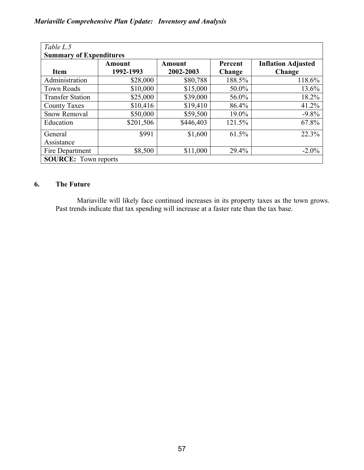| Table L.5                      |               |               |         |                           |  |  |
|--------------------------------|---------------|---------------|---------|---------------------------|--|--|
| <b>Summary of Expenditures</b> |               |               |         |                           |  |  |
|                                | <b>Amount</b> | <b>Amount</b> | Percent | <b>Inflation Adjusted</b> |  |  |
| <b>Item</b>                    | 1992-1993     | 2002-2003     | Change  | Change                    |  |  |
| Administration                 | \$28,000      | \$80,788      | 188.5%  | 118.6%                    |  |  |
| <b>Town Roads</b>              | \$10,000      | \$15,000      | 50.0%   | 13.6%                     |  |  |
| <b>Transfer Station</b>        | \$25,000      | \$39,000      | 56.0%   | 18.2%                     |  |  |
| <b>County Taxes</b>            | \$10,416      | \$19,410      | 86.4%   | 41.2%                     |  |  |
| <b>Snow Removal</b>            | \$50,000      | \$59,500      | 19.0%   | $-9.8%$                   |  |  |
| Education                      | \$201,506     | \$446,403     | 121.5%  | 67.8%                     |  |  |
| General                        | \$991         | \$1,600       | 61.5%   | 22.3%                     |  |  |
| Assistance                     |               |               |         |                           |  |  |
| Fire Department                | \$8,500       | \$11,000      | 29.4%   | $-2.0\%$                  |  |  |
| <b>SOURCE:</b> Town reports    |               |               |         |                           |  |  |

# 6. The Future

Mariaville will likely face continued increases in its property taxes as the town grows. Past trends indicate that tax spending will increase at a faster rate than the tax base.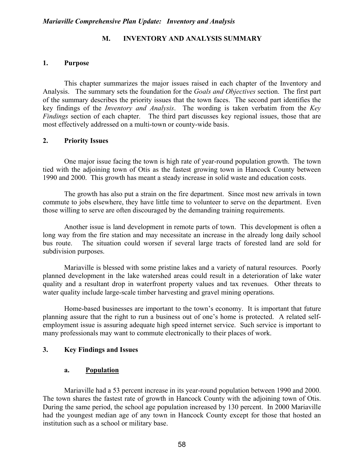#### M. INVENTORY AND ANALYSIS SUMMARY

#### 1. Purpose

This chapter summarizes the major issues raised in each chapter of the Inventory and Analysis. The summary sets the foundation for the *Goals and Objectives* section. The first part of the summary describes the priority issues that the town faces. The second part identifies the key findings of the Inventory and Analysis. The wording is taken verbatim from the Key Findings section of each chapter. The third part discusses key regional issues, those that are most effectively addressed on a multi-town or county-wide basis.

#### 2. Priority Issues

One major issue facing the town is high rate of year-round population growth. The town tied with the adjoining town of Otis as the fastest growing town in Hancock County between 1990 and 2000. This growth has meant a steady increase in solid waste and education costs.

 The growth has also put a strain on the fire department. Since most new arrivals in town commute to jobs elsewhere, they have little time to volunteer to serve on the department. Even those willing to serve are often discouraged by the demanding training requirements.

 Another issue is land development in remote parts of town. This development is often a long way from the fire station and may necessitate an increase in the already long daily school bus route. The situation could worsen if several large tracts of forested land are sold for subdivision purposes.

 Mariaville is blessed with some pristine lakes and a variety of natural resources. Poorly planned development in the lake watershed areas could result in a deterioration of lake water quality and a resultant drop in waterfront property values and tax revenues. Other threats to water quality include large-scale timber harvesting and gravel mining operations.

 Home-based businesses are important to the town's economy. It is important that future planning assure that the right to run a business out of one's home is protected. A related selfemployment issue is assuring adequate high speed internet service. Such service is important to many professionals may want to commute electronically to their places of work.

#### 3. Key Findings and Issues

#### a. Population

Mariaville had a 53 percent increase in its year-round population between 1990 and 2000. The town shares the fastest rate of growth in Hancock County with the adjoining town of Otis. During the same period, the school age population increased by 130 percent. In 2000 Mariaville had the youngest median age of any town in Hancock County except for those that hosted an institution such as a school or military base.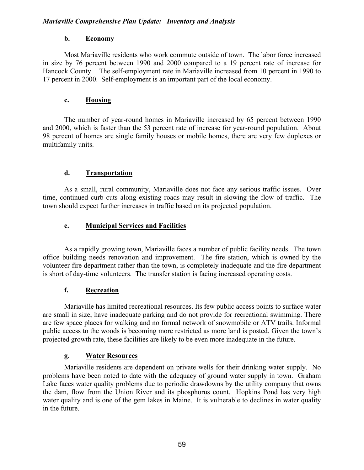# b. Economy

Most Mariaville residents who work commute outside of town. The labor force increased in size by 76 percent between 1990 and 2000 compared to a 19 percent rate of increase for Hancock County. The self-employment rate in Mariaville increased from 10 percent in 1990 to 17 percent in 2000. Self-employment is an important part of the local economy.

# c. Housing

 The number of year-round homes in Mariaville increased by 65 percent between 1990 and 2000, which is faster than the 53 percent rate of increase for year-round population. About 98 percent of homes are single family houses or mobile homes, there are very few duplexes or multifamily units.

# d. Transportation

As a small, rural community, Mariaville does not face any serious traffic issues. Over time, continued curb cuts along existing roads may result in slowing the flow of traffic. The town should expect further increases in traffic based on its projected population.

# e. Municipal Services and Facilities

As a rapidly growing town, Mariaville faces a number of public facility needs. The town office building needs renovation and improvement. The fire station, which is owned by the volunteer fire department rather than the town, is completely inadequate and the fire department is short of day-time volunteers. The transfer station is facing increased operating costs.

# f. Recreation

Mariaville has limited recreational resources. Its few public access points to surface water are small in size, have inadequate parking and do not provide for recreational swimming. There are few space places for walking and no formal network of snowmobile or ATV trails. Informal public access to the woods is becoming more restricted as more land is posted. Given the town's projected growth rate, these facilities are likely to be even more inadequate in the future.

# g. Water Resources

Mariaville residents are dependent on private wells for their drinking water supply. No problems have been noted to date with the adequacy of ground water supply in town. Graham Lake faces water quality problems due to periodic drawdowns by the utility company that owns the dam, flow from the Union River and its phosphorus count. Hopkins Pond has very high water quality and is one of the gem lakes in Maine. It is vulnerable to declines in water quality in the future.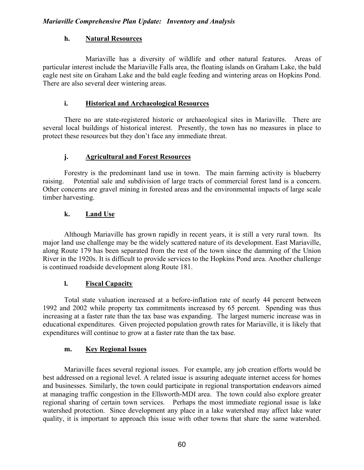# h. Natural Resources

 Mariaville has a diversity of wildlife and other natural features. Areas of particular interest include the Mariaville Falls area, the floating islands on Graham Lake, the bald eagle nest site on Graham Lake and the bald eagle feeding and wintering areas on Hopkins Pond. There are also several deer wintering areas.

# i. Historical and Archaeological Resources

There no are state-registered historic or archaeological sites in Mariaville. There are several local buildings of historical interest. Presently, the town has no measures in place to protect these resources but they don't face any immediate threat.

# j. Agricultural and Forest Resources

Forestry is the predominant land use in town. The main farming activity is blueberry raising. Potential sale and subdivision of large tracts of commercial forest land is a concern. Other concerns are gravel mining in forested areas and the environmental impacts of large scale timber harvesting.

# k. Land Use

Although Mariaville has grown rapidly in recent years, it is still a very rural town. Its major land use challenge may be the widely scattered nature of its development. East Mariaville, along Route 179 has been separated from the rest of the town since the damming of the Union River in the 1920s. It is difficult to provide services to the Hopkins Pond area. Another challenge is continued roadside development along Route 181.

# l. Fiscal Capacity

 Total state valuation increased at a before-inflation rate of nearly 44 percent between 1992 and 2002 while property tax commitments increased by 65 percent. Spending was thus increasing at a faster rate than the tax base was expanding. The largest numeric increase was in educational expenditures. Given projected population growth rates for Mariaville, it is likely that expenditures will continue to grow at a faster rate than the tax base.

# m. Key Regional Issues

Mariaville faces several regional issues. For example, any job creation efforts would be best addressed on a regional level. A related issue is assuring adequate internet access for homes and businesses. Similarly, the town could participate in regional transportation endeavors aimed at managing traffic congestion in the Ellsworth-MDI area. The town could also explore greater regional sharing of certain town services. Perhaps the most immediate regional issue is lake watershed protection. Since development any place in a lake watershed may affect lake water quality, it is important to approach this issue with other towns that share the same watershed.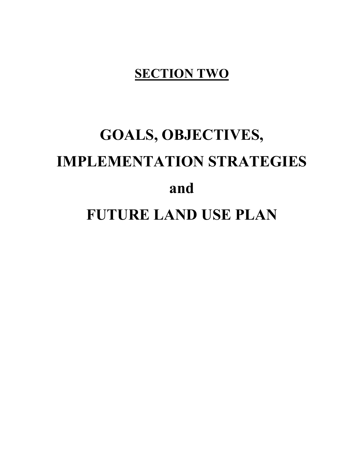# **SECTION TWO**

# GOALS, OBJECTIVES, IMPLEMENTATION STRATEGIES and FUTURE LAND USE PLAN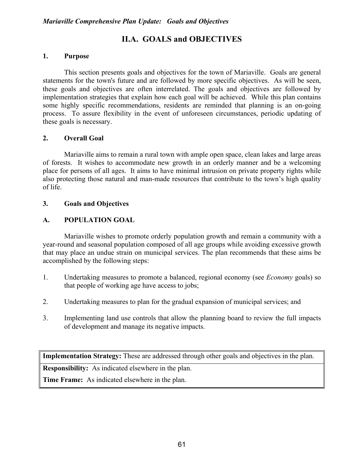# II.A. GOALS and OBJECTIVES

# 1. Purpose

This section presents goals and objectives for the town of Mariaville. Goals are general statements for the town's future and are followed by more specific objectives. As will be seen, these goals and objectives are often interrelated. The goals and objectives are followed by implementation strategies that explain how each goal will be achieved. While this plan contains some highly specific recommendations, residents are reminded that planning is an on-going process. To assure flexibility in the event of unforeseen circumstances, periodic updating of these goals is necessary.

#### 2. Overall Goal

 Mariaville aims to remain a rural town with ample open space, clean lakes and large areas of forests. It wishes to accommodate new growth in an orderly manner and be a welcoming place for persons of all ages. It aims to have minimal intrusion on private property rights while also protecting those natural and man-made resources that contribute to the town's high quality of life.

#### 3. Goals and Objectives

# A. POPULATION GOAL

Mariaville wishes to promote orderly population growth and remain a community with a year-round and seasonal population composed of all age groups while avoiding excessive growth that may place an undue strain on municipal services. The plan recommends that these aims be accomplished by the following steps:

- 1. Undertaking measures to promote a balanced, regional economy (see Economy goals) so that people of working age have access to jobs;
- 2. Undertaking measures to plan for the gradual expansion of municipal services; and
- 3. Implementing land use controls that allow the planning board to review the full impacts of development and manage its negative impacts.

Implementation Strategy: These are addressed through other goals and objectives in the plan.

Responsibility: As indicated elsewhere in the plan.

Time Frame: As indicated elsewhere in the plan.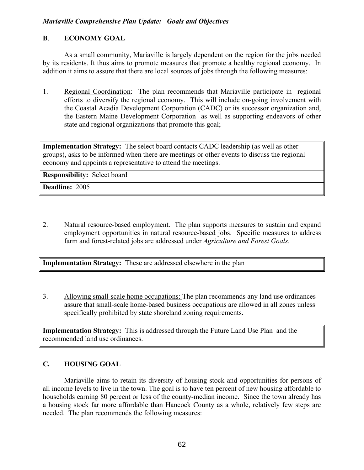# Mariaville Comprehensive Plan Update: Goals and Objectives

# B. ECONOMY GOAL

 As a small community, Mariaville is largely dependent on the region for the jobs needed by its residents. It thus aims to promote measures that promote a healthy regional economy. In addition it aims to assure that there are local sources of jobs through the following measures:

1. Regional Coordination: The plan recommends that Mariaville participate in regional efforts to diversify the regional economy. This will include on-going involvement with the Coastal Acadia Development Corporation (CADC) or its successor organization and, the Eastern Maine Development Corporation as well as supporting endeavors of other state and regional organizations that promote this goal;

Implementation Strategy: The select board contacts CADC leadership (as well as other groups), asks to be informed when there are meetings or other events to discuss the regional economy and appoints a representative to attend the meetings.

Responsibility: Select board

Deadline: 2005

2. Natural resource-based employment. The plan supports measures to sustain and expand employment opportunities in natural resource-based jobs. Specific measures to address farm and forest-related jobs are addressed under Agriculture and Forest Goals.

Implementation Strategy: These are addressed elsewhere in the plan

3. Allowing small-scale home occupations: The plan recommends any land use ordinances assure that small-scale home-based business occupations are allowed in all zones unless specifically prohibited by state shoreland zoning requirements.

Implementation Strategy: This is addressed through the Future Land Use Plan and the recommended land use ordinances.

# C. HOUSING GOAL

 Mariaville aims to retain its diversity of housing stock and opportunities for persons of all income levels to live in the town. The goal is to have ten percent of new housing affordable to households earning 80 percent or less of the county-median income. Since the town already has a housing stock far more affordable than Hancock County as a whole, relatively few steps are needed. The plan recommends the following measures: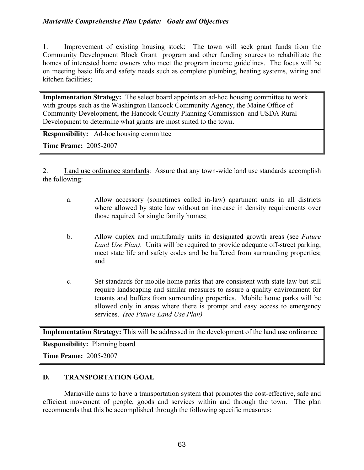1. Improvement of existing housing stock: The town will seek grant funds from the Community Development Block Grant program and other funding sources to rehabilitate the homes of interested home owners who meet the program income guidelines. The focus will be on meeting basic life and safety needs such as complete plumbing, heating systems, wiring and kitchen facilities;

Implementation Strategy: The select board appoints an ad-hoc housing committee to work with groups such as the Washington Hancock Community Agency, the Maine Office of Community Development, the Hancock County Planning Commission and USDA Rural Development to determine what grants are most suited to the town.

Responsibility: Ad-hoc housing committee

Time Frame: 2005-2007

2. Land use ordinance standards: Assure that any town-wide land use standards accomplish the following:

- a. Allow accessory (sometimes called in-law) apartment units in all districts where allowed by state law without an increase in density requirements over those required for single family homes;
- b. Allow duplex and multifamily units in designated growth areas (see *Future* Land Use Plan). Units will be required to provide adequate off-street parking, meet state life and safety codes and be buffered from surrounding properties; and
- c. Set standards for mobile home parks that are consistent with state law but still require landscaping and similar measures to assure a quality environment for tenants and buffers from surrounding properties. Mobile home parks will be allowed only in areas where there is prompt and easy access to emergency services. (see Future Land Use Plan)

Implementation Strategy: This will be addressed in the development of the land use ordinance

Responsibility: Planning board

Time Frame: 2005-2007

## D. TRANSPORTATION GOAL

Mariaville aims to have a transportation system that promotes the cost-effective, safe and efficient movement of people, goods and services within and through the town. The plan recommends that this be accomplished through the following specific measures: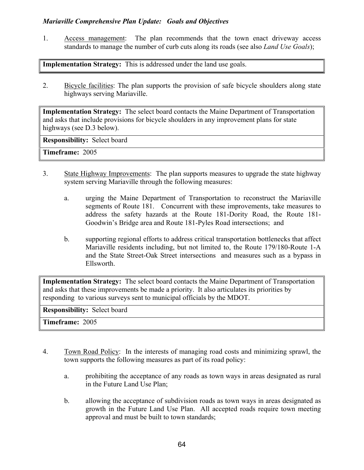1. Access management: The plan recommends that the town enact driveway access standards to manage the number of curb cuts along its roads (see also *Land Use Goals*);

Implementation Strategy: This is addressed under the land use goals.

2. Bicycle facilities: The plan supports the provision of safe bicycle shoulders along state highways serving Mariaville.

Implementation Strategy: The select board contacts the Maine Department of Transportation and asks that include provisions for bicycle shoulders in any improvement plans for state highways (see D.3 below).

Responsibility: Select board

Timeframe: 2005

- 3. State Highway Improvements: The plan supports measures to upgrade the state highway system serving Mariaville through the following measures:
	- a. urging the Maine Department of Transportation to reconstruct the Mariaville segments of Route 181. Concurrent with these improvements, take measures to address the safety hazards at the Route 181-Dority Road, the Route 181- Goodwin's Bridge area and Route 181-Pyles Road intersections; and
	- b. supporting regional efforts to address critical transportation bottlenecks that affect Mariaville residents including, but not limited to, the Route 179/180-Route 1-A and the State Street-Oak Street intersections and measures such as a bypass in Ellsworth.

Implementation Strategy: The select board contacts the Maine Department of Transportation and asks that these improvements be made a priority. It also articulates its priorities by responding to various surveys sent to municipal officials by the MDOT.

Responsibility: Select board

Timeframe: 2005

- 4. Town Road Policy: In the interests of managing road costs and minimizing sprawl, the town supports the following measures as part of its road policy:
	- a. prohibiting the acceptance of any roads as town ways in areas designated as rural in the Future Land Use Plan;
	- b. allowing the acceptance of subdivision roads as town ways in areas designated as growth in the Future Land Use Plan. All accepted roads require town meeting approval and must be built to town standards;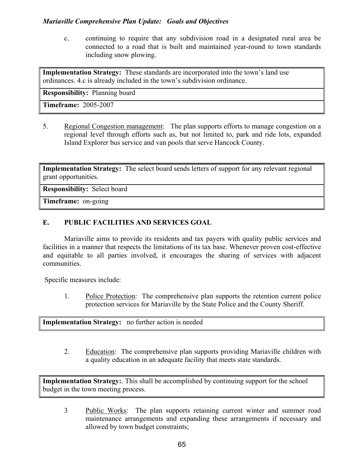c. continuing to require that any subdivision road in a designated rural area be connected to a road that is built and maintained year-round to town standards including snow plowing.

Implementation Strategy: These standards are incorporated into the town's land use ordinances. 4.c is already included in the town's subdivision ordinance.

Responsibility: Planning board

Timeframe: 2005-2007

5. Regional Congestion management: The plan supports efforts to manage congestion on a regional level through efforts such as, but not limited to, park and ride lots, expanded Island Explorer bus service and van pools that serve Hancock County.

Implementation Strategy: The select board sends letters of support for any relevant regional grant opportunities.

Responsibility: Select board

Timeframe: on-going

## E. PUBLIC FACILITIES AND SERVICES GOAL

 Mariaville aims to provide its residents and tax payers with quality public services and facilities in a manner that respects the limitations of its tax base. Whenever proven cost-effective and equitable to all parties involved, it encourages the sharing of services with adjacent communities.

Specific measures include:

1. Police Protection: The comprehensive plan supports the retention current police protection services for Mariaville by the State Police and the County Sheriff.

Implementation Strategy: no further action is needed

2. Education: The comprehensive plan supports providing Mariaville children with a quality education in an adequate facility that meets state standards.

Implementation Strategy: This shall be accomplished by continuing support for the school budget in the town meeting process.

3 Public Works: The plan supports retaining current winter and summer road maintenance arrangements and expanding these arrangements if necessary and allowed by town budget constraints;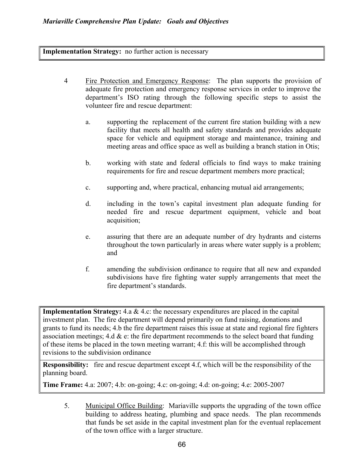Implementation Strategy: no further action is necessary

- 4 Fire Protection and Emergency Response: The plan supports the provision of adequate fire protection and emergency response services in order to improve the department's ISO rating through the following specific steps to assist the volunteer fire and rescue department:
	- a. supporting the replacement of the current fire station building with a new facility that meets all health and safety standards and provides adequate space for vehicle and equipment storage and maintenance, training and meeting areas and office space as well as building a branch station in Otis;
	- b. working with state and federal officials to find ways to make training requirements for fire and rescue department members more practical;
	- c. supporting and, where practical, enhancing mutual aid arrangements;
	- d. including in the town's capital investment plan adequate funding for needed fire and rescue department equipment, vehicle and boat acquisition;
	- e. assuring that there are an adequate number of dry hydrants and cisterns throughout the town particularly in areas where water supply is a problem; and
	- f. amending the subdivision ordinance to require that all new and expanded subdivisions have fire fighting water supply arrangements that meet the fire department's standards.

**Implementation Strategy:** 4.a  $\&$  4.c: the necessary expenditures are placed in the capital investment plan. The fire department will depend primarily on fund raising, donations and grants to fund its needs; 4.b the fire department raises this issue at state and regional fire fighters association meetings; 4.d  $\&$  e: the fire department recommends to the select board that funding of these items be placed in the town meeting warrant; 4.f: this will be accomplished through revisions to the subdivision ordinance

Responsibility: fire and rescue department except 4.f, which will be the responsibility of the planning board.

Time Frame: 4.a: 2007; 4.b: on-going; 4.c: on-going; 4.d: on-going; 4.e: 2005-2007

5. Municipal Office Building: Mariaville supports the upgrading of the town office building to address heating, plumbing and space needs. The plan recommends that funds be set aside in the capital investment plan for the eventual replacement of the town office with a larger structure.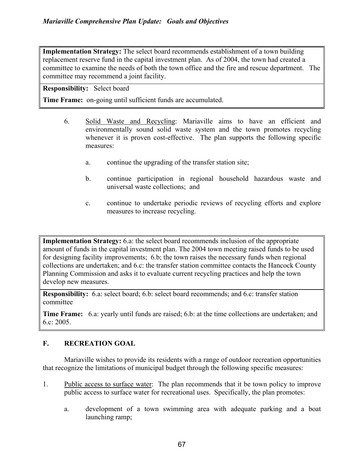Implementation Strategy: The select board recommends establishment of a town building replacement reserve fund in the capital investment plan. As of 2004, the town had created a committee to examine the needs of both the town office and the fire and rescue department. The committee may recommend a joint facility.

Responsibility: Select board

Time Frame: on-going until sufficient funds are accumulated.

- 6. Solid Waste and Recycling: Mariaville aims to have an efficient and environmentally sound solid waste system and the town promotes recycling whenever it is proven cost-effective. The plan supports the following specific measures:
	- a. continue the upgrading of the transfer station site;
	- b. continue participation in regional household hazardous waste and universal waste collections; and
	- c. continue to undertake periodic reviews of recycling efforts and explore measures to increase recycling.

Implementation Strategy: 6.a: the select board recommends inclusion of the appropriate amount of funds in the capital investment plan. The 2004 town meeting raised funds to be used for designing facility improvements; 6.b; the town raises the necessary funds when regional collections are undertaken; and 6.c: the transfer station committee contacts the Hancock County Planning Commission and asks it to evaluate current recycling practices and help the town develop new measures.

Responsibility: 6.a: select board; 6.b: select board recommends; and 6.c: transfer station committee

Time Frame: 6.a: yearly until funds are raised; 6.b: at the time collections are undertaken; and 6.c: 2005.

## F. RECREATION GOAL

Mariaville wishes to provide its residents with a range of outdoor recreation opportunities that recognize the limitations of municipal budget through the following specific measures:

- 1. Public access to surface water: The plan recommends that it be town policy to improve public access to surface water for recreational uses. Specifically, the plan promotes:
	- a. development of a town swimming area with adequate parking and a boat launching ramp;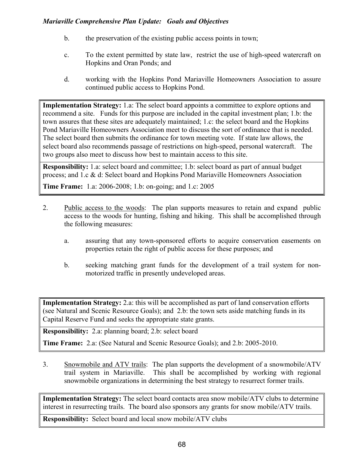- b. the preservation of the existing public access points in town;
- c. To the extent permitted by state law, restrict the use of high-speed watercraft on Hopkins and Oran Ponds; and
- d. working with the Hopkins Pond Mariaville Homeowners Association to assure continued public access to Hopkins Pond.

Implementation Strategy: 1.a: The select board appoints a committee to explore options and recommend a site. Funds for this purpose are included in the capital investment plan; 1.b: the town assures that these sites are adequately maintained; 1.c: the select board and the Hopkins Pond Mariaville Homeowners Association meet to discuss the sort of ordinance that is needed. The select board then submits the ordinance for town meeting vote. If state law allows, the select board also recommends passage of restrictions on high-speed, personal watercraft. The two groups also meet to discuss how best to maintain access to this site.

Responsibility: 1.a: select board and committee; 1.b: select board as part of annual budget process; and 1.c & d: Select board and Hopkins Pond Mariaville Homeowners Association

Time Frame: 1.a: 2006-2008; 1.b: on-going; and 1.c: 2005

- 2. Public access to the woods: The plan supports measures to retain and expand public access to the woods for hunting, fishing and hiking. This shall be accomplished through the following measures:
	- a. assuring that any town-sponsored efforts to acquire conservation easements on properties retain the right of public access for these purposes; and
	- b. seeking matching grant funds for the development of a trail system for nonmotorized traffic in presently undeveloped areas.

Implementation Strategy: 2.a: this will be accomplished as part of land conservation efforts (see Natural and Scenic Resource Goals); and 2.b: the town sets aside matching funds in its Capital Reserve Fund and seeks the appropriate state grants.

Responsibility: 2.a: planning board; 2.b: select board

Time Frame: 2.a: (See Natural and Scenic Resource Goals); and 2.b: 2005-2010.

3. Snowmobile and ATV trails: The plan supports the development of a snowmobile/ATV trail system in Mariaville. This shall be accomplished by working with regional snowmobile organizations in determining the best strategy to resurrect former trails.

Implementation Strategy: The select board contacts area snow mobile/ATV clubs to determine interest in resurrecting trails. The board also sponsors any grants for snow mobile/ATV trails.

Responsibility: Select board and local snow mobile/ATV clubs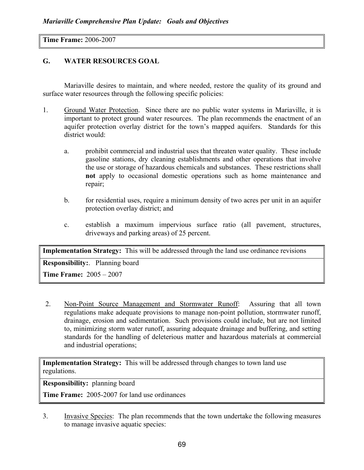Time Frame: 2006-2007

## G. WATER RESOURCES GOAL

 Mariaville desires to maintain, and where needed, restore the quality of its ground and surface water resources through the following specific policies:

- 1. Ground Water Protection. Since there are no public water systems in Mariaville, it is important to protect ground water resources. The plan recommends the enactment of an aquifer protection overlay district for the town's mapped aquifers. Standards for this district would:
	- a. prohibit commercial and industrial uses that threaten water quality. These include gasoline stations, dry cleaning establishments and other operations that involve the use or storage of hazardous chemicals and substances. These restrictions shall not apply to occasional domestic operations such as home maintenance and repair;
	- b. for residential uses, require a minimum density of two acres per unit in an aquifer protection overlay district; and
	- c. establish a maximum impervious surface ratio (all pavement, structures, driveways and parking areas) of 25 percent.

Implementation Strategy: This will be addressed through the land use ordinance revisions

Responsibility:. Planning board

Time Frame: 2005 – 2007

2. Non-Point Source Management and Stormwater Runoff: Assuring that all town regulations make adequate provisions to manage non-point pollution, stormwater runoff, drainage, erosion and sedimentation. Such provisions could include, but are not limited to, minimizing storm water runoff, assuring adequate drainage and buffering, and setting standards for the handling of deleterious matter and hazardous materials at commercial and industrial operations;

Implementation Strategy: This will be addressed through changes to town land use regulations.

Responsibility: planning board

Time Frame: 2005-2007 for land use ordinances

3. Invasive Species: The plan recommends that the town undertake the following measures to manage invasive aquatic species: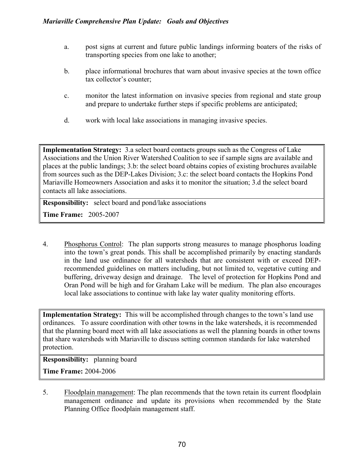- a. post signs at current and future public landings informing boaters of the risks of transporting species from one lake to another;
- b. place informational brochures that warn about invasive species at the town office tax collector's counter;
- c. monitor the latest information on invasive species from regional and state group and prepare to undertake further steps if specific problems are anticipated;
- d. work with local lake associations in managing invasive species.

Implementation Strategy: 3.a select board contacts groups such as the Congress of Lake Associations and the Union River Watershed Coalition to see if sample signs are available and places at the public landings; 3.b: the select board obtains copies of existing brochures available from sources such as the DEP-Lakes Division; 3.c: the select board contacts the Hopkins Pond Mariaville Homeowners Association and asks it to monitor the situation; 3.d the select board contacts all lake associations.

Responsibility: select board and pond/lake associations

Time Frame: 2005-2007

4. Phosphorus Control: The plan supports strong measures to manage phosphorus loading into the town's great ponds. This shall be accomplished primarily by enacting standards in the land use ordinance for all watersheds that are consistent with or exceed DEPrecommended guidelines on matters including, but not limited to, vegetative cutting and buffering, driveway design and drainage. The level of protection for Hopkins Pond and Oran Pond will be high and for Graham Lake will be medium. The plan also encourages local lake associations to continue with lake lay water quality monitoring efforts.

Implementation Strategy: This will be accomplished through changes to the town's land use ordinances. To assure coordination with other towns in the lake watersheds, it is recommended that the planning board meet with all lake associations as well the planning boards in other towns that share watersheds with Mariaville to discuss setting common standards for lake watershed protection.

Responsibility: planning board

Time Frame: 2004-2006

5. Floodplain management: The plan recommends that the town retain its current floodplain management ordinance and update its provisions when recommended by the State Planning Office floodplain management staff.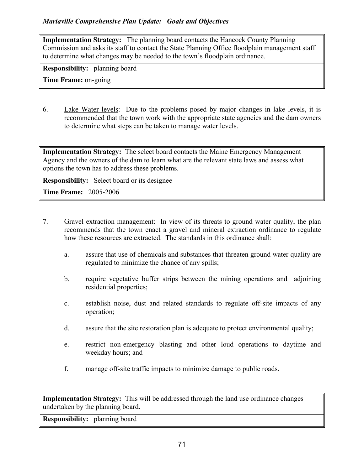Implementation Strategy: The planning board contacts the Hancock County Planning Commission and asks its staff to contact the State Planning Office floodplain management staff to determine what changes may be needed to the town's floodplain ordinance.

Responsibility: planning board

Time Frame: on-going

6. Lake Water levels: Due to the problems posed by major changes in lake levels, it is recommended that the town work with the appropriate state agencies and the dam owners to determine what steps can be taken to manage water levels.

Implementation Strategy: The select board contacts the Maine Emergency Management Agency and the owners of the dam to learn what are the relevant state laws and assess what options the town has to address these problems.

Responsibility: Select board or its designee

Time Frame: 2005-2006

- 7. Gravel extraction management: In view of its threats to ground water quality, the plan recommends that the town enact a gravel and mineral extraction ordinance to regulate how these resources are extracted. The standards in this ordinance shall:
	- a. assure that use of chemicals and substances that threaten ground water quality are regulated to minimize the chance of any spills;
	- b. require vegetative buffer strips between the mining operations and adjoining residential properties;
	- c. establish noise, dust and related standards to regulate off-site impacts of any operation;
	- d. assure that the site restoration plan is adequate to protect environmental quality;
	- e. restrict non-emergency blasting and other loud operations to daytime and weekday hours; and
	- f. manage off-site traffic impacts to minimize damage to public roads.

Implementation Strategy: This will be addressed through the land use ordinance changes undertaken by the planning board.

Responsibility: planning board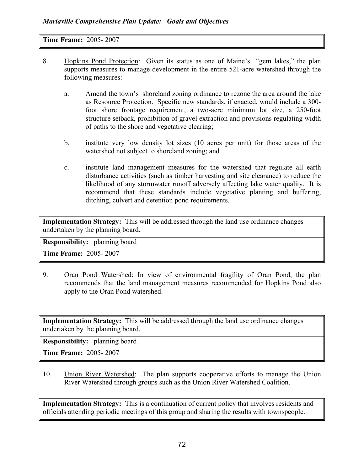Time Frame: 2005- 2007

- 8. Hopkins Pond Protection: Given its status as one of Maine's "gem lakes," the plan supports measures to manage development in the entire 521-acre watershed through the following measures:
	- a. Amend the town's shoreland zoning ordinance to rezone the area around the lake as Resource Protection. Specific new standards, if enacted, would include a 300 foot shore frontage requirement, a two-acre minimum lot size, a 250-foot structure setback, prohibition of gravel extraction and provisions regulating width of paths to the shore and vegetative clearing;
	- b. institute very low density lot sizes (10 acres per unit) for those areas of the watershed not subject to shoreland zoning; and
	- c. institute land management measures for the watershed that regulate all earth disturbance activities (such as timber harvesting and site clearance) to reduce the likelihood of any stormwater runoff adversely affecting lake water quality. It is recommend that these standards include vegetative planting and buffering, ditching, culvert and detention pond requirements.

Implementation Strategy: This will be addressed through the land use ordinance changes undertaken by the planning board.

Responsibility: planning board

Time Frame: 2005- 2007

9. Oran Pond Watershed: In view of environmental fragility of Oran Pond, the plan recommends that the land management measures recommended for Hopkins Pond also apply to the Oran Pond watershed.

Implementation Strategy: This will be addressed through the land use ordinance changes undertaken by the planning board.

Responsibility: planning board

Time Frame: 2005- 2007

10. Union River Watershed: The plan supports cooperative efforts to manage the Union River Watershed through groups such as the Union River Watershed Coalition.

Implementation Strategy: This is a continuation of current policy that involves residents and officials attending periodic meetings of this group and sharing the results with townspeople.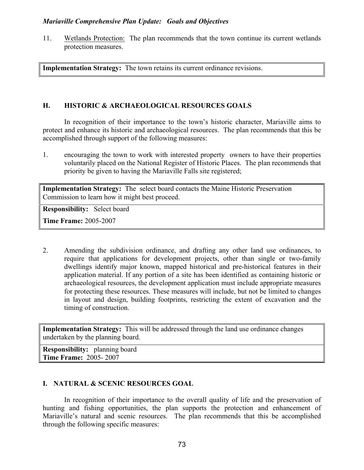11. Wetlands Protection: The plan recommends that the town continue its current wetlands protection measures.

Implementation Strategy: The town retains its current ordinance revisions.

## H. HISTORIC & ARCHAEOLOGICAL RESOURCES GOALS

 In recognition of their importance to the town's historic character, Mariaville aims to protect and enhance its historic and archaeological resources. The plan recommends that this be accomplished through support of the following measures:

1. encouraging the town to work with interested property owners to have their properties voluntarily placed on the National Register of Historic Places. The plan recommends that priority be given to having the Mariaville Falls site registered;

Implementation Strategy: The select board contacts the Maine Historic Preservation Commission to learn how it might best proceed.

Responsibility: Select board

Time Frame: 2005-2007

2. Amending the subdivision ordinance, and drafting any other land use ordinances, to require that applications for development projects, other than single or two-family dwellings identify major known, mapped historical and pre-historical features in their application material. If any portion of a site has been identified as containing historic or archaeological resources, the development application must include appropriate measures for protecting these resources. These measures will include, but not be limited to changes in layout and design, building footprints, restricting the extent of excavation and the timing of construction.

Implementation Strategy: This will be addressed through the land use ordinance changes undertaken by the planning board.

Responsibility: planning board Time Frame: 2005- 2007

## I. NATURAL & SCENIC RESOURCES GOAL

In recognition of their importance to the overall quality of life and the preservation of hunting and fishing opportunities, the plan supports the protection and enhancement of Mariaville's natural and scenic resources. The plan recommends that this be accomplished through the following specific measures: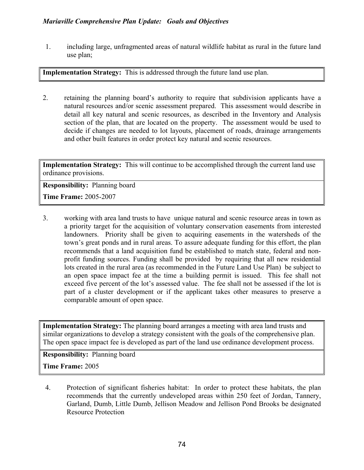1. including large, unfragmented areas of natural wildlife habitat as rural in the future land use plan;

Implementation Strategy: This is addressed through the future land use plan.

2. retaining the planning board's authority to require that subdivision applicants have a natural resources and/or scenic assessment prepared. This assessment would describe in detail all key natural and scenic resources, as described in the Inventory and Analysis section of the plan, that are located on the property. The assessment would be used to decide if changes are needed to lot layouts, placement of roads, drainage arrangements and other built features in order protect key natural and scenic resources.

Implementation Strategy: This will continue to be accomplished through the current land use ordinance provisions.

Responsibility: Planning board

Time Frame: 2005-2007

3. working with area land trusts to have unique natural and scenic resource areas in town as a priority target for the acquisition of voluntary conservation easements from interested landowners. Priority shall be given to acquiring easements in the watersheds of the town's great ponds and in rural areas. To assure adequate funding for this effort, the plan recommends that a land acquisition fund be established to match state, federal and nonprofit funding sources. Funding shall be provided by requiring that all new residential lots created in the rural area (as recommended in the Future Land Use Plan) be subject to an open space impact fee at the time a building permit is issued. This fee shall not exceed five percent of the lot's assessed value. The fee shall not be assessed if the lot is part of a cluster development or if the applicant takes other measures to preserve a comparable amount of open space.

Implementation Strategy: The planning board arranges a meeting with area land trusts and similar organizations to develop a strategy consistent with the goals of the comprehensive plan. The open space impact fee is developed as part of the land use ordinance development process.

Responsibility: Planning board

Time Frame: 2005

4. Protection of significant fisheries habitat: In order to protect these habitats, the plan recommends that the currently undeveloped areas within 250 feet of Jordan, Tannery, Garland, Dumb, Little Dumb, Jellison Meadow and Jellison Pond Brooks be designated Resource Protection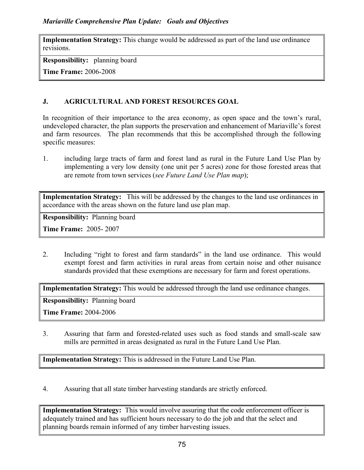Implementation Strategy: This change would be addressed as part of the land use ordinance revisions.

Responsibility: planning board

Time Frame: 2006-2008

# J. AGRICULTURAL AND FOREST RESOURCES GOAL

In recognition of their importance to the area economy, as open space and the town's rural, undeveloped character, the plan supports the preservation and enhancement of Mariaville's forest and farm resources. The plan recommends that this be accomplished through the following specific measures:

1. including large tracts of farm and forest land as rural in the Future Land Use Plan by implementing a very low density (one unit per 5 acres) zone for those forested areas that are remote from town services (see Future Land Use Plan map);

Implementation Strategy: This will be addressed by the changes to the land use ordinances in accordance with the areas shown on the future land use plan map.

Responsibility: Planning board

Time Frame: 2005- 2007

2. Including "right to forest and farm standards" in the land use ordinance. This would exempt forest and farm activities in rural areas from certain noise and other nuisance standards provided that these exemptions are necessary for farm and forest operations.

Implementation Strategy: This would be addressed through the land use ordinance changes.

Responsibility: Planning board

Time Frame: 2004-2006

3. Assuring that farm and forested-related uses such as food stands and small-scale saw mills are permitted in areas designated as rural in the Future Land Use Plan.

Implementation Strategy: This is addressed in the Future Land Use Plan.

4. Assuring that all state timber harvesting standards are strictly enforced.

Implementation Strategy: This would involve assuring that the code enforcement officer is adequately trained and has sufficient hours necessary to do the job and that the select and planning boards remain informed of any timber harvesting issues.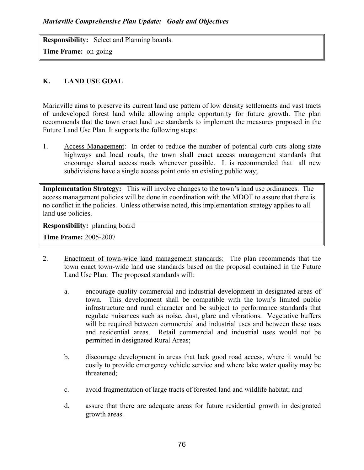Responsibility: Select and Planning boards. Time Frame: on-going

## K. LAND USE GOAL

Mariaville aims to preserve its current land use pattern of low density settlements and vast tracts of undeveloped forest land while allowing ample opportunity for future growth. The plan recommends that the town enact land use standards to implement the measures proposed in the Future Land Use Plan. It supports the following steps:

1. Access Management: In order to reduce the number of potential curb cuts along state highways and local roads, the town shall enact access management standards that encourage shared access roads whenever possible. It is recommended that all new subdivisions have a single access point onto an existing public way;

Implementation Strategy: This will involve changes to the town's land use ordinances. The access management policies will be done in coordination with the MDOT to assure that there is no conflict in the policies. Unless otherwise noted, this implementation strategy applies to all land use policies.

Responsibility: planning board

Time Frame: 2005-2007

- 2. Enactment of town-wide land management standards: The plan recommends that the town enact town-wide land use standards based on the proposal contained in the Future Land Use Plan. The proposed standards will:
	- a. encourage quality commercial and industrial development in designated areas of town. This development shall be compatible with the town's limited public infrastructure and rural character and be subject to performance standards that regulate nuisances such as noise, dust, glare and vibrations. Vegetative buffers will be required between commercial and industrial uses and between these uses and residential areas. Retail commercial and industrial uses would not be permitted in designated Rural Areas;
	- b. discourage development in areas that lack good road access, where it would be costly to provide emergency vehicle service and where lake water quality may be threatened;
	- c. avoid fragmentation of large tracts of forested land and wildlife habitat; and
	- d. assure that there are adequate areas for future residential growth in designated growth areas.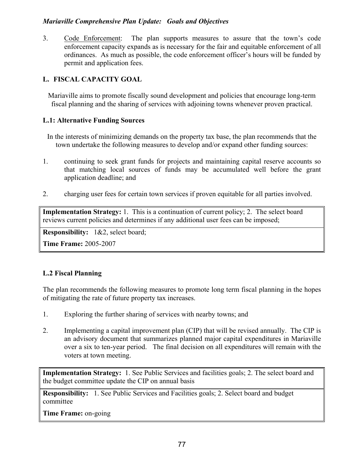3. Code Enforcement: The plan supports measures to assure that the town's code enforcement capacity expands as is necessary for the fair and equitable enforcement of all ordinances. As much as possible, the code enforcement officer's hours will be funded by permit and application fees.

## L. FISCAL CAPACITY GOAL

Mariaville aims to promote fiscally sound development and policies that encourage long-term fiscal planning and the sharing of services with adjoining towns whenever proven practical.

## L.1: Alternative Funding Sources

- In the interests of minimizing demands on the property tax base, the plan recommends that the town undertake the following measures to develop and/or expand other funding sources:
- 1. continuing to seek grant funds for projects and maintaining capital reserve accounts so that matching local sources of funds may be accumulated well before the grant application deadline; and
- 2. charging user fees for certain town services if proven equitable for all parties involved.

Implementation Strategy: 1. This is a continuation of current policy; 2. The select board reviews current policies and determines if any additional user fees can be imposed;

Responsibility: 1&2, select board;

Time Frame: 2005-2007

## L.2 Fiscal Planning

The plan recommends the following measures to promote long term fiscal planning in the hopes of mitigating the rate of future property tax increases.

- 1. Exploring the further sharing of services with nearby towns; and
- 2. Implementing a capital improvement plan (CIP) that will be revised annually. The CIP is an advisory document that summarizes planned major capital expenditures in Mariaville over a six to ten-year period. The final decision on all expenditures will remain with the voters at town meeting.

Implementation Strategy: 1. See Public Services and facilities goals; 2. The select board and the budget committee update the CIP on annual basis

Responsibility: 1. See Public Services and Facilities goals; 2. Select board and budget committee

Time Frame: on-going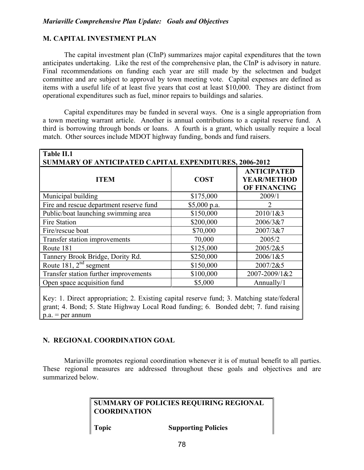## M. CAPITAL INVESTMENT PLAN

The capital investment plan (CInP) summarizes major capital expenditures that the town anticipates undertaking. Like the rest of the comprehensive plan, the CInP is advisory in nature. Final recommendations on funding each year are still made by the selectmen and budget committee and are subject to approval by town meeting vote. Capital expenses are defined as items with a useful life of at least five years that cost at least \$10,000. They are distinct from operational expenditures such as fuel, minor repairs to buildings and salaries.

 Capital expenditures may be funded in several ways. One is a single appropriation from a town meeting warrant article. Another is annual contributions to a capital reserve fund. A third is borrowing through bonds or loans. A fourth is a grant, which usually require a local match. Other sources include MDOT highway funding, bonds and fund raisers.

| Table II.1<br>SUMMARY OF ANTICIPATED CAPITAL EXPENDITURES, 2006-2012 |              |                                                                 |
|----------------------------------------------------------------------|--------------|-----------------------------------------------------------------|
| <b>ITEM</b>                                                          | <b>COST</b>  | <b>ANTICIPATED</b><br><b>YEAR/METHOD</b><br><b>OF FINANCING</b> |
| Municipal building                                                   | \$175,000    | 2009/1                                                          |
| Fire and rescue department reserve fund                              | \$5,000 p.a. | っ                                                               |
| Public/boat launching swimming area                                  | \$150,000    | 2010/1&3                                                        |
| <b>Fire Station</b>                                                  | \$200,000    | 2006/3&7                                                        |
| Fire/rescue boat                                                     | \$70,000     | 2007/3&7                                                        |
| Transfer station improvements                                        | 70,000       | 2005/2                                                          |
| Route 181                                                            | \$125,000    | 2005/2&5                                                        |
| Tannery Brook Bridge, Dority Rd.                                     | \$250,000    | 2006/1&5                                                        |
| Route 181, $2nd$ segment                                             | \$150,000    | 2007/2&5                                                        |
| Transfer station further improvements                                | \$100,000    | 2007-2009/1&2                                                   |
| Open space acquisition fund                                          | \$5,000      | Annually/1                                                      |
|                                                                      |              |                                                                 |

Key: 1. Direct appropriation; 2. Existing capital reserve fund; 3. Matching state/federal grant; 4. Bond; 5. State Highway Local Road funding; 6. Bonded debt; 7. fund raising  $p.a. = per annum$ 

## N. REGIONAL COORDINATION GOAL

Mariaville promotes regional coordination whenever it is of mutual benefit to all parties. These regional measures are addressed throughout these goals and objectives and are summarized below.

## SUMMARY OF POLICIES REQUIRING REGIONAL **COORDINATION**

Topic Supporting Policies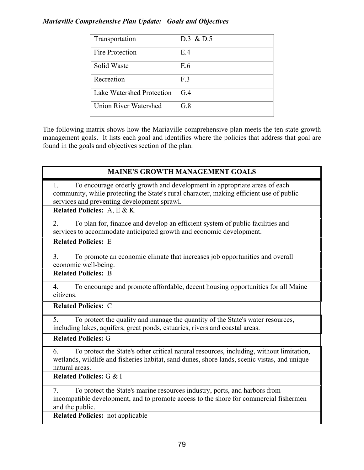| Transportation                   | $D.3 \& D.5$ |
|----------------------------------|--------------|
| Fire Protection                  | E.4          |
| Solid Waste                      | E.6          |
| Recreation                       | F.3          |
| <b>Lake Watershed Protection</b> | G.4          |
| <b>Union River Watershed</b>     | G.8          |

The following matrix shows how the Mariaville comprehensive plan meets the ten state growth management goals. It lists each goal and identifies where the policies that address that goal are found in the goals and objectives section of the plan.

| <b>MAINE'S GROWTH MANAGEMENT GOALS</b>                                                                                                 |
|----------------------------------------------------------------------------------------------------------------------------------------|
| To encourage orderly growth and development in appropriate areas of each<br>1.                                                         |
| community, while protecting the State's rural character, making efficient use of public<br>services and preventing development sprawl. |
| <b>Related Policies: A, E &amp; K</b>                                                                                                  |
| To plan for, finance and develop an efficient system of public facilities and<br>2.                                                    |
| services to accommodate anticipated growth and economic development.                                                                   |
| <b>Related Policies: E</b>                                                                                                             |
| To promote an economic climate that increases job opportunities and overall<br>3 <sub>1</sub>                                          |
| economic well-being.                                                                                                                   |
| <b>Related Policies: B</b>                                                                                                             |
| To encourage and promote affordable, decent housing opportunities for all Maine<br>4.                                                  |
| citizens.                                                                                                                              |
| <b>Related Policies: C</b>                                                                                                             |
| To protect the quality and manage the quantity of the State's water resources,<br>5 <sub>1</sub>                                       |
| including lakes, aquifers, great ponds, estuaries, rivers and coastal areas.                                                           |
| <b>Related Policies: G</b>                                                                                                             |
| To protect the State's other critical natural resources, including, without limitation,<br>6.                                          |
| wetlands, wildlife and fisheries habitat, sand dunes, shore lands, scenic vistas, and unique                                           |
| natural areas.                                                                                                                         |
| <b>Related Policies: G &amp; I</b>                                                                                                     |
| To protect the State's marine resources industry, ports, and harbors from<br>7.                                                        |
| incompatible development, and to promote access to the shore for commercial fishermen                                                  |

and the public. Related Policies: not applicable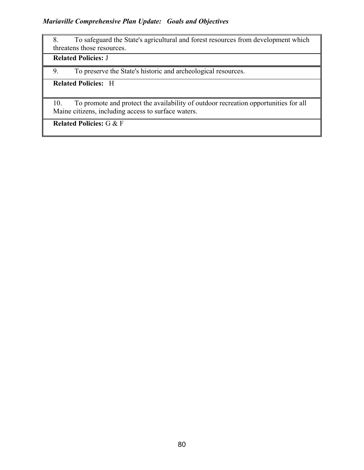8. To safeguard the State's agricultural and forest resources from development which threatens those resources.

# Related Policies: J

9. To preserve the State's historic and archeological resources.

# Related Policies: H

10. To promote and protect the availability of outdoor recreation opportunities for all Maine citizens, including access to surface waters.

Related Policies: G & F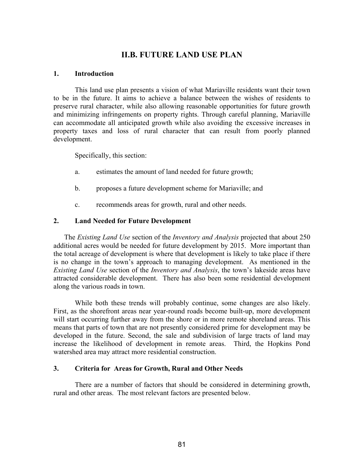# II.B. FUTURE LAND USE PLAN

#### 1. Introduction

 This land use plan presents a vision of what Mariaville residents want their town to be in the future. It aims to achieve a balance between the wishes of residents to preserve rural character, while also allowing reasonable opportunities for future growth and minimizing infringements on property rights. Through careful planning, Mariaville can accommodate all anticipated growth while also avoiding the excessive increases in property taxes and loss of rural character that can result from poorly planned development.

Specifically, this section:

- a. estimates the amount of land needed for future growth;
- b. proposes a future development scheme for Mariaville; and
- c. recommends areas for growth, rural and other needs.

#### 2. Land Needed for Future Development

The Existing Land Use section of the Inventory and Analysis projected that about 250 additional acres would be needed for future development by 2015. More important than the total acreage of development is where that development is likely to take place if there is no change in the town's approach to managing development. As mentioned in the Existing Land Use section of the Inventory and Analysis, the town's lakeside areas have attracted considerable development. There has also been some residential development along the various roads in town.

While both these trends will probably continue, some changes are also likely. First, as the shorefront areas near year-round roads become built-up, more development will start occurring further away from the shore or in more remote shoreland areas. This means that parts of town that are not presently considered prime for development may be developed in the future. Second, the sale and subdivision of large tracts of land may increase the likelihood of development in remote areas. Third, the Hopkins Pond watershed area may attract more residential construction.

#### 3. Criteria for Areas for Growth, Rural and Other Needs

There are a number of factors that should be considered in determining growth, rural and other areas. The most relevant factors are presented below.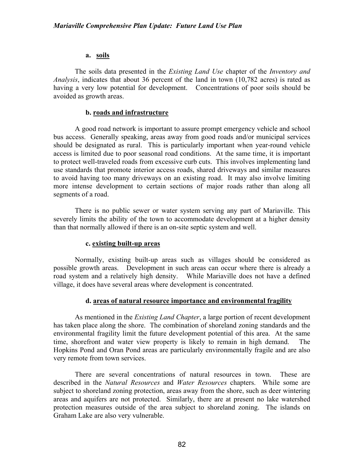#### a. soils

The soils data presented in the *Existing Land Use* chapter of the *Inventory and* Analysis, indicates that about 36 percent of the land in town (10,782 acres) is rated as having a very low potential for development. Concentrations of poor soils should be avoided as growth areas.

#### b. roads and infrastructure

A good road network is important to assure prompt emergency vehicle and school bus access. Generally speaking, areas away from good roads and/or municipal services should be designated as rural. This is particularly important when year-round vehicle access is limited due to poor seasonal road conditions. At the same time, it is important to protect well-traveled roads from excessive curb cuts. This involves implementing land use standards that promote interior access roads, shared driveways and similar measures to avoid having too many driveways on an existing road. It may also involve limiting more intense development to certain sections of major roads rather than along all segments of a road.

There is no public sewer or water system serving any part of Mariaville. This severely limits the ability of the town to accommodate development at a higher density than that normally allowed if there is an on-site septic system and well.

#### c. existing built-up areas

Normally, existing built-up areas such as villages should be considered as possible growth areas. Development in such areas can occur where there is already a road system and a relatively high density. While Mariaville does not have a defined village, it does have several areas where development is concentrated.

#### d. areas of natural resource importance and environmental fragility

As mentioned in the *Existing Land Chapter*, a large portion of recent development has taken place along the shore. The combination of shoreland zoning standards and the environmental fragility limit the future development potential of this area. At the same time, shorefront and water view property is likely to remain in high demand. The Hopkins Pond and Oran Pond areas are particularly environmentally fragile and are also very remote from town services.

 There are several concentrations of natural resources in town. These are described in the Natural Resources and Water Resources chapters. While some are subject to shoreland zoning protection, areas away from the shore, such as deer wintering areas and aquifers are not protected. Similarly, there are at present no lake watershed protection measures outside of the area subject to shoreland zoning. The islands on Graham Lake are also very vulnerable.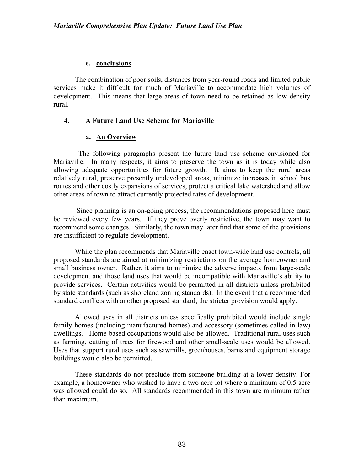#### e. conclusions

The combination of poor soils, distances from year-round roads and limited public services make it difficult for much of Mariaville to accommodate high volumes of development. This means that large areas of town need to be retained as low density rural.

### 4. A Future Land Use Scheme for Mariaville

### a. An Overview

 The following paragraphs present the future land use scheme envisioned for Mariaville. In many respects, it aims to preserve the town as it is today while also allowing adequate opportunities for future growth. It aims to keep the rural areas relatively rural, preserve presently undeveloped areas, minimize increases in school bus routes and other costly expansions of services, protect a critical lake watershed and allow other areas of town to attract currently projected rates of development.

 Since planning is an on-going process, the recommendations proposed here must be reviewed every few years. If they prove overly restrictive, the town may want to recommend some changes. Similarly, the town may later find that some of the provisions are insufficient to regulate development.

While the plan recommends that Mariaville enact town-wide land use controls, all proposed standards are aimed at minimizing restrictions on the average homeowner and small business owner. Rather, it aims to minimize the adverse impacts from large-scale development and those land uses that would be incompatible with Mariaville's ability to provide services. Certain activities would be permitted in all districts unless prohibited by state standards (such as shoreland zoning standards). In the event that a recommended standard conflicts with another proposed standard, the stricter provision would apply.

Allowed uses in all districts unless specifically prohibited would include single family homes (including manufactured homes) and accessory (sometimes called in-law) dwellings. Home-based occupations would also be allowed. Traditional rural uses such as farming, cutting of trees for firewood and other small-scale uses would be allowed. Uses that support rural uses such as sawmills, greenhouses, barns and equipment storage buildings would also be permitted.

These standards do not preclude from someone building at a lower density. For example, a homeowner who wished to have a two acre lot where a minimum of 0.5 acre was allowed could do so. All standards recommended in this town are minimum rather than maximum.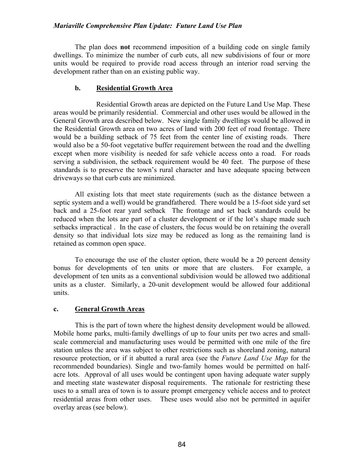#### Mariaville Comprehensive Plan Update: Future Land Use Plan

The plan does not recommend imposition of a building code on single family dwellings. To minimize the number of curb cuts, all new subdivisions of four or more units would be required to provide road access through an interior road serving the development rather than on an existing public way.

#### b. Residential Growth Area

 Residential Growth areas are depicted on the Future Land Use Map. These areas would be primarily residential. Commercial and other uses would be allowed in the General Growth area described below. New single family dwellings would be allowed in the Residential Growth area on two acres of land with 200 feet of road frontage. There would be a building setback of 75 feet from the center line of existing roads. There would also be a 50-foot vegetative buffer requirement between the road and the dwelling except when more visibility is needed for safe vehicle access onto a road. For roads serving a subdivision, the setback requirement would be 40 feet. The purpose of these standards is to preserve the town's rural character and have adequate spacing between driveways so that curb cuts are minimized.

All existing lots that meet state requirements (such as the distance between a septic system and a well) would be grandfathered. There would be a 15-foot side yard set back and a 25-foot rear yard setback The frontage and set back standards could be reduced when the lots are part of a cluster development or if the lot's shape made such setbacks impractical . In the case of clusters, the focus would be on retaining the overall density so that individual lots size may be reduced as long as the remaining land is retained as common open space.

To encourage the use of the cluster option, there would be a 20 percent density bonus for developments of ten units or more that are clusters. For example, a development of ten units as a conventional subdivision would be allowed two additional units as a cluster. Similarly, a 20-unit development would be allowed four additional units.

#### c. General Growth Areas

 This is the part of town where the highest density development would be allowed. Mobile home parks, multi-family dwellings of up to four units per two acres and smallscale commercial and manufacturing uses would be permitted with one mile of the fire station unless the area was subject to other restrictions such as shoreland zoning, natural resource protection, or if it abutted a rural area (see the *Future Land Use Map* for the recommended boundaries). Single and two-family homes would be permitted on halfacre lots. Approval of all uses would be contingent upon having adequate water supply and meeting state wastewater disposal requirements. The rationale for restricting these uses to a small area of town is to assure prompt emergency vehicle access and to protect residential areas from other uses. These uses would also not be permitted in aquifer overlay areas (see below).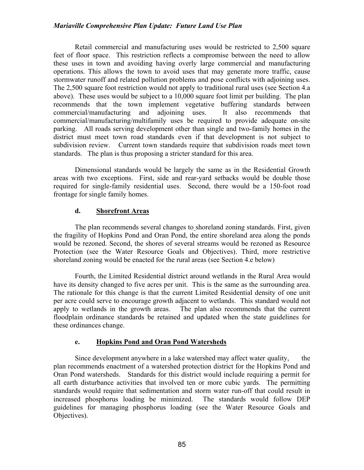#### Mariaville Comprehensive Plan Update: Future Land Use Plan

Retail commercial and manufacturing uses would be restricted to 2,500 square feet of floor space. This restriction reflects a compromise between the need to allow these uses in town and avoiding having overly large commercial and manufacturing operations. This allows the town to avoid uses that may generate more traffic, cause stormwater runoff and related pollution problems and pose conflicts with adjoining uses. The 2,500 square foot restriction would not apply to traditional rural uses (see Section 4.a above). These uses would be subject to a 10,000 square foot limit per building. The plan recommends that the town implement vegetative buffering standards between commercial/manufacturing and adjoining uses. It also recommends that commercial/manufacturing/multifamily uses be required to provide adequate on-site parking. All roads serving development other than single and two-family homes in the district must meet town road standards even if that development is not subject to subdivision review. Current town standards require that subdivision roads meet town standards. The plan is thus proposing a stricter standard for this area.

Dimensional standards would be largely the same as in the Residential Growth areas with two exceptions. First, side and rear-yard setbacks would be double those required for single-family residential uses. Second, there would be a 150-foot road frontage for single family homes.

### d. Shorefront Areas

The plan recommends several changes to shoreland zoning standards. First, given the fragility of Hopkins Pond and Oran Pond, the entire shoreland area along the ponds would be rezoned. Second, the shores of several streams would be rezoned as Resource Protection (see the Water Resource Goals and Objectives). Third, more restrictive shoreland zoning would be enacted for the rural areas (see Section 4.e below)

Fourth, the Limited Residential district around wetlands in the Rural Area would have its density changed to five acres per unit. This is the same as the surrounding area. The rationale for this change is that the current Limited Residential density of one unit per acre could serve to encourage growth adjacent to wetlands. This standard would not apply to wetlands in the growth areas. The plan also recommends that the current floodplain ordinance standards be retained and updated when the state guidelines for these ordinances change.

## e. Hopkins Pond and Oran Pond Watersheds

Since development anywhere in a lake watershed may affect water quality, the plan recommends enactment of a watershed protection district for the Hopkins Pond and Oran Pond watersheds. Standards for this district would include requiring a permit for all earth disturbance activities that involved ten or more cubic yards. The permitting standards would require that sedimentation and storm water run-off that could result in increased phosphorus loading be minimized. The standards would follow DEP guidelines for managing phosphorus loading (see the Water Resource Goals and Objectives).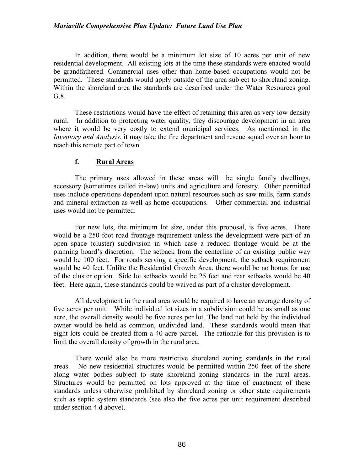#### Mariaville Comprehensive Plan Update: Future Land Use Plan

In addition, there would be a minimum lot size of 10 acres per unit of new residential development. All existing lots at the time these standards were enacted would be grandfathered. Commercial uses other than home-based occupations would not be permitted. These standards would apply outside of the area subject to shoreland zoning. Within the shoreland area the standards are described under the Water Resources goal G.8.

These restrictions would have the effect of retaining this area as very low density rural. In addition to protecting water quality, they discourage development in an area where it would be very costly to extend municipal services. As mentioned in the Inventory and Analysis, it may take the fire department and rescue squad over an hour to reach this remote part of town.

### f. Rural Areas

The primary uses allowed in these areas will be single family dwellings, accessory (sometimes called in-law) units and agriculture and forestry. Other permitted uses include operations dependent upon natural resources such as saw mills, farm stands and mineral extraction as well as home occupations. Other commercial and industrial uses would not be permitted.

For new lots, the minimum lot size, under this proposal, is five acres. There would be a 250-foot road frontage requirement unless the development were part of an open space (cluster) subdivision in which case a reduced frontage would be at the planning board's discretion. The setback from the centerline of an existing public way would be 100 feet. For roads serving a specific development, the setback requirement would be 40 feet. Unlike the Residential Growth Area, there would be no bonus for use of the cluster option. Side lot setbacks would be 25 feet and rear setbacks would be 40 feet. Here again, these standards could be waived as part of a cluster development.

All development in the rural area would be required to have an average density of five acres per unit. While individual lot sizes in a subdivision could be as small as one acre, the overall density would be five acres per lot. The land not held by the individual owner would be held as common, undivided land. These standards would mean that eight lots could be created from a 40-acre parcel. The rationale for this provision is to limit the overall density of growth in the rural area.

There would also be more restrictive shoreland zoning standards in the rural areas. No new residential structures would be permitted within 250 feet of the shore along water bodies subject to state shoreland zoning standards in the rural areas. Structures would be permitted on lots approved at the time of enactment of these standards unless otherwise prohibited by shoreland zoning or other state requirements such as septic system standards (see also the five acres per unit requirement described under section 4.d above).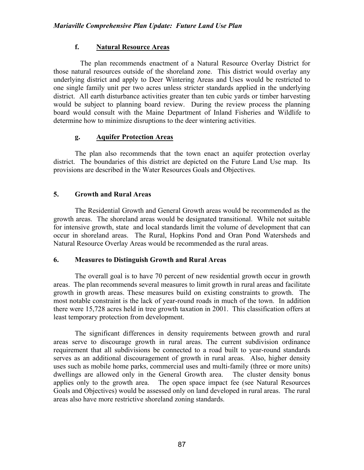## f. Natural Resource Areas

 The plan recommends enactment of a Natural Resource Overlay District for those natural resources outside of the shoreland zone. This district would overlay any underlying district and apply to Deer Wintering Areas and Uses would be restricted to one single family unit per two acres unless stricter standards applied in the underlying district. All earth disturbance activities greater than ten cubic yards or timber harvesting would be subject to planning board review. During the review process the planning board would consult with the Maine Department of Inland Fisheries and Wildlife to determine how to minimize disruptions to the deer wintering activities.

## g. Aquifer Protection Areas

 The plan also recommends that the town enact an aquifer protection overlay district. The boundaries of this district are depicted on the Future Land Use map. Its provisions are described in the Water Resources Goals and Objectives.

## 5. Growth and Rural Areas

The Residential Growth and General Growth areas would be recommended as the growth areas. The shoreland areas would be designated transitional. While not suitable for intensive growth, state and local standards limit the volume of development that can occur in shoreland areas. The Rural, Hopkins Pond and Oran Pond Watersheds and Natural Resource Overlay Areas would be recommended as the rural areas.

#### 6. Measures to Distinguish Growth and Rural Areas

 The overall goal is to have 70 percent of new residential growth occur in growth areas. The plan recommends several measures to limit growth in rural areas and facilitate growth in growth areas. These measures build on existing constraints to growth. The most notable constraint is the lack of year-round roads in much of the town. In addition there were 15,728 acres held in tree growth taxation in 2001. This classification offers at least temporary protection from development.

 The significant differences in density requirements between growth and rural areas serve to discourage growth in rural areas. The current subdivision ordinance requirement that all subdivisions be connected to a road built to year-round standards serves as an additional discouragement of growth in rural areas. Also, higher density uses such as mobile home parks, commercial uses and multi-family (three or more units) dwellings are allowed only in the General Growth area. The cluster density bonus applies only to the growth area. The open space impact fee (see Natural Resources Goals and Objectives) would be assessed only on land developed in rural areas. The rural areas also have more restrictive shoreland zoning standards.